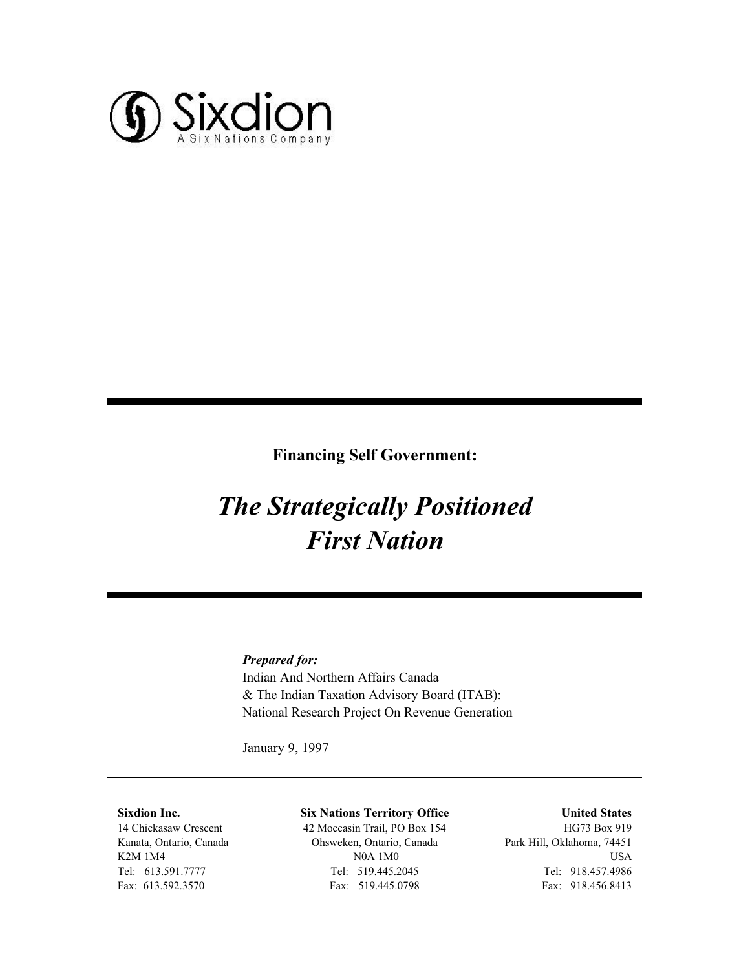

#### **Financing Self Government:**

# *The Strategically Positioned First Nation*

#### *Prepared for:*

Indian And Northern Affairs Canada & The Indian Taxation Advisory Board (ITAB): National Research Project On Revenue Generation

January 9, 1997

#### **Sixdion Inc.**

14 Chickasaw Crescent Kanata, Ontario, Canada K2M 1M4 Tel: 613.591.7777 Fax: 613.592.3570

#### **Six Nations Territory Office**

42 Moccasin Trail, PO Box 154 Ohsweken, Ontario, Canada N0A 1M0 Tel: 519.445.2045 Fax: 519.445.0798

#### **United States**

HG73 Box 919 Park Hill, Oklahoma, 74451 USA Tel: 918.457.4986 Fax: 918.456.8413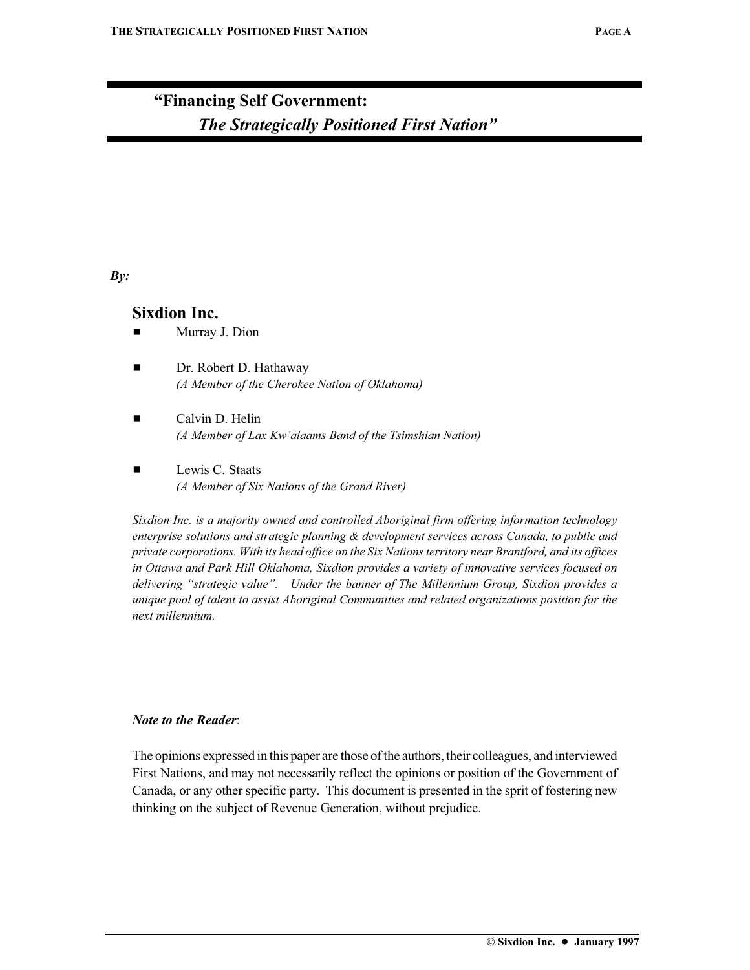## **"Financing Self Government:** *The Strategically Positioned First Nation"*

#### *By:*

#### **Sixdion Inc.**

- $\blacksquare$  Murray J. Dion
- **Example 12 Dr. Robert D. Hathaway** *(A Member of the Cherokee Nation of Oklahoma)*
- $\blacksquare$  Calvin D. Helin *(A Member of Lax Kw'alaams Band of the Tsimshian Nation)*
- $\blacksquare$  Lewis C. Staats *(A Member of Six Nations of the Grand River)*

*Sixdion Inc. is a majority owned and controlled Aboriginal firm offering information technology enterprise solutions and strategic planning & development services across Canada, to public and private corporations. With its head office on the Six Nations territory near Brantford, and its offices in Ottawa and Park Hill Oklahoma, Sixdion provides a variety of innovative services focused on delivering "strategic value". Under the banner of The Millennium Group, Sixdion provides a unique pool of talent to assist Aboriginal Communities and related organizations position for the next millennium.*

#### *Note to the Reader*:

The opinions expressed in this paper are those of the authors, their colleagues, and interviewed First Nations, and may not necessarily reflect the opinions or position of the Government of Canada, or any other specific party. This document is presented in the sprit of fostering new thinking on the subject of Revenue Generation, without prejudice.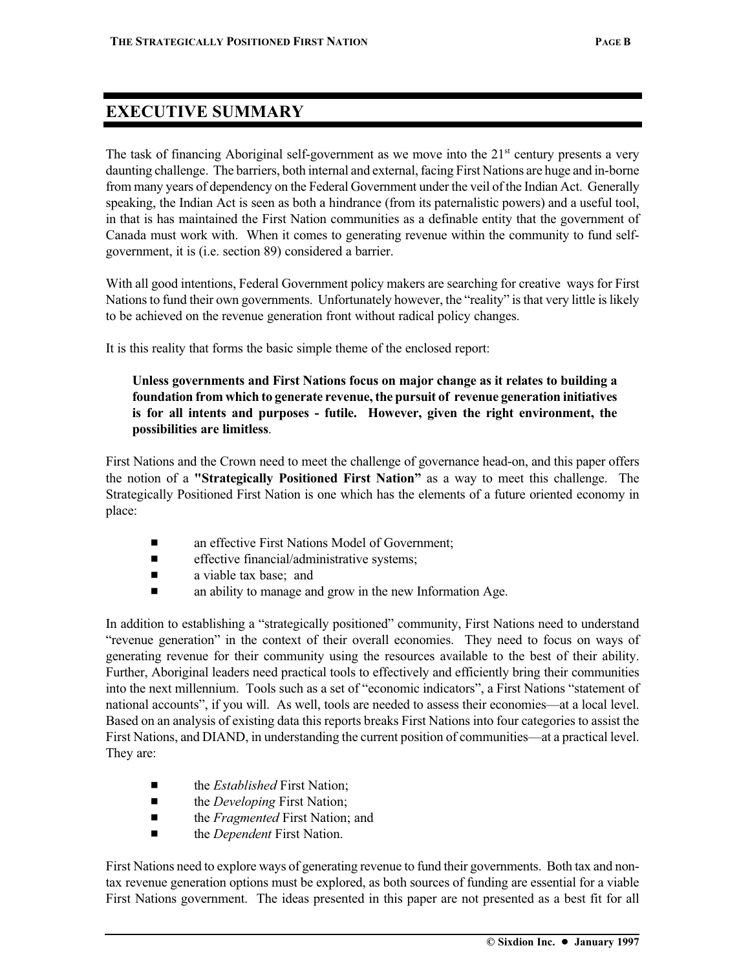## **EXECUTIVE SUMMARY**

The task of financing Aboriginal self-government as we move into the  $21<sup>st</sup>$  century presents a very daunting challenge. The barriers, both internal and external, facing First Nations are huge and in-borne from many years of dependency on the Federal Government under the veil of the Indian Act. Generally speaking, the Indian Act is seen as both a hindrance (from its paternalistic powers) and a useful tool, in that is has maintained the First Nation communities as a definable entity that the government of Canada must work with. When it comes to generating revenue within the community to fund selfgovernment, it is (i.e. section 89) considered a barrier.

With all good intentions, Federal Government policy makers are searching for creative ways for First Nations to fund their own governments. Unfortunately however, the "reality" is that very little is likely to be achieved on the revenue generation front without radical policy changes.

It is this reality that forms the basic simple theme of the enclosed report:

#### **Unless governments and First Nations focus on major change as it relates to building a foundation from which to generate revenue, the pursuit of revenue generation initiatives is for all intents and purposes - futile. However, given the right environment, the possibilities are limitless**.

First Nations and the Crown need to meet the challenge of governance head-on, and this paper offers the notion of a **"Strategically Positioned First Nation"** as a way to meet this challenge. The Strategically Positioned First Nation is one which has the elements of a future oriented economy in place:

- an effective First Nations Model of Government:
- $\blacksquare$  effective financial/administrative systems;
- $\blacksquare$  a viable tax base; and
- $\blacksquare$  an ability to manage and grow in the new Information Age.

In addition to establishing a "strategically positioned" community, First Nations need to understand "revenue generation" in the context of their overall economies. They need to focus on ways of generating revenue for their community using the resources available to the best of their ability. Further, Aboriginal leaders need practical tools to effectively and efficiently bring their communities into the next millennium. Tools such as a set of "economic indicators", a First Nations "statement of national accounts", if you will. As well, tools are needed to assess their economies—at a local level. Based on an analysis of existing data this reports breaks First Nations into four categories to assist the First Nations, and DIAND, in understanding the current position of communities—at a practical level. They are:

- the *Established* First Nation:
- the *Developing* First Nation;
- the *Fragmented* First Nation; and
- the *Dependent* First Nation.

First Nations need to explore ways of generating revenue to fund their governments. Both tax and nontax revenue generation options must be explored, as both sources of funding are essential for a viable First Nations government. The ideas presented in this paper are not presented as a best fit for all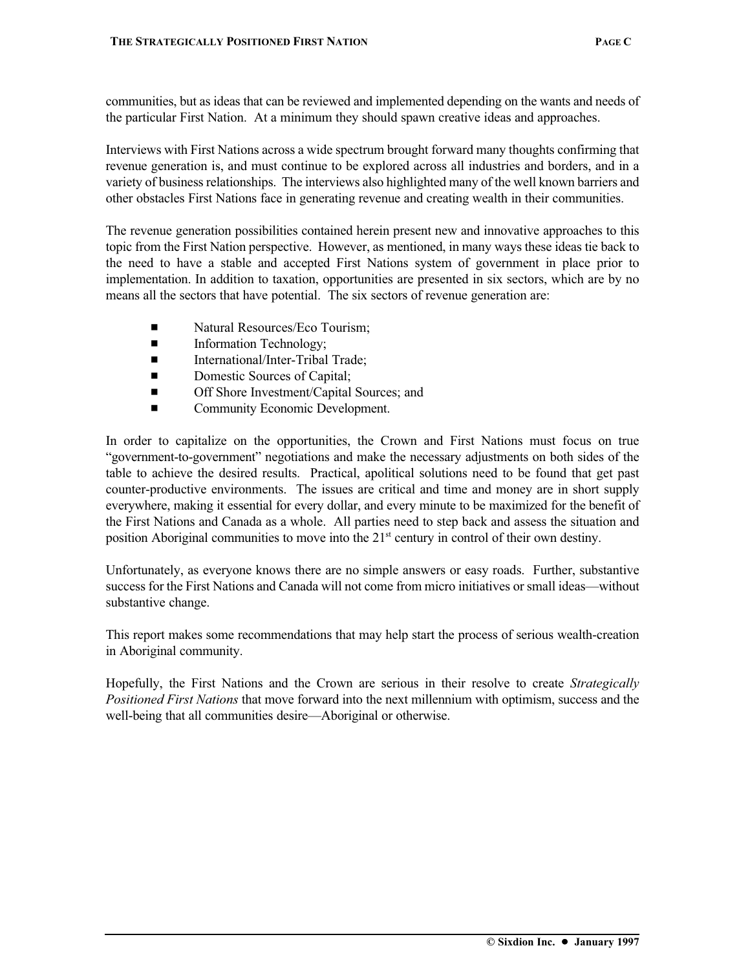communities, but as ideas that can be reviewed and implemented depending on the wants and needs of the particular First Nation. At a minimum they should spawn creative ideas and approaches.

Interviews with First Nations across a wide spectrum brought forward many thoughts confirming that revenue generation is, and must continue to be explored across all industries and borders, and in a variety of business relationships. The interviews also highlighted many of the well known barriers and other obstacles First Nations face in generating revenue and creating wealth in their communities.

The revenue generation possibilities contained herein present new and innovative approaches to this topic from the First Nation perspective. However, as mentioned, in many ways these ideas tie back to the need to have a stable and accepted First Nations system of government in place prior to implementation. In addition to taxation, opportunities are presented in six sectors, which are by no means all the sectors that have potential. The six sectors of revenue generation are:

- Natural Resources/Eco Tourism:
- **Exercise 1** Information Technology;
- **E** International/Inter-Tribal Trade:
- **Exercise** Domestic Sources of Capital;
- $\blacksquare$  Off Shore Investment/Capital Sources; and
- Community Economic Development.

In order to capitalize on the opportunities, the Crown and First Nations must focus on true "government-to-government" negotiations and make the necessary adjustments on both sides of the table to achieve the desired results. Practical, apolitical solutions need to be found that get past counter-productive environments. The issues are critical and time and money are in short supply everywhere, making it essential for every dollar, and every minute to be maximized for the benefit of the First Nations and Canada as a whole. All parties need to step back and assess the situation and position Aboriginal communities to move into the  $21<sup>st</sup>$  century in control of their own destiny.

Unfortunately, as everyone knows there are no simple answers or easy roads. Further, substantive success for the First Nations and Canada will not come from micro initiatives or small ideas—without substantive change.

This report makes some recommendations that may help start the process of serious wealth-creation in Aboriginal community.

Hopefully, the First Nations and the Crown are serious in their resolve to create *Strategically Positioned First Nations* that move forward into the next millennium with optimism, success and the well-being that all communities desire—Aboriginal or otherwise.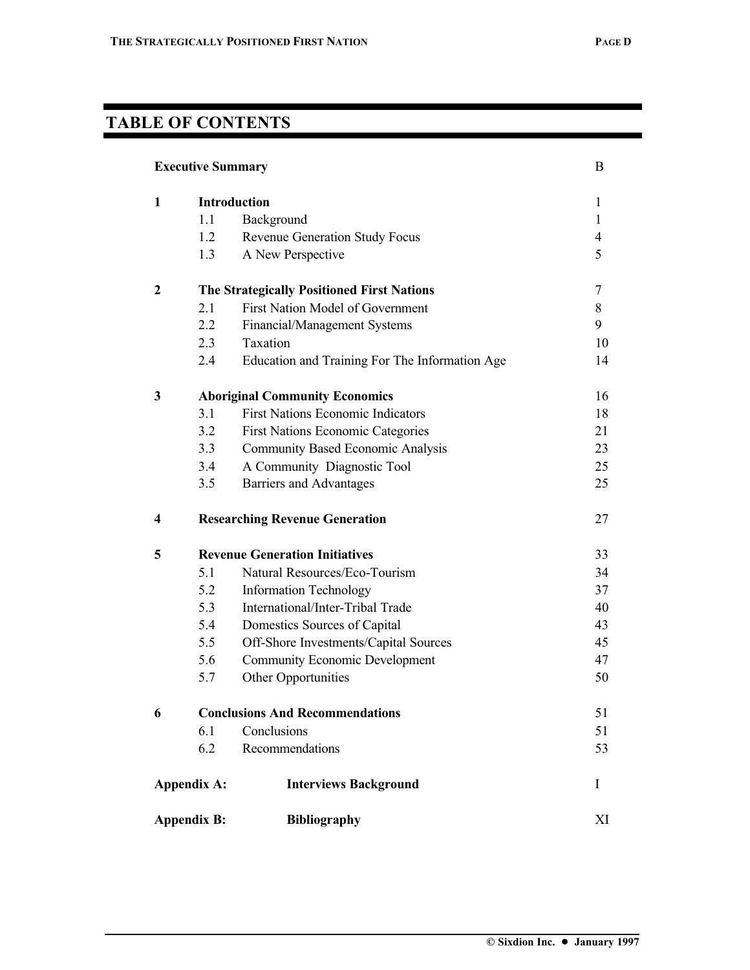## **TABLE OF CONTENTS**

| <b>Executive Summary</b><br>B              |                                                   |                                                |              |  |
|--------------------------------------------|---------------------------------------------------|------------------------------------------------|--------------|--|
| 1                                          |                                                   | <b>Introduction</b>                            | 1            |  |
|                                            | 1.1                                               | Background                                     | $\mathbf{1}$ |  |
|                                            | 1.2                                               | Revenue Generation Study Focus                 | 4            |  |
|                                            | 1.3                                               | A New Perspective                              | 5            |  |
| 2                                          | <b>The Strategically Positioned First Nations</b> |                                                | 7            |  |
|                                            | 2.1                                               | First Nation Model of Government               | 8            |  |
|                                            | 2.2                                               | Financial/Management Systems                   | 9            |  |
|                                            | 2.3                                               | Taxation                                       | 10           |  |
|                                            | 2.4                                               | Education and Training For The Information Age | 14           |  |
| 3                                          |                                                   | <b>Aboriginal Community Economics</b>          | 16           |  |
|                                            | 3.1                                               | <b>First Nations Economic Indicators</b>       | 18           |  |
|                                            | 3.2                                               | <b>First Nations Economic Categories</b>       | 21           |  |
|                                            | 3.3                                               | <b>Community Based Economic Analysis</b>       | 23           |  |
|                                            | 3.4                                               | A Community Diagnostic Tool                    | 25           |  |
|                                            | 3.5                                               | Barriers and Advantages                        | 25           |  |
| 4                                          | <b>Researching Revenue Generation</b>             |                                                | 27           |  |
| <b>Revenue Generation Initiatives</b><br>5 |                                                   |                                                | 33           |  |
|                                            | 5.1                                               | Natural Resources/Eco-Tourism                  | 34           |  |
|                                            | 5.2                                               | <b>Information Technology</b>                  | 37           |  |
|                                            | 5.3                                               | International/Inter-Tribal Trade               | 40           |  |
|                                            | 5.4                                               | Domestics Sources of Capital                   | 43           |  |
|                                            | 5.5                                               | Off-Shore Investments/Capital Sources          | 45           |  |
|                                            | 5.6                                               | <b>Community Economic Development</b>          | 47           |  |
|                                            | 5.7                                               | Other Opportunities                            | 50           |  |
| 6                                          |                                                   | <b>Conclusions And Recommendations</b>         | 51           |  |
|                                            | 6.1                                               | Conclusions                                    | 51           |  |
|                                            | 6.2                                               | Recommendations                                | 53           |  |
| <b>Appendix A:</b>                         |                                                   | <b>Interviews Background</b>                   | Ι            |  |
| <b>Appendix B:</b>                         |                                                   | <b>Bibliography</b>                            | XI           |  |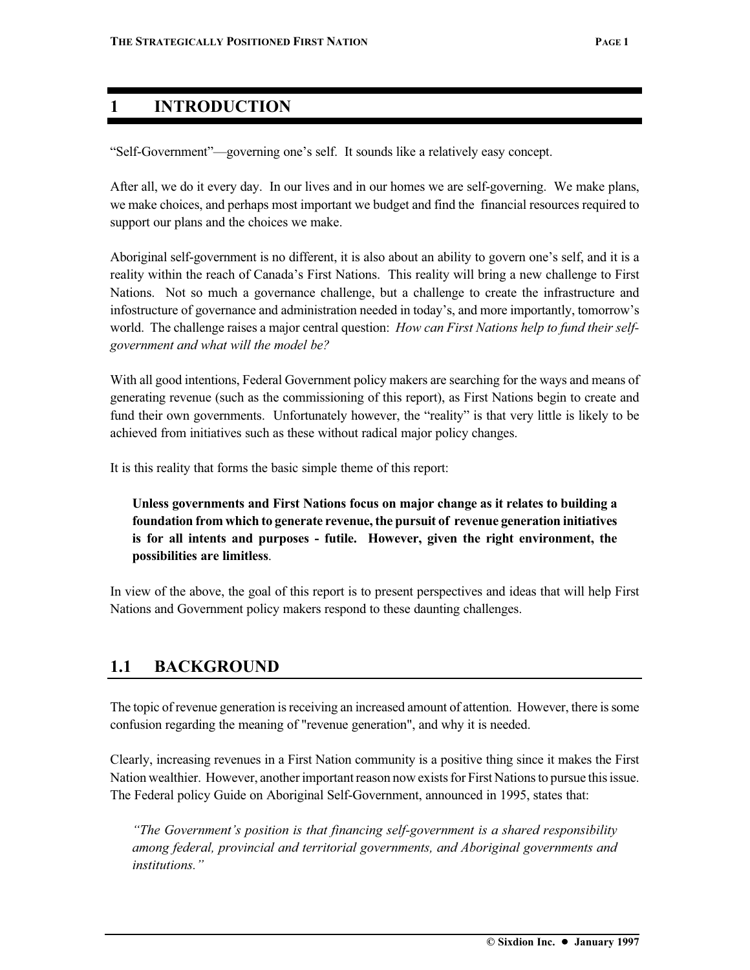#### **1 INTRODUCTION**

"Self-Government"—governing one's self. It sounds like a relatively easy concept.

After all, we do it every day. In our lives and in our homes we are self-governing. We make plans, we make choices, and perhaps most important we budget and find the financial resources required to support our plans and the choices we make.

Aboriginal self-government is no different, it is also about an ability to govern one's self, and it is a reality within the reach of Canada's First Nations. This reality will bring a new challenge to First Nations. Not so much a governance challenge, but a challenge to create the infrastructure and infostructure of governance and administration needed in today's, and more importantly, tomorrow's world. The challenge raises a major central question: *How can First Nations help to fund their selfgovernment and what will the model be?*

With all good intentions, Federal Government policy makers are searching for the ways and means of generating revenue (such as the commissioning of this report), as First Nations begin to create and fund their own governments. Unfortunately however, the "reality" is that very little is likely to be achieved from initiatives such as these without radical major policy changes.

It is this reality that forms the basic simple theme of this report:

**Unless governments and First Nations focus on major change as it relates to building a foundation from which to generate revenue, the pursuit of revenue generation initiatives is for all intents and purposes - futile. However, given the right environment, the possibilities are limitless**.

In view of the above, the goal of this report is to present perspectives and ideas that will help First Nations and Government policy makers respond to these daunting challenges.

### **1.1 BACKGROUND**

The topic of revenue generation is receiving an increased amount of attention. However, there is some confusion regarding the meaning of "revenue generation", and why it is needed.

Clearly, increasing revenues in a First Nation community is a positive thing since it makes the First Nation wealthier. However, another important reason now exists for First Nations to pursue this issue. The Federal policy Guide on Aboriginal Self-Government, announced in 1995, states that:

*"The Government's position is that financing self-government is a shared responsibility among federal, provincial and territorial governments, and Aboriginal governments and institutions."*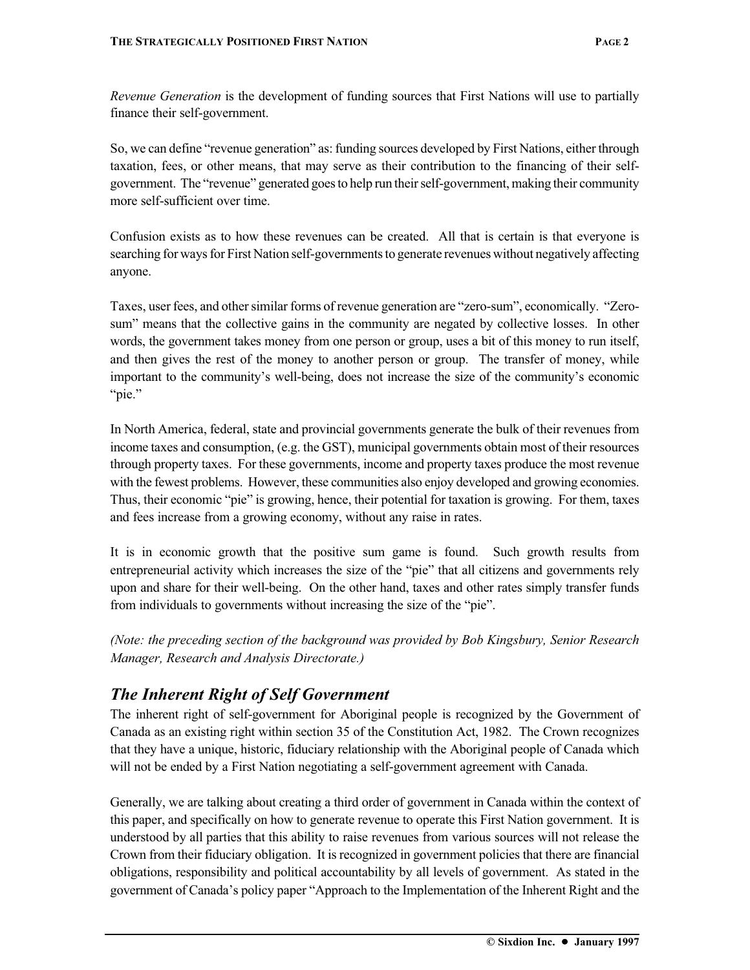*Revenue Generation* is the development of funding sources that First Nations will use to partially finance their self-government.

So, we can define "revenue generation" as: funding sources developed by First Nations, either through taxation, fees, or other means, that may serve as their contribution to the financing of their selfgovernment. The "revenue" generated goes to help run their self-government, making their community more self-sufficient over time.

Confusion exists as to how these revenues can be created. All that is certain is that everyone is searching for ways for First Nation self-governments to generate revenues without negatively affecting anyone.

Taxes, user fees, and other similar forms of revenue generation are "zero-sum", economically. "Zerosum" means that the collective gains in the community are negated by collective losses. In other words, the government takes money from one person or group, uses a bit of this money to run itself, and then gives the rest of the money to another person or group. The transfer of money, while important to the community's well-being, does not increase the size of the community's economic "pie."

In North America, federal, state and provincial governments generate the bulk of their revenues from income taxes and consumption, (e.g. the GST), municipal governments obtain most of their resources through property taxes. For these governments, income and property taxes produce the most revenue with the fewest problems. However, these communities also enjoy developed and growing economies. Thus, their economic "pie" is growing, hence, their potential for taxation is growing. For them, taxes and fees increase from a growing economy, without any raise in rates.

It is in economic growth that the positive sum game is found. Such growth results from entrepreneurial activity which increases the size of the "pie" that all citizens and governments rely upon and share for their well-being. On the other hand, taxes and other rates simply transfer funds from individuals to governments without increasing the size of the "pie".

*(Note: the preceding section of the background was provided by Bob Kingsbury, Senior Research Manager, Research and Analysis Directorate.)*

### *The Inherent Right of Self Government*

The inherent right of self-government for Aboriginal people is recognized by the Government of Canada as an existing right within section 35 of the Constitution Act, 1982. The Crown recognizes that they have a unique, historic, fiduciary relationship with the Aboriginal people of Canada which will not be ended by a First Nation negotiating a self-government agreement with Canada.

Generally, we are talking about creating a third order of government in Canada within the context of this paper, and specifically on how to generate revenue to operate this First Nation government. It is understood by all parties that this ability to raise revenues from various sources will not release the Crown from their fiduciary obligation. It is recognized in government policies that there are financial obligations, responsibility and political accountability by all levels of government. As stated in the government of Canada's policy paper "Approach to the Implementation of the Inherent Right and the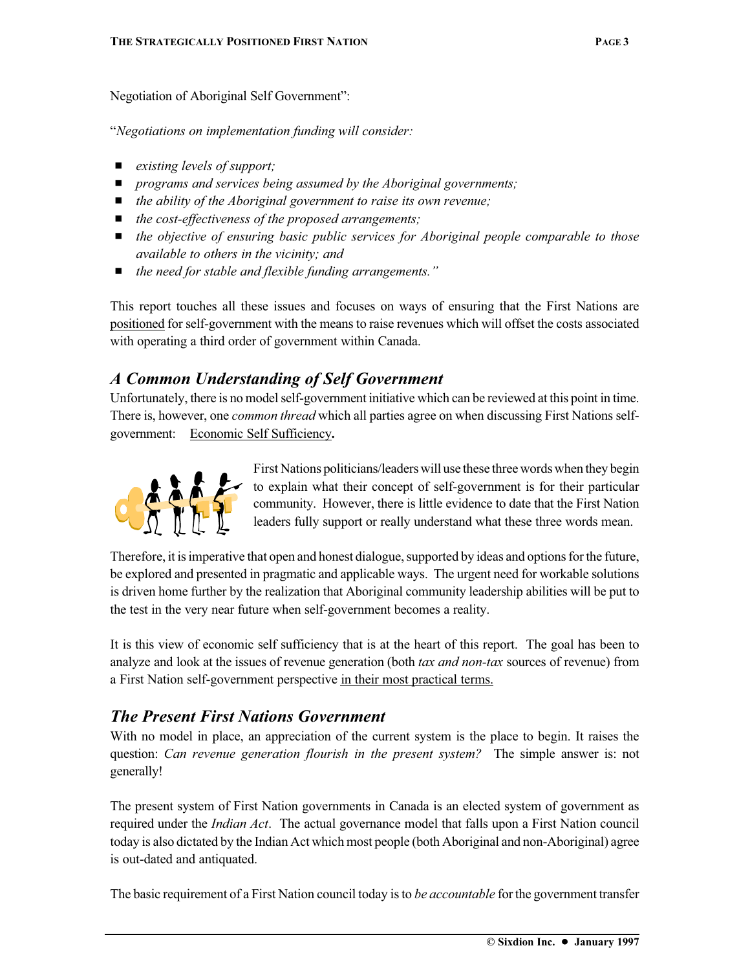Negotiation of Aboriginal Self Government":

"*Negotiations on implementation funding will consider:*

- *existing levels of support*;
- *programs and services being assumed by the Aboriginal governments;*
- *the ability of the Aboriginal government to raise its own revenue;*
- *the cost-effectiveness of the proposed arrangements;*
- *the objective of ensuring basic public services for Aboriginal people comparable to those available to others in the vicinity; and*
- *the need for stable and flexible funding arrangements.*"

This report touches all these issues and focuses on ways of ensuring that the First Nations are positioned for self-government with the means to raise revenues which will offset the costs associated with operating a third order of government within Canada.

#### *A Common Understanding of Self Government*

Unfortunately, there is no model self-government initiative which can be reviewed at this point in time. There is, however, one *common thread* which all parties agree on when discussing First Nations selfgovernment: Economic Self Sufficiency**.**



First Nations politicians/leaders will use these three words when they begin to explain what their concept of self-government is for their particular community. However, there is little evidence to date that the First Nation leaders fully support or really understand what these three words mean.

Therefore, it is imperative that open and honest dialogue, supported by ideas and options for the future, be explored and presented in pragmatic and applicable ways. The urgent need for workable solutions is driven home further by the realization that Aboriginal community leadership abilities will be put to the test in the very near future when self-government becomes a reality.

It is this view of economic self sufficiency that is at the heart of this report. The goal has been to analyze and look at the issues of revenue generation (both *tax and non-tax* sources of revenue) from a First Nation self-government perspective in their most practical terms.

#### *The Present First Nations Government*

With no model in place, an appreciation of the current system is the place to begin. It raises the question: *Can revenue generation flourish in the present system?* The simple answer is: not generally!

The present system of First Nation governments in Canada is an elected system of government as required under the *Indian Act*. The actual governance model that falls upon a First Nation council today is also dictated by the Indian Act which most people (both Aboriginal and non-Aboriginal) agree is out-dated and antiquated.

The basic requirement of a First Nation council today is to *be accountable* for the government transfer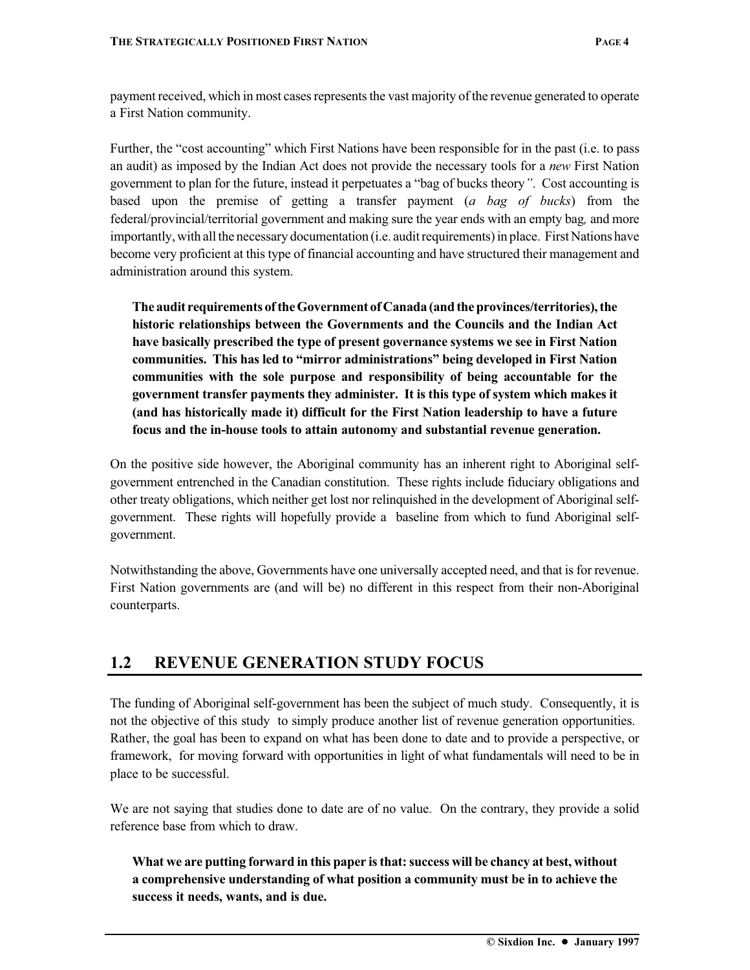payment received, which in most cases represents the vast majority of the revenue generated to operate a First Nation community.

Further, the "cost accounting" which First Nations have been responsible for in the past (i.e. to pass an audit) as imposed by the Indian Act does not provide the necessary tools for a *new* First Nation government to plan for the future, instead it perpetuates a "bag of bucks theory*"*. Cost accounting is based upon the premise of getting a transfer payment (*a bag of bucks*) from the federal/provincial/territorial government and making sure the year ends with an empty bag*,* and more importantly, with all the necessary documentation (i.e. audit requirements) in place. First Nations have become very proficient at this type of financial accounting and have structured their management and administration around this system.

**The audit requirements of the Government of Canada (and the provinces/territories), the historic relationships between the Governments and the Councils and the Indian Act have basically prescribed the type of present governance systems we see in First Nation communities. This has led to "mirror administrations" being developed in First Nation communities with the sole purpose and responsibility of being accountable for the government transfer payments they administer. It is this type of system which makes it (and has historically made it) difficult for the First Nation leadership to have a future focus and the in-house tools to attain autonomy and substantial revenue generation.**

On the positive side however, the Aboriginal community has an inherent right to Aboriginal selfgovernment entrenched in the Canadian constitution. These rights include fiduciary obligations and other treaty obligations, which neither get lost nor relinquished in the development of Aboriginal selfgovernment. These rights will hopefully provide a baseline from which to fund Aboriginal selfgovernment.

Notwithstanding the above, Governments have one universally accepted need, and that is for revenue. First Nation governments are (and will be) no different in this respect from their non-Aboriginal counterparts.

## **1.2 REVENUE GENERATION STUDY FOCUS**

The funding of Aboriginal self-government has been the subject of much study. Consequently, it is not the objective of this study to simply produce another list of revenue generation opportunities. Rather, the goal has been to expand on what has been done to date and to provide a perspective, or framework, for moving forward with opportunities in light of what fundamentals will need to be in place to be successful.

We are not saying that studies done to date are of no value. On the contrary, they provide a solid reference base from which to draw.

#### **What we are putting forward in this paper is that: success will be chancy at best, without a comprehensive understanding of what position a community must be in to achieve the success it needs, wants, and is due.**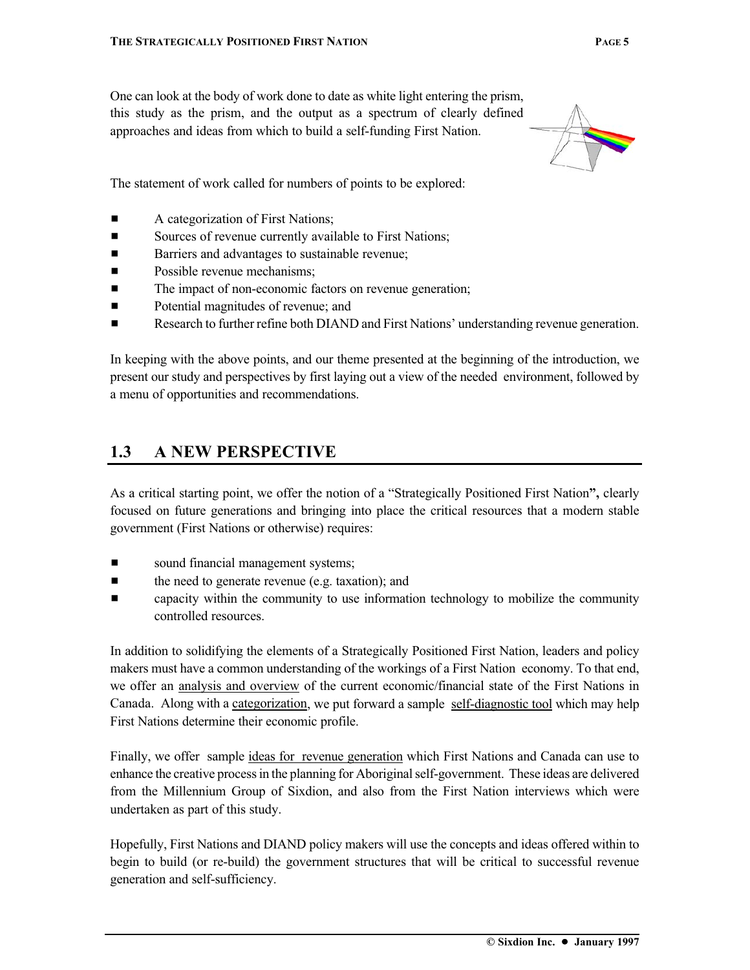One can look at the body of work done to date as white light entering the prism, this study as the prism, and the output as a spectrum of clearly defined approaches and ideas from which to build a self-funding First Nation.



The statement of work called for numbers of points to be explored:

- A categorization of First Nations;
- Sources of revenue currently available to First Nations;
- Barriers and advantages to sustainable revenue;
- **Exercise** Possible revenue mechanisms:
- The impact of non-economic factors on revenue generation;
- **Exercise 2.1** Potential magnitudes of revenue; and
- **Exerche 1** Research to further refine both DIAND and First Nations' understanding revenue generation.

In keeping with the above points, and our theme presented at the beginning of the introduction, we present our study and perspectives by first laying out a view of the needed environment, followed by a menu of opportunities and recommendations.

#### **1.3 A NEW PERSPECTIVE**

As a critical starting point, we offer the notion of a "Strategically Positioned First Nation**",** clearly focused on future generations and bringing into place the critical resources that a modern stable government (First Nations or otherwise) requires:

- **Exercise 1** sound financial management systems;
- $\blacksquare$  the need to generate revenue (e.g. taxation); and
- capacity within the community to use information technology to mobilize the community controlled resources.

In addition to solidifying the elements of a Strategically Positioned First Nation, leaders and policy makers must have a common understanding of the workings of a First Nation economy. To that end, we offer an analysis and overview of the current economic/financial state of the First Nations in Canada. Along with a categorization, we put forward a sample self-diagnostic tool which may help First Nations determine their economic profile.

Finally, we offer sample ideas for revenue generation which First Nations and Canada can use to enhance the creative process in the planning for Aboriginal self-government. These ideas are delivered from the Millennium Group of Sixdion, and also from the First Nation interviews which were undertaken as part of this study.

Hopefully, First Nations and DIAND policy makers will use the concepts and ideas offered within to begin to build (or re-build) the government structures that will be critical to successful revenue generation and self-sufficiency.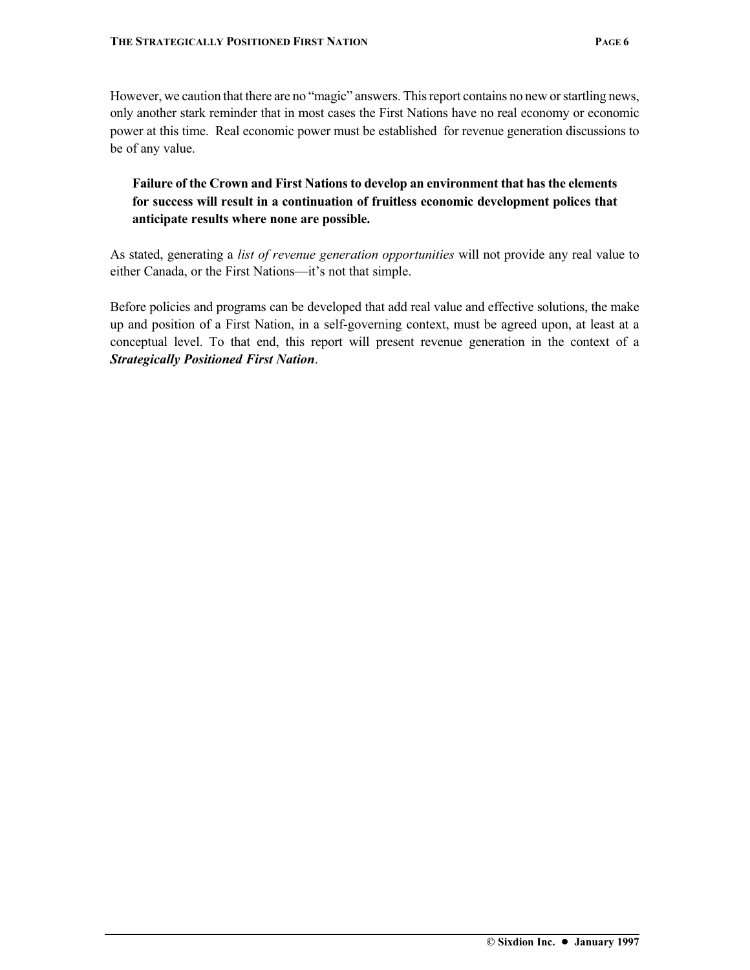However, we caution that there are no "magic" answers. This report contains no new or startling news, only another stark reminder that in most cases the First Nations have no real economy or economic power at this time. Real economic power must be established for revenue generation discussions to be of any value.

#### **Failure of the Crown and First Nations to develop an environment that has the elements for success will result in a continuation of fruitless economic development polices that anticipate results where none are possible.**

As stated, generating a *list of revenue generation opportunities* will not provide any real value to either Canada, or the First Nations—it's not that simple.

Before policies and programs can be developed that add real value and effective solutions, the make up and position of a First Nation, in a self-governing context, must be agreed upon, at least at a conceptual level. To that end, this report will present revenue generation in the context of a *Strategically Positioned First Nation*.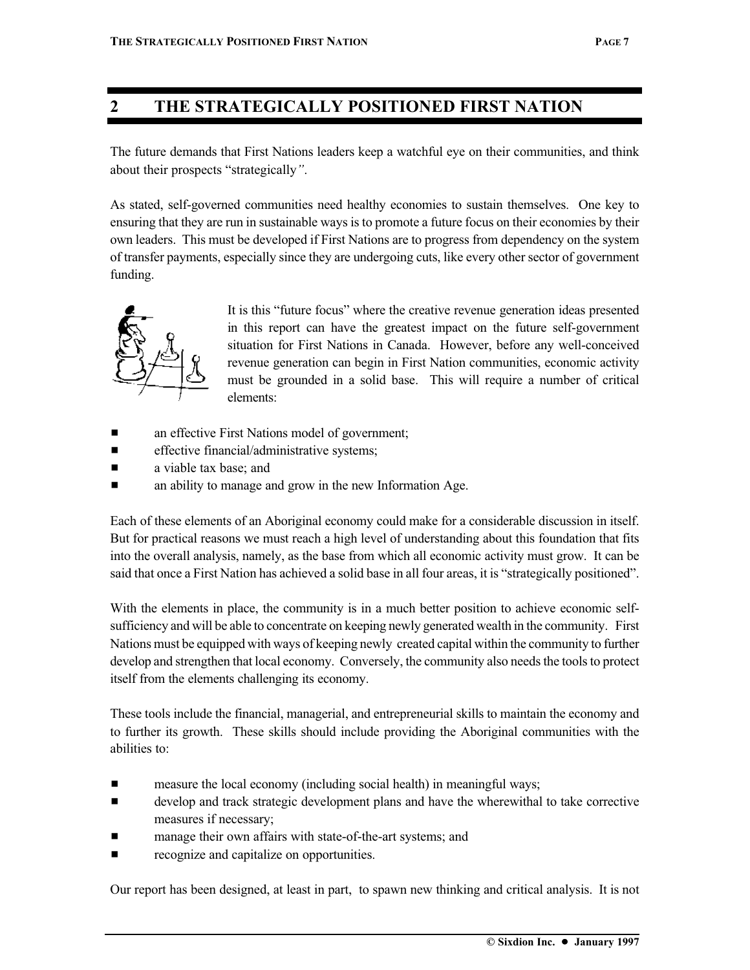### **2 THE STRATEGICALLY POSITIONED FIRST NATION**

The future demands that First Nations leaders keep a watchful eye on their communities, and think about their prospects "strategically*"*.

As stated, self-governed communities need healthy economies to sustain themselves. One key to ensuring that they are run in sustainable ways is to promote a future focus on their economies by their own leaders. This must be developed if First Nations are to progress from dependency on the system of transfer payments, especially since they are undergoing cuts, like every other sector of government funding.



It is this "future focus" where the creative revenue generation ideas presented in this report can have the greatest impact on the future self-government situation for First Nations in Canada. However, before any well-conceived revenue generation can begin in First Nation communities, economic activity must be grounded in a solid base. This will require a number of critical elements:

- an effective First Nations model of government;
- $\blacksquare$  effective financial/administrative systems;
- $\blacksquare$  a viable tax base; and
- $\blacksquare$  an ability to manage and grow in the new Information Age.

Each of these elements of an Aboriginal economy could make for a considerable discussion in itself. But for practical reasons we must reach a high level of understanding about this foundation that fits into the overall analysis, namely, as the base from which all economic activity must grow. It can be said that once a First Nation has achieved a solid base in all four areas, it is "strategically positioned".

With the elements in place, the community is in a much better position to achieve economic selfsufficiency and will be able to concentrate on keeping newly generated wealth in the community. First Nations must be equipped with ways of keeping newly created capital within the community to further develop and strengthen that local economy. Conversely, the community also needs the tools to protect itself from the elements challenging its economy.

These tools include the financial, managerial, and entrepreneurial skills to maintain the economy and to further its growth. These skills should include providing the Aboriginal communities with the abilities to:

- **Example 3** measure the local economy (including social health) in meaningful ways;
- $\blacksquare$  develop and track strategic development plans and have the wherewithal to take corrective measures if necessary;
- manage their own affairs with state-of-the-art systems; and
- **Exercise** recognize and capitalize on opportunities.

Our report has been designed, at least in part, to spawn new thinking and critical analysis. It is not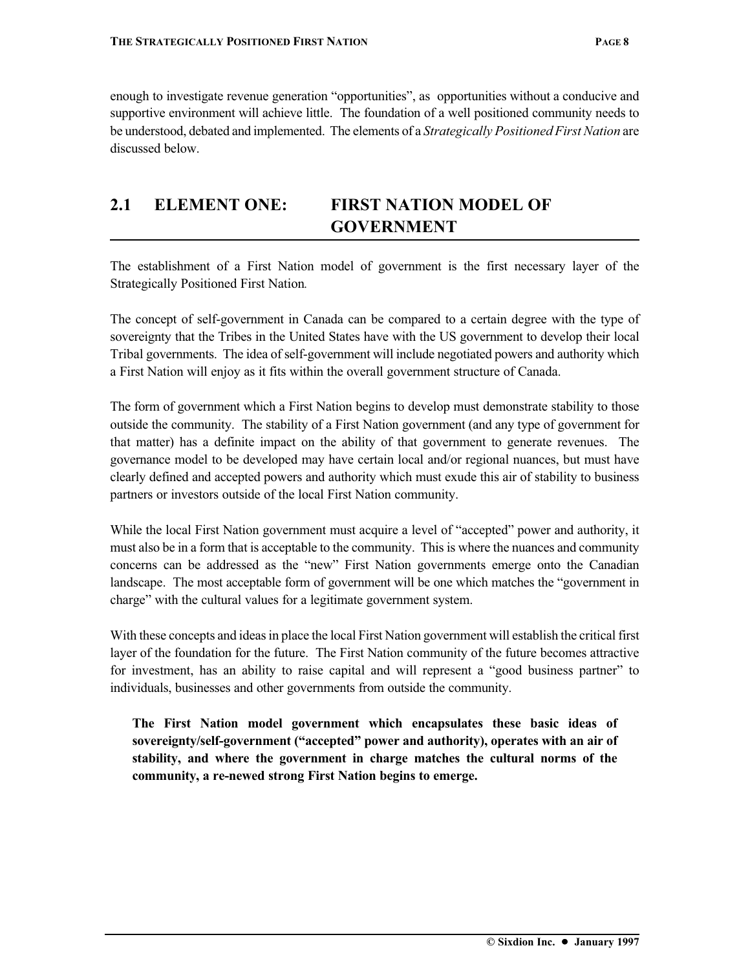enough to investigate revenue generation "opportunities", as opportunities without a conducive and supportive environment will achieve little. The foundation of a well positioned community needs to be understood, debated and implemented. The elements of a *Strategically Positioned First Nation* are discussed below.

## **2.1 ELEMENT ONE: FIRST NATION MODEL OF GOVERNMENT**

The establishment of a First Nation model of government is the first necessary layer of the Strategically Positioned First Nation*.*

The concept of self-government in Canada can be compared to a certain degree with the type of sovereignty that the Tribes in the United States have with the US government to develop their local Tribal governments. The idea of self-government will include negotiated powers and authority which a First Nation will enjoy as it fits within the overall government structure of Canada.

The form of government which a First Nation begins to develop must demonstrate stability to those outside the community. The stability of a First Nation government (and any type of government for that matter) has a definite impact on the ability of that government to generate revenues. The governance model to be developed may have certain local and/or regional nuances, but must have clearly defined and accepted powers and authority which must exude this air of stability to business partners or investors outside of the local First Nation community.

While the local First Nation government must acquire a level of "accepted" power and authority, it must also be in a form that is acceptable to the community. This is where the nuances and community concerns can be addressed as the "new" First Nation governments emerge onto the Canadian landscape. The most acceptable form of government will be one which matches the "government in charge" with the cultural values for a legitimate government system.

With these concepts and ideas in place the local First Nation government will establish the critical first layer of the foundation for the future. The First Nation community of the future becomes attractive for investment, has an ability to raise capital and will represent a "good business partner" to individuals, businesses and other governments from outside the community.

**The First Nation model government which encapsulates these basic ideas of sovereignty/self-government ("accepted" power and authority), operates with an air of stability, and where the government in charge matches the cultural norms of the community, a re-newed strong First Nation begins to emerge.**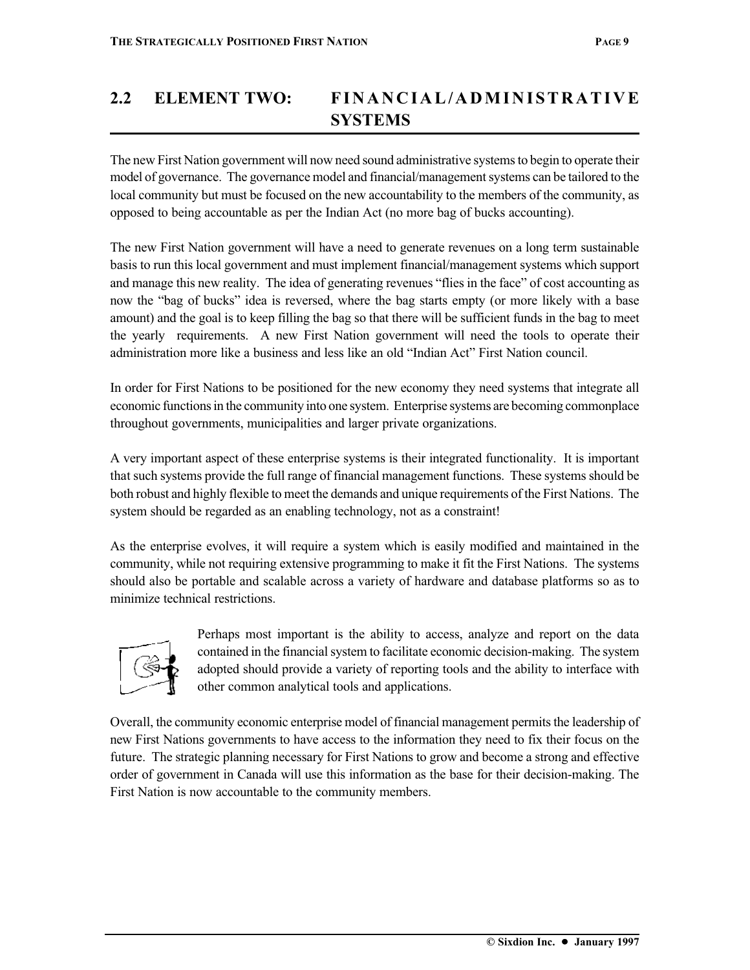## **2.2 ELEMENT TWO: FINANCIAL/ADMINISTRATIVE SYSTEMS**

The new First Nation government will now need sound administrative systems to begin to operate their model of governance. The governance model and financial/management systems can be tailored to the local community but must be focused on the new accountability to the members of the community, as opposed to being accountable as per the Indian Act (no more bag of bucks accounting).

The new First Nation government will have a need to generate revenues on a long term sustainable basis to run this local government and must implement financial/management systems which support and manage this new reality. The idea of generating revenues "flies in the face" of cost accounting as now the "bag of bucks" idea is reversed, where the bag starts empty (or more likely with a base amount) and the goal is to keep filling the bag so that there will be sufficient funds in the bag to meet the yearly requirements. A new First Nation government will need the tools to operate their administration more like a business and less like an old "Indian Act" First Nation council.

In order for First Nations to be positioned for the new economy they need systems that integrate all economic functions in the community into one system. Enterprise systems are becoming commonplace throughout governments, municipalities and larger private organizations.

A very important aspect of these enterprise systems is their integrated functionality. It is important that such systems provide the full range of financial management functions. These systems should be both robust and highly flexible to meet the demands and unique requirements of the First Nations. The system should be regarded as an enabling technology, not as a constraint!

As the enterprise evolves, it will require a system which is easily modified and maintained in the community, while not requiring extensive programming to make it fit the First Nations. The systems should also be portable and scalable across a variety of hardware and database platforms so as to minimize technical restrictions.



Perhaps most important is the ability to access, analyze and report on the data contained in the financial system to facilitate economic decision-making. The system adopted should provide a variety of reporting tools and the ability to interface with other common analytical tools and applications.

Overall, the community economic enterprise model of financial management permits the leadership of new First Nations governments to have access to the information they need to fix their focus on the future. The strategic planning necessary for First Nations to grow and become a strong and effective order of government in Canada will use this information as the base for their decision-making. The First Nation is now accountable to the community members.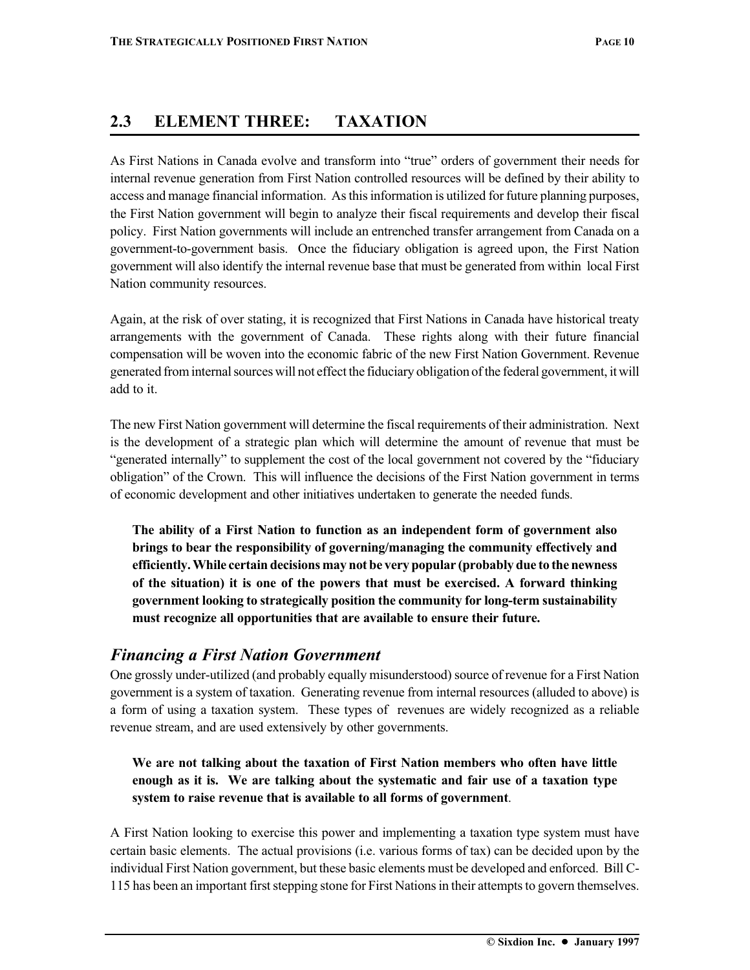#### **2.3 ELEMENT THREE: TAXATION**

As First Nations in Canada evolve and transform into "true" orders of government their needs for internal revenue generation from First Nation controlled resources will be defined by their ability to access and manage financial information. As this information is utilized for future planning purposes, the First Nation government will begin to analyze their fiscal requirements and develop their fiscal policy. First Nation governments will include an entrenched transfer arrangement from Canada on a government-to-government basis. Once the fiduciary obligation is agreed upon, the First Nation government will also identify the internal revenue base that must be generated from within local First Nation community resources.

Again, at the risk of over stating, it is recognized that First Nations in Canada have historical treaty arrangements with the government of Canada. These rights along with their future financial compensation will be woven into the economic fabric of the new First Nation Government. Revenue generated from internal sources will not effect the fiduciary obligation of the federal government, it will add to it.

The new First Nation government will determine the fiscal requirements of their administration. Next is the development of a strategic plan which will determine the amount of revenue that must be "generated internally" to supplement the cost of the local government not covered by the "fiduciary obligation" of the Crown. This will influence the decisions of the First Nation government in terms of economic development and other initiatives undertaken to generate the needed funds.

**The ability of a First Nation to function as an independent form of government also brings to bear the responsibility of governing/managing the community effectively and efficiently. While certain decisions may not be very popular (probably due to the newness of the situation) it is one of the powers that must be exercised. A forward thinking government looking to strategically position the community for long-term sustainability must recognize all opportunities that are available to ensure their future.**

#### *Financing a First Nation Government*

One grossly under-utilized (and probably equally misunderstood) source of revenue for a First Nation government is a system of taxation. Generating revenue from internal resources (alluded to above) is a form of using a taxation system. These types of revenues are widely recognized as a reliable revenue stream, and are used extensively by other governments.

#### **We are not talking about the taxation of First Nation members who often have little enough as it is. We are talking about the systematic and fair use of a taxation type system to raise revenue that is available to all forms of government**.

A First Nation looking to exercise this power and implementing a taxation type system must have certain basic elements. The actual provisions (i.e. various forms of tax) can be decided upon by the individual First Nation government, but these basic elements must be developed and enforced. Bill C-115 has been an important first stepping stone for First Nations in their attempts to govern themselves.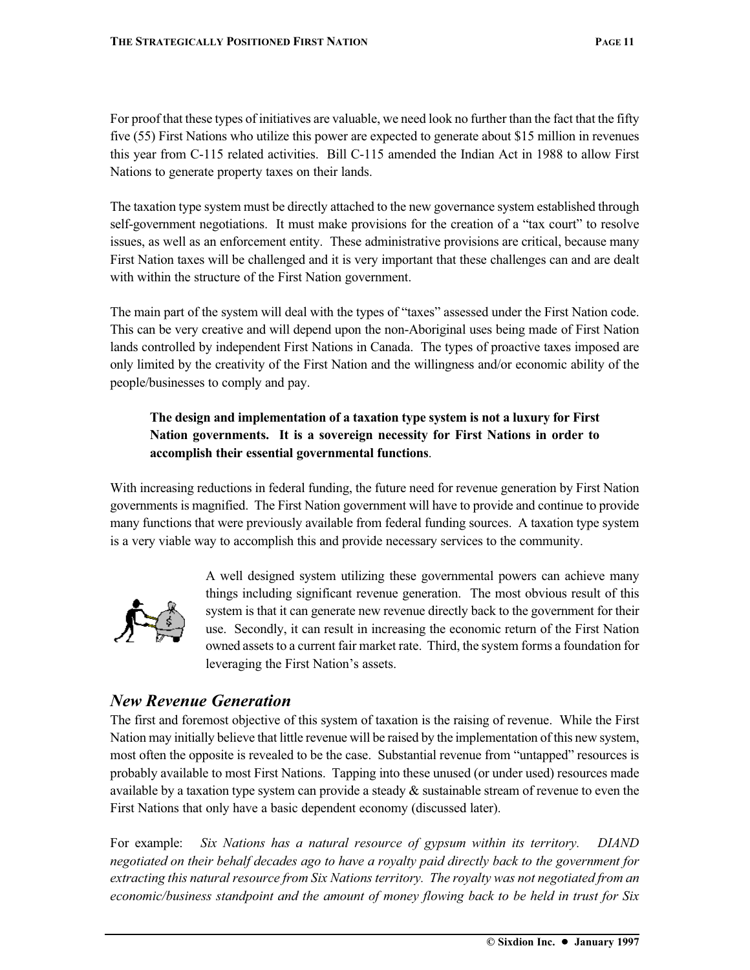For proof that these types of initiatives are valuable, we need look no further than the fact that the fifty five (55) First Nations who utilize this power are expected to generate about \$15 million in revenues this year from C-115 related activities. Bill C-115 amended the Indian Act in 1988 to allow First Nations to generate property taxes on their lands.

The taxation type system must be directly attached to the new governance system established through self-government negotiations. It must make provisions for the creation of a "tax court" to resolve issues, as well as an enforcement entity. These administrative provisions are critical, because many First Nation taxes will be challenged and it is very important that these challenges can and are dealt with within the structure of the First Nation government.

The main part of the system will deal with the types of "taxes" assessed under the First Nation code. This can be very creative and will depend upon the non-Aboriginal uses being made of First Nation lands controlled by independent First Nations in Canada. The types of proactive taxes imposed are only limited by the creativity of the First Nation and the willingness and/or economic ability of the people/businesses to comply and pay.

#### **The design and implementation of a taxation type system is not a luxury for First Nation governments. It is a sovereign necessity for First Nations in order to accomplish their essential governmental functions**.

With increasing reductions in federal funding, the future need for revenue generation by First Nation governments is magnified. The First Nation government will have to provide and continue to provide many functions that were previously available from federal funding sources. A taxation type system is a very viable way to accomplish this and provide necessary services to the community.



A well designed system utilizing these governmental powers can achieve many things including significant revenue generation. The most obvious result of this system is that it can generate new revenue directly back to the government for their use. Secondly, it can result in increasing the economic return of the First Nation owned assets to a current fair market rate. Third, the system forms a foundation for leveraging the First Nation's assets.

#### *New Revenue Generation*

The first and foremost objective of this system of taxation is the raising of revenue. While the First Nation may initially believe that little revenue will be raised by the implementation of this new system, most often the opposite is revealed to be the case. Substantial revenue from "untapped" resources is probably available to most First Nations. Tapping into these unused (or under used) resources made available by a taxation type system can provide a steady  $\&$  sustainable stream of revenue to even the First Nations that only have a basic dependent economy (discussed later).

For example: *Six Nations has a natural resource of gypsum within its territory. DIAND negotiated on their behalf decades ago to have a royalty paid directly back to the government for extracting this natural resource from Six Nations territory. The royalty was not negotiated from an economic/business standpoint and the amount of money flowing back to be held in trust for Six*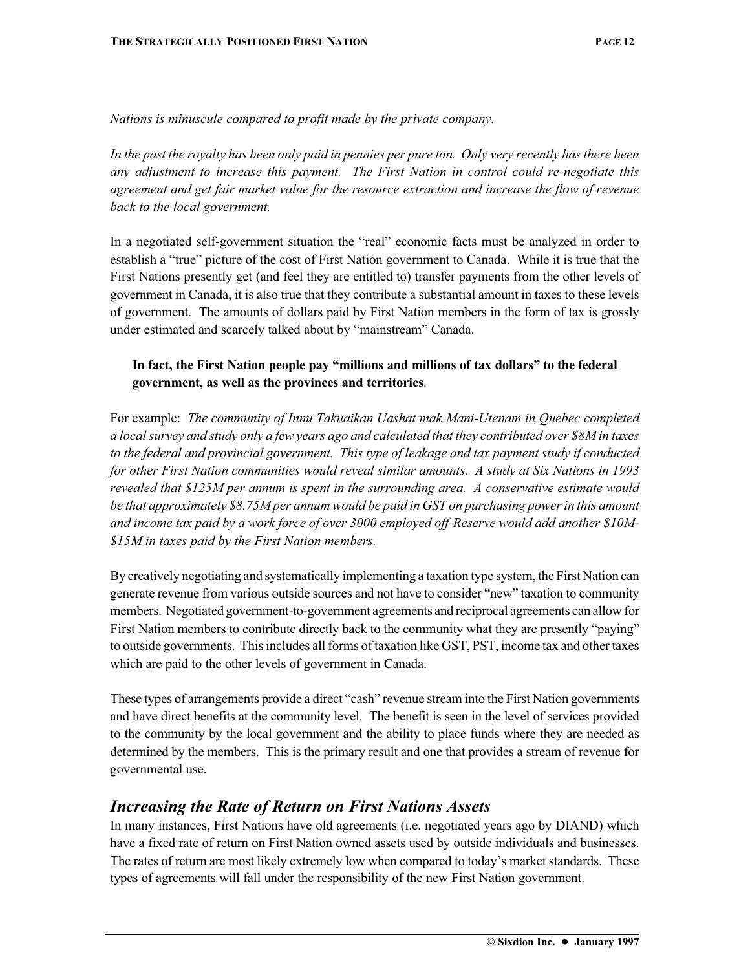*Nations is minuscule compared to profit made by the private company.*

*In the past the royalty has been only paid in pennies per pure ton. Only very recently has there been any adjustment to increase this payment. The First Nation in control could re-negotiate this agreement and get fair market value for the resource extraction and increase the flow of revenue back to the local government.*

In a negotiated self-government situation the "real" economic facts must be analyzed in order to establish a "true" picture of the cost of First Nation government to Canada. While it is true that the First Nations presently get (and feel they are entitled to) transfer payments from the other levels of government in Canada, it is also true that they contribute a substantial amount in taxes to these levels of government. The amounts of dollars paid by First Nation members in the form of tax is grossly under estimated and scarcely talked about by "mainstream" Canada.

#### **In fact, the First Nation people pay "millions and millions of tax dollars" to the federal government, as well as the provinces and territories**.

For example: *The community of Innu Takuaikan Uashat mak Mani-Utenam in Quebec completed a local survey and study only a few years ago and calculated that they contributed over \$8M in taxes to the federal and provincial government. This type of leakage and tax payment study if conducted for other First Nation communities would reveal similar amounts. A study at Six Nations in 1993 revealed that \$125M per annum is spent in the surrounding area. A conservative estimate would be that approximately \$8.75M per annum would be paid in GST on purchasing power in this amount and income tax paid by a work force of over 3000 employed off-Reserve would add another \$10M- \$15M in taxes paid by the First Nation members.*

By creatively negotiating and systematically implementing a taxation type system, the First Nation can generate revenue from various outside sources and not have to consider "new" taxation to community members. Negotiated government-to-government agreements and reciprocal agreements can allow for First Nation members to contribute directly back to the community what they are presently "paying" to outside governments. This includes all forms of taxation like GST, PST, income tax and other taxes which are paid to the other levels of government in Canada.

These types of arrangements provide a direct "cash" revenue stream into the First Nation governments and have direct benefits at the community level. The benefit is seen in the level of services provided to the community by the local government and the ability to place funds where they are needed as determined by the members. This is the primary result and one that provides a stream of revenue for governmental use.

#### *Increasing the Rate of Return on First Nations Assets*

In many instances, First Nations have old agreements (i.e. negotiated years ago by DIAND) which have a fixed rate of return on First Nation owned assets used by outside individuals and businesses. The rates of return are most likely extremely low when compared to today's market standards. These types of agreements will fall under the responsibility of the new First Nation government.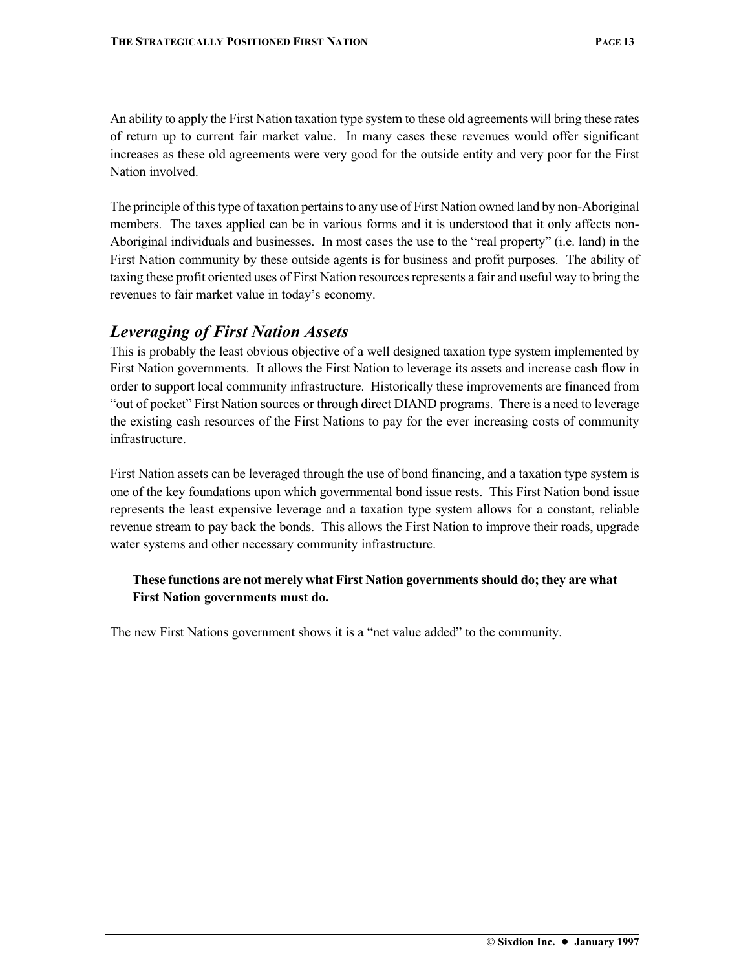An ability to apply the First Nation taxation type system to these old agreements will bring these rates of return up to current fair market value. In many cases these revenues would offer significant increases as these old agreements were very good for the outside entity and very poor for the First Nation involved.

The principle of this type of taxation pertains to any use of First Nation owned land by non-Aboriginal members. The taxes applied can be in various forms and it is understood that it only affects non-Aboriginal individuals and businesses. In most cases the use to the "real property" (i.e. land) in the First Nation community by these outside agents is for business and profit purposes. The ability of taxing these profit oriented uses of First Nation resources represents a fair and useful way to bring the revenues to fair market value in today's economy.

#### *Leveraging of First Nation Assets*

This is probably the least obvious objective of a well designed taxation type system implemented by First Nation governments. It allows the First Nation to leverage its assets and increase cash flow in order to support local community infrastructure. Historically these improvements are financed from "out of pocket" First Nation sources or through direct DIAND programs. There is a need to leverage the existing cash resources of the First Nations to pay for the ever increasing costs of community infrastructure.

First Nation assets can be leveraged through the use of bond financing, and a taxation type system is one of the key foundations upon which governmental bond issue rests. This First Nation bond issue represents the least expensive leverage and a taxation type system allows for a constant, reliable revenue stream to pay back the bonds. This allows the First Nation to improve their roads, upgrade water systems and other necessary community infrastructure.

#### **These functions are not merely what First Nation governments should do; they are what First Nation governments must do.**

The new First Nations government shows it is a "net value added" to the community.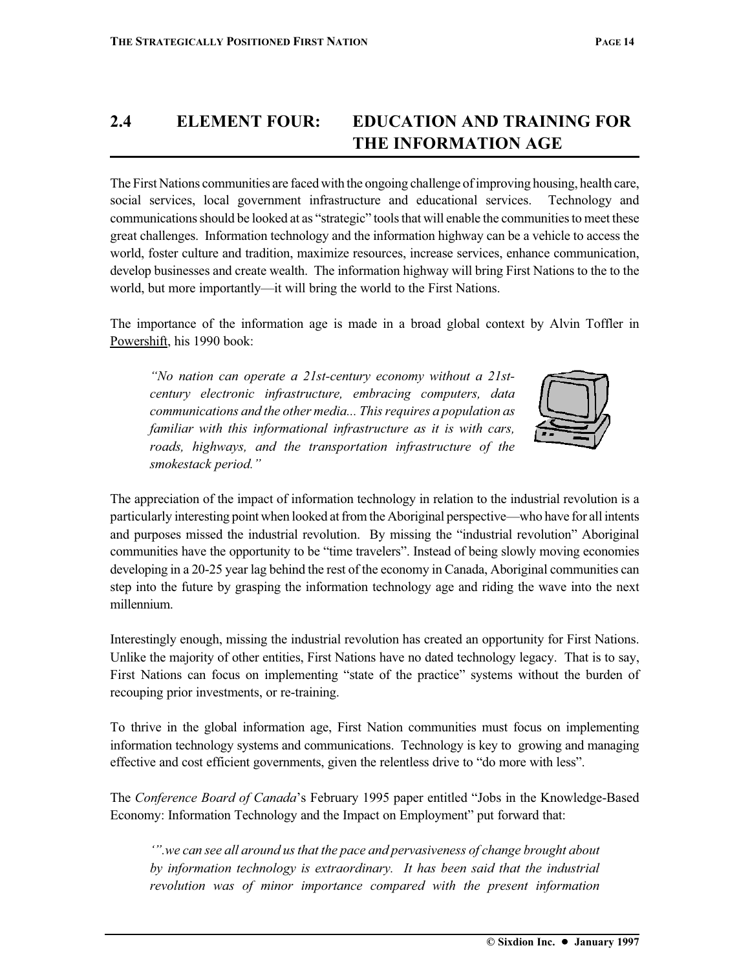## **2.4 ELEMENT FOUR: EDUCATION AND TRAINING FOR THE INFORMATION AGE**

The First Nations communities are faced with the ongoing challenge of improving housing, health care, social services, local government infrastructure and educational services. Technology and communications should be looked at as "strategic" tools that will enable the communities to meet these great challenges. Information technology and the information highway can be a vehicle to access the world, foster culture and tradition, maximize resources, increase services, enhance communication, develop businesses and create wealth. The information highway will bring First Nations to the to the world, but more importantly—it will bring the world to the First Nations.

The importance of the information age is made in a broad global context by Alvin Toffler in Powershift, his 1990 book:

*"No nation can operate a 21st-century economy without a 21stcentury electronic infrastructure, embracing computers, data communications and the other media... This requires a population as familiar with this informational infrastructure as it is with cars, roads, highways, and the transportation infrastructure of the smokestack period."*



The appreciation of the impact of information technology in relation to the industrial revolution is a particularly interesting point when looked at from the Aboriginal perspective—who have for all intents and purposes missed the industrial revolution. By missing the "industrial revolution" Aboriginal communities have the opportunity to be "time travelers". Instead of being slowly moving economies developing in a 20-25 year lag behind the rest of the economy in Canada, Aboriginal communities can step into the future by grasping the information technology age and riding the wave into the next millennium.

Interestingly enough, missing the industrial revolution has created an opportunity for First Nations. Unlike the majority of other entities, First Nations have no dated technology legacy. That is to say, First Nations can focus on implementing "state of the practice" systems without the burden of recouping prior investments, or re-training.

To thrive in the global information age, First Nation communities must focus on implementing information technology systems and communications. Technology is key to growing and managing effective and cost efficient governments, given the relentless drive to "do more with less".

The *Conference Board of Canada*'s February 1995 paper entitled "Jobs in the Knowledge-Based Economy: Information Technology and the Impact on Employment" put forward that:

*'".we can see all around us that the pace and pervasiveness of change brought about by information technology is extraordinary. It has been said that the industrial revolution was of minor importance compared with the present information*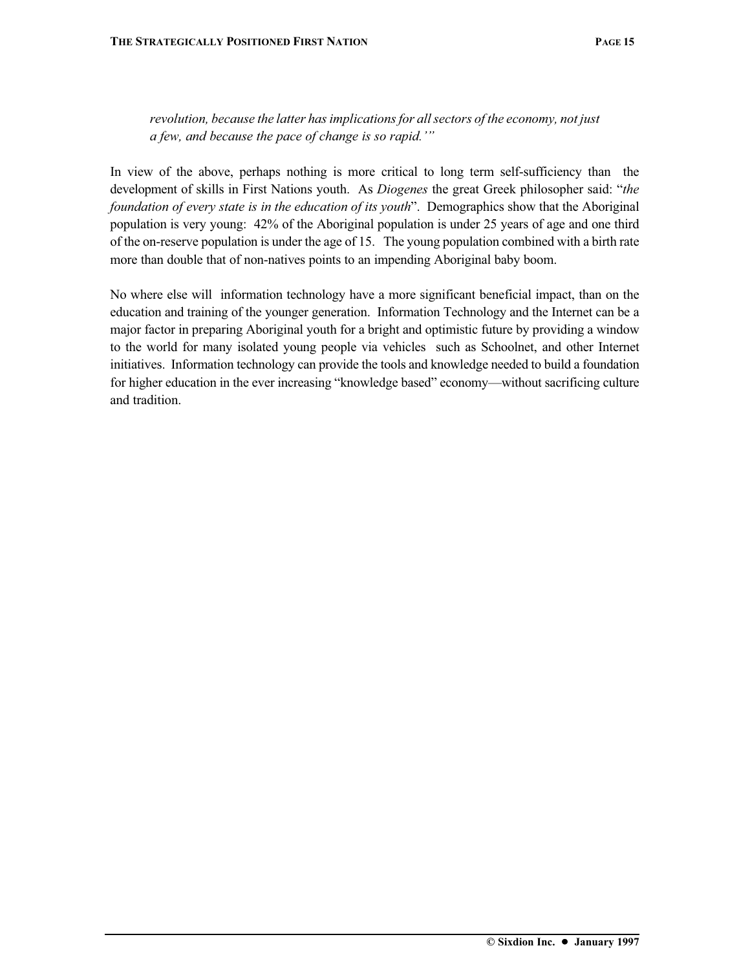*revolution, because the latter has implications for all sectors of the economy, not just a few, and because the pace of change is so rapid.'"*

In view of the above, perhaps nothing is more critical to long term self-sufficiency than the development of skills in First Nations youth. As *Diogenes* the great Greek philosopher said: "*the foundation of every state is in the education of its youth*". Demographics show that the Aboriginal population is very young: 42% of the Aboriginal population is under 25 years of age and one third of the on-reserve population is under the age of 15. The young population combined with a birth rate more than double that of non-natives points to an impending Aboriginal baby boom.

No where else will information technology have a more significant beneficial impact, than on the education and training of the younger generation. Information Technology and the Internet can be a major factor in preparing Aboriginal youth for a bright and optimistic future by providing a window to the world for many isolated young people via vehicles such as Schoolnet, and other Internet initiatives. Information technology can provide the tools and knowledge needed to build a foundation for higher education in the ever increasing "knowledge based" economy—without sacrificing culture and tradition.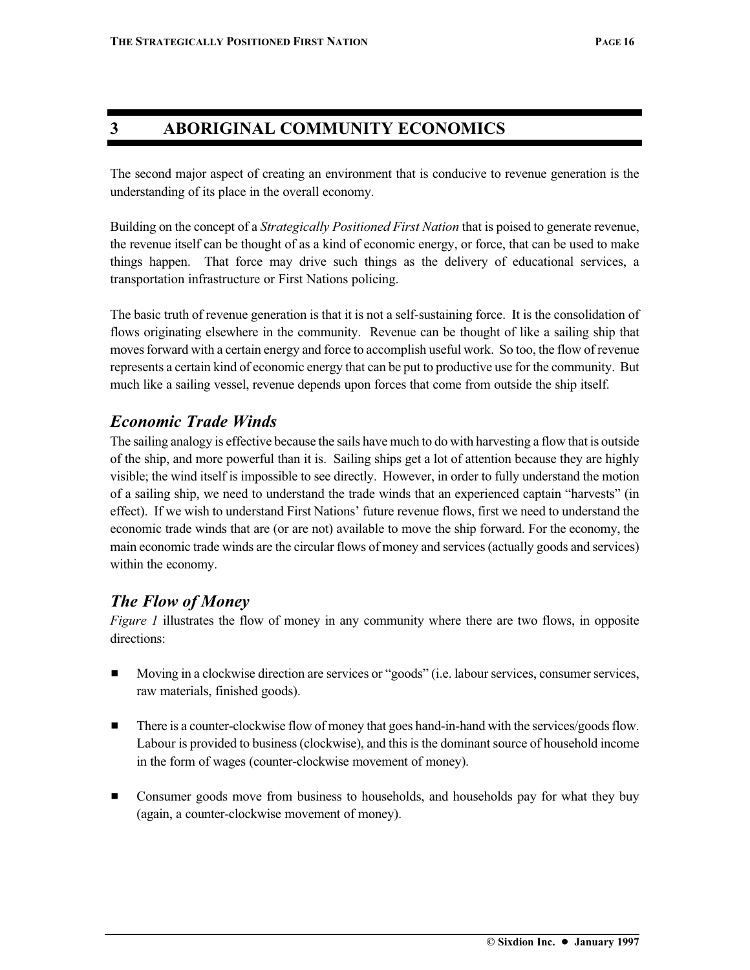#### **3 ABORIGINAL COMMUNITY ECONOMICS**

The second major aspect of creating an environment that is conducive to revenue generation is the understanding of its place in the overall economy.

Building on the concept of a *Strategically Positioned First Nation* that is poised to generate revenue, the revenue itself can be thought of as a kind of economic energy, or force, that can be used to make things happen. That force may drive such things as the delivery of educational services, a transportation infrastructure or First Nations policing.

The basic truth of revenue generation is that it is not a self-sustaining force. It is the consolidation of flows originating elsewhere in the community. Revenue can be thought of like a sailing ship that moves forward with a certain energy and force to accomplish useful work. So too, the flow of revenue represents a certain kind of economic energy that can be put to productive use for the community. But much like a sailing vessel, revenue depends upon forces that come from outside the ship itself.

#### *Economic Trade Winds*

The sailing analogy is effective because the sails have much to do with harvesting a flow that is outside of the ship, and more powerful than it is. Sailing ships get a lot of attention because they are highly visible; the wind itself is impossible to see directly. However, in order to fully understand the motion of a sailing ship, we need to understand the trade winds that an experienced captain "harvests" (in effect). If we wish to understand First Nations' future revenue flows, first we need to understand the economic trade winds that are (or are not) available to move the ship forward. For the economy, the main economic trade winds are the circular flows of money and services (actually goods and services) within the economy.

### *The Flow of Money*

*Figure 1* illustrates the flow of money in any community where there are two flows, in opposite directions:

- **Moving in a clockwise direction are services or "goods" (i.e. labour services, consumer services,** raw materials, finished goods).
- **IF There is a counter-clockwise flow of money that goes hand-in-hand with the services/goods flow.** Labour is provided to business (clockwise), and this is the dominant source of household income in the form of wages (counter-clockwise movement of money).
- **EXECONSUMER** Consumer goods move from business to households, and households pay for what they buy (again, a counter-clockwise movement of money).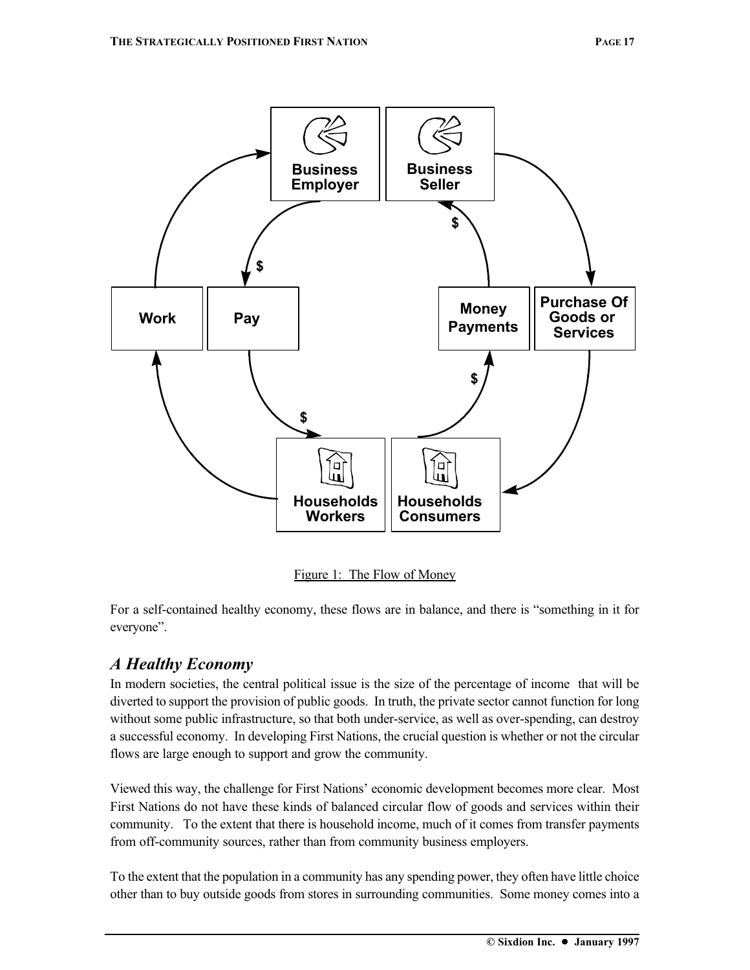

Figure 1: The Flow of Money

For a self-contained healthy economy, these flows are in balance, and there is "something in it for everyone".

## *A Healthy Economy*

In modern societies, the central political issue is the size of the percentage of income that will be diverted to support the provision of public goods. In truth, the private sector cannot function for long without some public infrastructure, so that both under-service, as well as over-spending, can destroy a successful economy. In developing First Nations, the crucial question is whether or not the circular flows are large enough to support and grow the community.

Viewed this way, the challenge for First Nations' economic development becomes more clear. Most First Nations do not have these kinds of balanced circular flow of goods and services within their community. To the extent that there is household income, much of it comes from transfer payments from off-community sources, rather than from community business employers.

To the extent that the population in a community has any spending power, they often have little choice other than to buy outside goods from stores in surrounding communities. Some money comes into a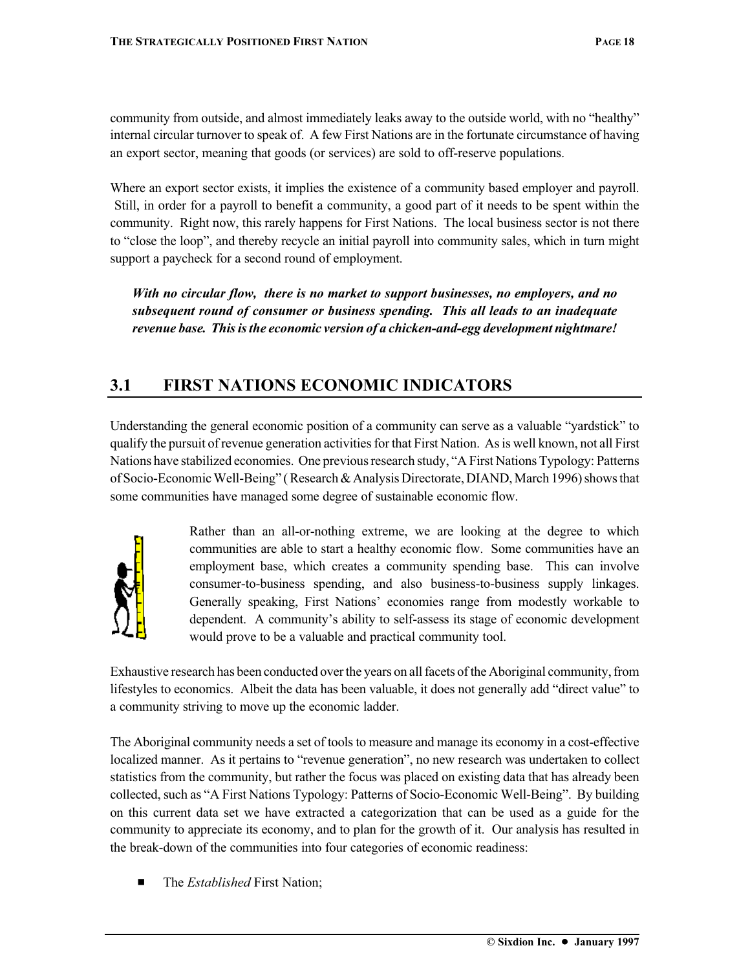community from outside, and almost immediately leaks away to the outside world, with no "healthy" internal circular turnover to speak of. A few First Nations are in the fortunate circumstance of having an export sector, meaning that goods (or services) are sold to off-reserve populations.

Where an export sector exists, it implies the existence of a community based employer and payroll. Still, in order for a payroll to benefit a community, a good part of it needs to be spent within the community. Right now, this rarely happens for First Nations. The local business sector is not there to "close the loop", and thereby recycle an initial payroll into community sales, which in turn might support a paycheck for a second round of employment.

*With no circular flow, there is no market to support businesses, no employers, and no subsequent round of consumer or business spending. This all leads to an inadequate revenue base. This is the economic version of a chicken-and-egg development nightmare!*

## **3.1 FIRST NATIONS ECONOMIC INDICATORS**

Understanding the general economic position of a community can serve as a valuable "yardstick" to qualify the pursuit of revenue generation activities for that First Nation. As is well known, not all First Nations have stabilized economies. One previous research study, "A First Nations Typology: Patterns of Socio-Economic Well-Being" ( Research & Analysis Directorate, DIAND, March 1996) shows that some communities have managed some degree of sustainable economic flow.



Rather than an all-or-nothing extreme, we are looking at the degree to which communities are able to start a healthy economic flow. Some communities have an employment base, which creates a community spending base. This can involve consumer-to-business spending, and also business-to-business supply linkages. Generally speaking, First Nations' economies range from modestly workable to dependent. A community's ability to self-assess its stage of economic development would prove to be a valuable and practical community tool.

Exhaustive research has been conducted over the years on all facets of the Aboriginal community, from lifestyles to economics. Albeit the data has been valuable, it does not generally add "direct value" to a community striving to move up the economic ladder.

The Aboriginal community needs a set of tools to measure and manage its economy in a cost-effective localized manner. As it pertains to "revenue generation", no new research was undertaken to collect statistics from the community, but rather the focus was placed on existing data that has already been collected, such as "A First Nations Typology: Patterns of Socio-Economic Well-Being". By building on this current data set we have extracted a categorization that can be used as a guide for the community to appreciate its economy, and to plan for the growth of it. Our analysis has resulted in the break-down of the communities into four categories of economic readiness:

The *Established* First Nation;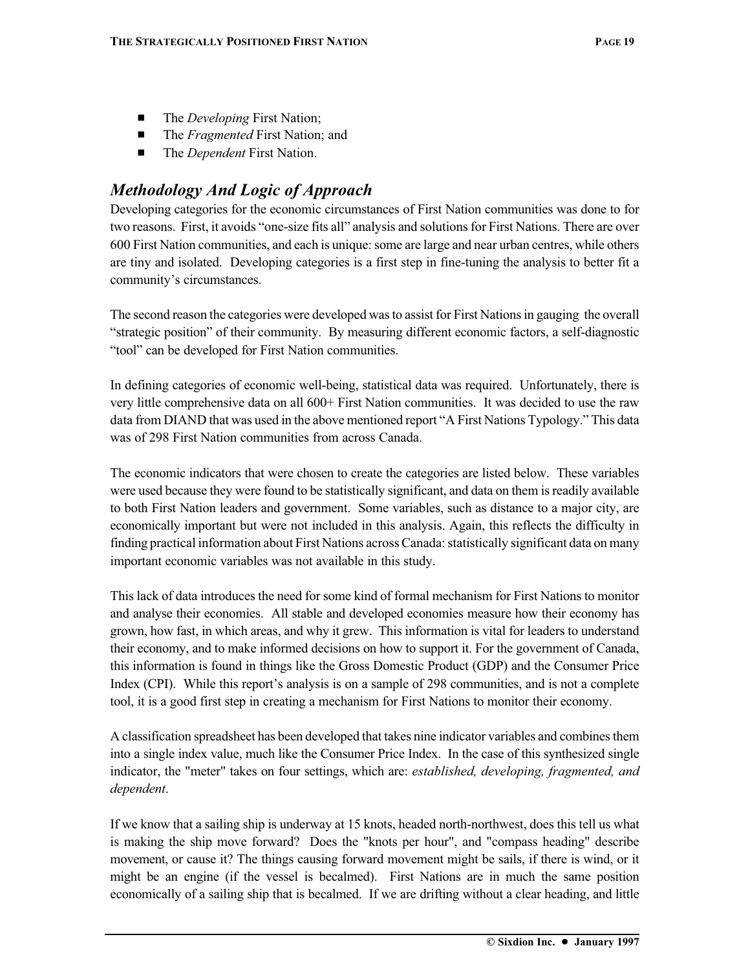- The *Developing* First Nation;
- The *Fragmented* First Nation; and
- The *Dependent* First Nation.

## *Methodology And Logic of Approach*

Developing categories for the economic circumstances of First Nation communities was done to for two reasons. First, it avoids "one-size fits all" analysis and solutions for First Nations. There are over 600 First Nation communities, and each is unique: some are large and near urban centres, while others are tiny and isolated. Developing categories is a first step in fine-tuning the analysis to better fit a community's circumstances.

The second reason the categories were developed was to assist for First Nations in gauging the overall "strategic position" of their community. By measuring different economic factors, a self-diagnostic "tool" can be developed for First Nation communities.

In defining categories of economic well-being, statistical data was required. Unfortunately, there is very little comprehensive data on all 600+ First Nation communities. It was decided to use the raw data from DIAND that was used in the above mentioned report "A First Nations Typology." This data was of 298 First Nation communities from across Canada.

The economic indicators that were chosen to create the categories are listed below. These variables were used because they were found to be statistically significant, and data on them is readily available to both First Nation leaders and government. Some variables, such as distance to a major city, are economically important but were not included in this analysis. Again, this reflects the difficulty in finding practical information about First Nations across Canada: statistically significant data on many important economic variables was not available in this study.

This lack of data introduces the need for some kind of formal mechanism for First Nations to monitor and analyse their economies. All stable and developed economies measure how their economy has grown, how fast, in which areas, and why it grew. This information is vital for leaders to understand their economy, and to make informed decisions on how to support it. For the government of Canada, this information is found in things like the Gross Domestic Product (GDP) and the Consumer Price Index (CPI). While this report's analysis is on a sample of 298 communities, and is not a complete tool, it is a good first step in creating a mechanism for First Nations to monitor their economy.

A classification spreadsheet has been developed that takes nine indicator variables and combines them into a single index value, much like the Consumer Price Index. In the case of this synthesized single indicator, the "meter" takes on four settings, which are: *established, developing, fragmented, and dependent*.

If we know that a sailing ship is underway at 15 knots, headed north-northwest, does this tell us what is making the ship move forward? Does the "knots per hour", and "compass heading" describe movement, or cause it? The things causing forward movement might be sails, if there is wind, or it might be an engine (if the vessel is becalmed). First Nations are in much the same position economically of a sailing ship that is becalmed. If we are drifting without a clear heading, and little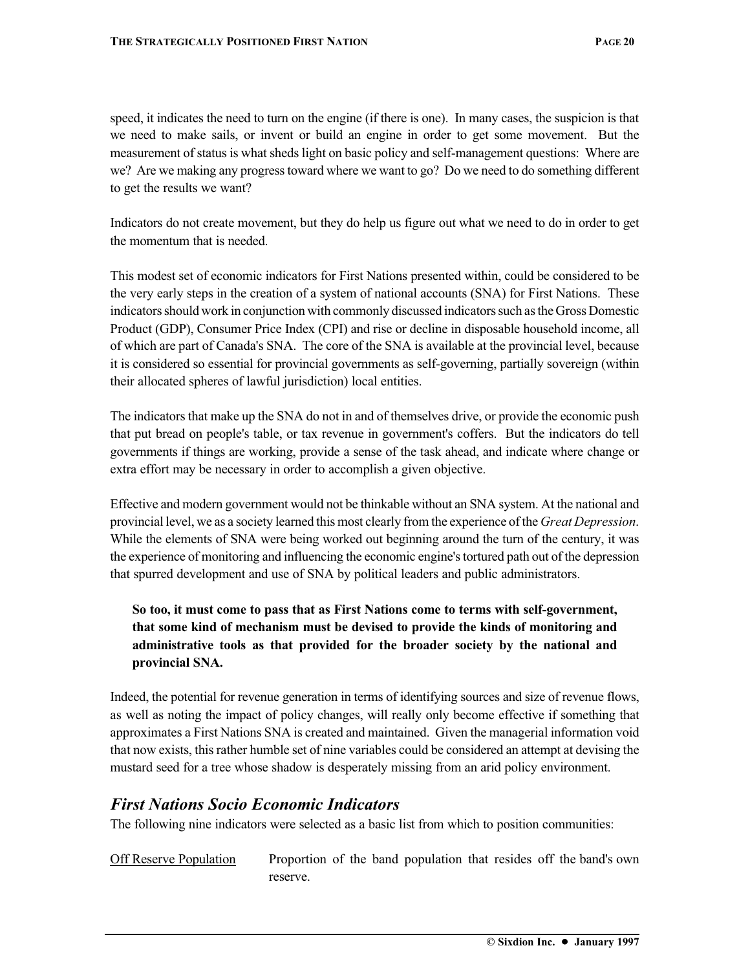speed, it indicates the need to turn on the engine (if there is one). In many cases, the suspicion is that we need to make sails, or invent or build an engine in order to get some movement. But the measurement of status is what sheds light on basic policy and self-management questions: Where are we? Are we making any progress toward where we want to go? Do we need to do something different to get the results we want?

Indicators do not create movement, but they do help us figure out what we need to do in order to get the momentum that is needed.

This modest set of economic indicators for First Nations presented within, could be considered to be the very early steps in the creation of a system of national accounts (SNA) for First Nations. These indicators should work in conjunction with commonly discussed indicators such as the Gross Domestic Product (GDP), Consumer Price Index (CPI) and rise or decline in disposable household income, all of which are part of Canada's SNA. The core of the SNA is available at the provincial level, because it is considered so essential for provincial governments as self-governing, partially sovereign (within their allocated spheres of lawful jurisdiction) local entities.

The indicators that make up the SNA do not in and of themselves drive, or provide the economic push that put bread on people's table, or tax revenue in government's coffers. But the indicators do tell governments if things are working, provide a sense of the task ahead, and indicate where change or extra effort may be necessary in order to accomplish a given objective.

Effective and modern government would not be thinkable without an SNA system. At the national and provincial level, we as a society learned this most clearly from the experience of the *Great Depression*. While the elements of SNA were being worked out beginning around the turn of the century, it was the experience of monitoring and influencing the economic engine's tortured path out of the depression that spurred development and use of SNA by political leaders and public administrators.

#### **So too, it must come to pass that as First Nations come to terms with self-government, that some kind of mechanism must be devised to provide the kinds of monitoring and administrative tools as that provided for the broader society by the national and provincial SNA.**

Indeed, the potential for revenue generation in terms of identifying sources and size of revenue flows, as well as noting the impact of policy changes, will really only become effective if something that approximates a First Nations SNA is created and maintained. Given the managerial information void that now exists, this rather humble set of nine variables could be considered an attempt at devising the mustard seed for a tree whose shadow is desperately missing from an arid policy environment.

#### *First Nations Socio Economic Indicators*

The following nine indicators were selected as a basic list from which to position communities:

Off Reserve Population Proportion of the band population that resides off the band's own reserve.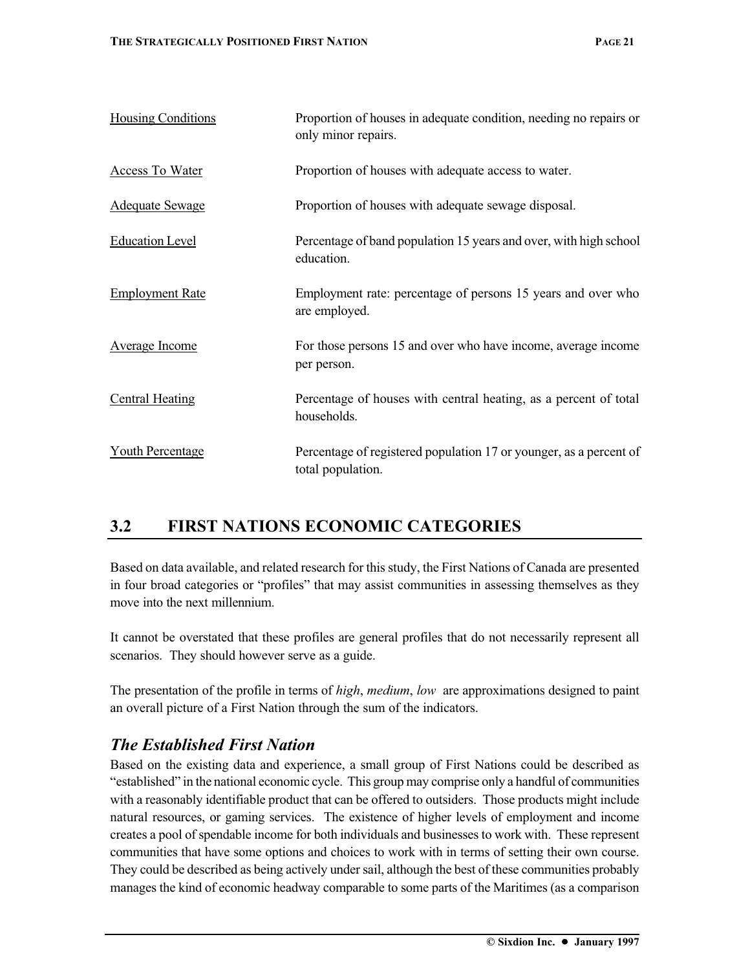| <b>Housing Conditions</b> | Proportion of houses in adequate condition, needing no repairs or<br>only minor repairs. |
|---------------------------|------------------------------------------------------------------------------------------|
| <b>Access To Water</b>    | Proportion of houses with adequate access to water.                                      |
| Adequate Sewage           | Proportion of houses with adequate sewage disposal.                                      |
| <b>Education Level</b>    | Percentage of band population 15 years and over, with high school<br>education.          |
| <b>Employment Rate</b>    | Employment rate: percentage of persons 15 years and over who<br>are employed.            |
| Average Income            | For those persons 15 and over who have income, average income<br>per person.             |
| <b>Central Heating</b>    | Percentage of houses with central heating, as a percent of total<br>households.          |
| <b>Youth Percentage</b>   | Percentage of registered population 17 or younger, as a percent of<br>total population.  |
|                           |                                                                                          |

## **3.2 FIRST NATIONS ECONOMIC CATEGORIES**

Based on data available, and related research for this study, the First Nations of Canada are presented in four broad categories or "profiles" that may assist communities in assessing themselves as they move into the next millennium.

It cannot be overstated that these profiles are general profiles that do not necessarily represent all scenarios. They should however serve as a guide.

The presentation of the profile in terms of *high*, *medium*, *low* are approximations designed to paint an overall picture of a First Nation through the sum of the indicators.

#### *The Established First Nation*

Based on the existing data and experience, a small group of First Nations could be described as "established" in the national economic cycle. This group may comprise only a handful of communities with a reasonably identifiable product that can be offered to outsiders. Those products might include natural resources, or gaming services. The existence of higher levels of employment and income creates a pool of spendable income for both individuals and businesses to work with. These represent communities that have some options and choices to work with in terms of setting their own course. They could be described as being actively under sail, although the best of these communities probably manages the kind of economic headway comparable to some parts of the Maritimes (as a comparison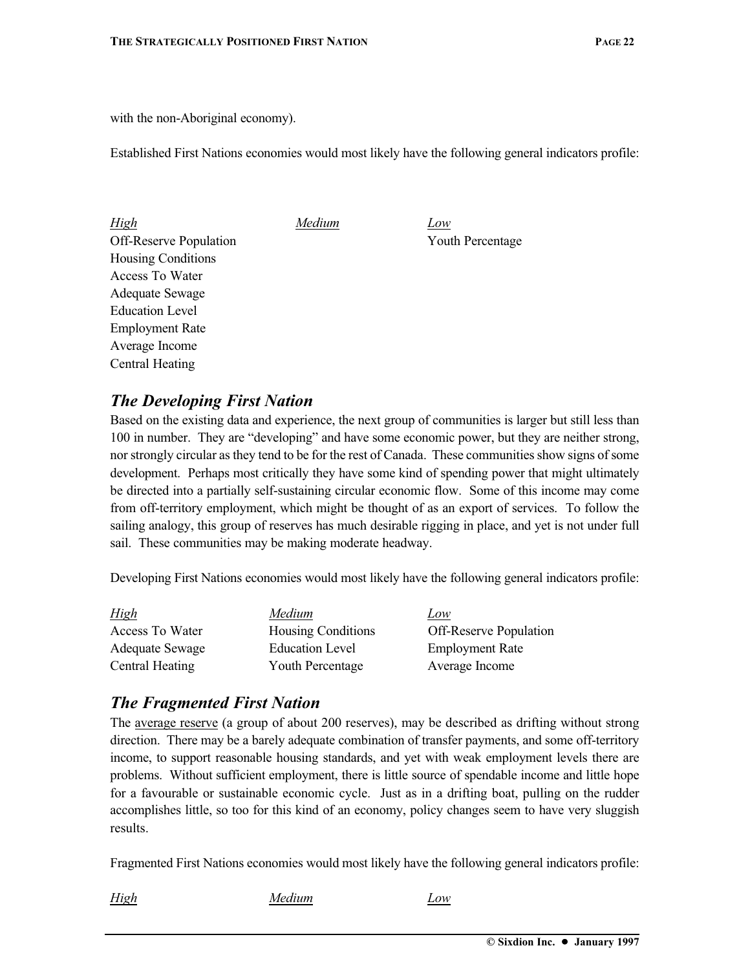with the non-Aboriginal economy).

Established First Nations economies would most likely have the following general indicators profile:

| <b>High</b>                   | Medium | Low              |
|-------------------------------|--------|------------------|
| <b>Off-Reserve Population</b> |        | Youth Percentage |
| <b>Housing Conditions</b>     |        |                  |
| Access To Water               |        |                  |
| Adequate Sewage               |        |                  |
| <b>Education Level</b>        |        |                  |
| <b>Employment Rate</b>        |        |                  |
| Average Income                |        |                  |
| Central Heating               |        |                  |

#### *The Developing First Nation*

Based on the existing data and experience, the next group of communities is larger but still less than 100 in number. They are "developing" and have some economic power, but they are neither strong, nor strongly circular as they tend to be for the rest of Canada. These communities show signs of some development. Perhaps most critically they have some kind of spending power that might ultimately be directed into a partially self-sustaining circular economic flow. Some of this income may come from off-territory employment, which might be thought of as an export of services. To follow the sailing analogy, this group of reserves has much desirable rigging in place, and yet is not under full sail. These communities may be making moderate headway.

Developing First Nations economies would most likely have the following general indicators profile:

| High                   | Medium                    | Low                           |
|------------------------|---------------------------|-------------------------------|
| Access To Water        | <b>Housing Conditions</b> | <b>Off-Reserve Population</b> |
| <b>Adequate Sewage</b> | <b>Education Level</b>    | <b>Employment Rate</b>        |
| Central Heating        | <b>Youth Percentage</b>   | Average Income                |

#### *The Fragmented First Nation*

The average reserve (a group of about 200 reserves), may be described as drifting without strong direction. There may be a barely adequate combination of transfer payments, and some off-territory income, to support reasonable housing standards, and yet with weak employment levels there are problems. Without sufficient employment, there is little source of spendable income and little hope for a favourable or sustainable economic cycle. Just as in a drifting boat, pulling on the rudder accomplishes little, so too for this kind of an economy, policy changes seem to have very sluggish results.

Fragmented First Nations economies would most likely have the following general indicators profile:

*High Medium Low*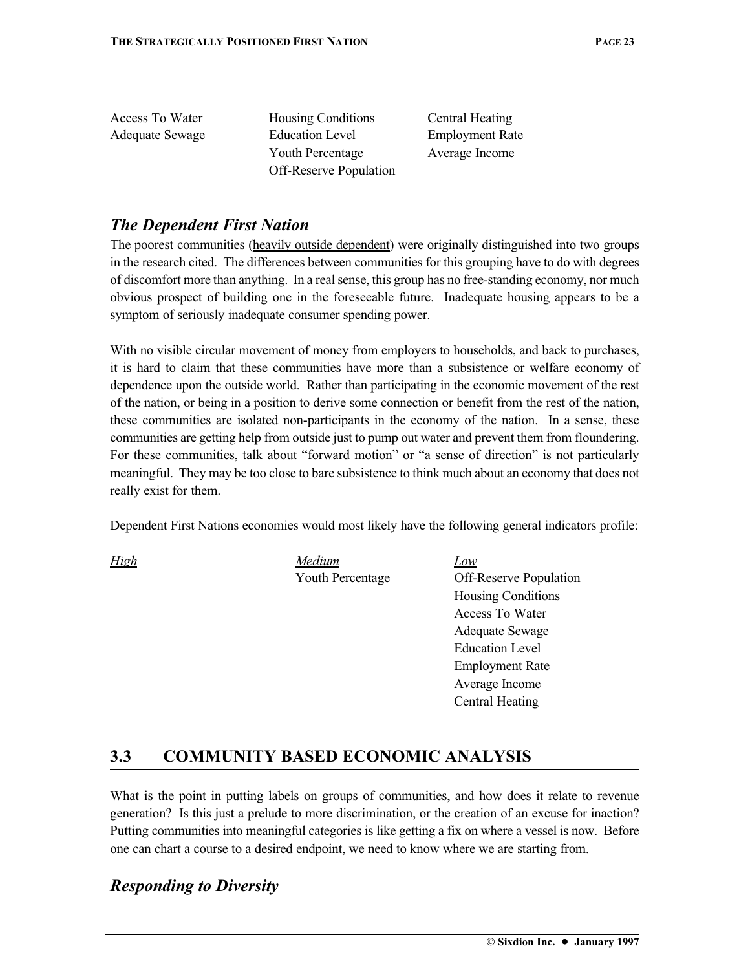| Access To Water | <b>Housing Conditions</b>     | Central Heating        |
|-----------------|-------------------------------|------------------------|
| Adequate Sewage | <b>Education Level</b>        | <b>Employment Rate</b> |
|                 | <b>Youth Percentage</b>       | Average Income         |
|                 | <b>Off-Reserve Population</b> |                        |
|                 |                               |                        |

#### *The Dependent First Nation*

The poorest communities (heavily outside dependent) were originally distinguished into two groups in the research cited. The differences between communities for this grouping have to do with degrees of discomfort more than anything. In a real sense, this group has no free-standing economy, nor much obvious prospect of building one in the foreseeable future. Inadequate housing appears to be a symptom of seriously inadequate consumer spending power.

With no visible circular movement of money from employers to households, and back to purchases, it is hard to claim that these communities have more than a subsistence or welfare economy of dependence upon the outside world. Rather than participating in the economic movement of the rest of the nation, or being in a position to derive some connection or benefit from the rest of the nation, these communities are isolated non-participants in the economy of the nation. In a sense, these communities are getting help from outside just to pump out water and prevent them from floundering. For these communities, talk about "forward motion" or "a sense of direction" is not particularly meaningful. They may be too close to bare subsistence to think much about an economy that does not really exist for them.

Dependent First Nations economies would most likely have the following general indicators profile:

*High Medium Low*

Youth Percentage Off-Reserve Population Housing Conditions Access To Water Adequate Sewage Education Level Employment Rate Average Income Central Heating

### **3.3 COMMUNITY BASED ECONOMIC ANALYSIS**

What is the point in putting labels on groups of communities, and how does it relate to revenue generation? Is this just a prelude to more discrimination, or the creation of an excuse for inaction? Putting communities into meaningful categories is like getting a fix on where a vessel is now. Before one can chart a course to a desired endpoint, we need to know where we are starting from.

### *Responding to Diversity*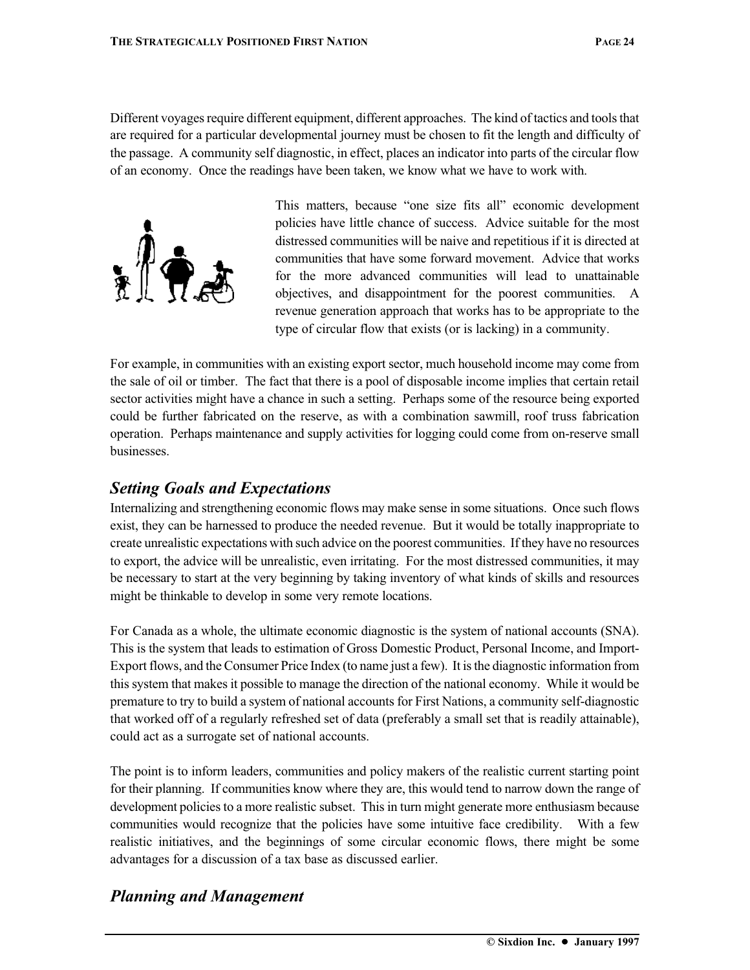Different voyages require different equipment, different approaches. The kind of tactics and tools that are required for a particular developmental journey must be chosen to fit the length and difficulty of the passage. A community self diagnostic, in effect, places an indicator into parts of the circular flow of an economy. Once the readings have been taken, we know what we have to work with.



This matters, because "one size fits all" economic development policies have little chance of success. Advice suitable for the most distressed communities will be naive and repetitious if it is directed at communities that have some forward movement. Advice that works for the more advanced communities will lead to unattainable objectives, and disappointment for the poorest communities. A revenue generation approach that works has to be appropriate to the type of circular flow that exists (or is lacking) in a community.

For example, in communities with an existing export sector, much household income may come from the sale of oil or timber. The fact that there is a pool of disposable income implies that certain retail sector activities might have a chance in such a setting. Perhaps some of the resource being exported could be further fabricated on the reserve, as with a combination sawmill, roof truss fabrication operation. Perhaps maintenance and supply activities for logging could come from on-reserve small businesses.

### *Setting Goals and Expectations*

Internalizing and strengthening economic flows may make sense in some situations. Once such flows exist, they can be harnessed to produce the needed revenue. But it would be totally inappropriate to create unrealistic expectations with such advice on the poorest communities. If they have no resources to export, the advice will be unrealistic, even irritating. For the most distressed communities, it may be necessary to start at the very beginning by taking inventory of what kinds of skills and resources might be thinkable to develop in some very remote locations.

For Canada as a whole, the ultimate economic diagnostic is the system of national accounts (SNA). This is the system that leads to estimation of Gross Domestic Product, Personal Income, and Import-Export flows, and the Consumer Price Index (to name just a few). It is the diagnostic information from this system that makes it possible to manage the direction of the national economy. While it would be premature to try to build a system of national accounts for First Nations, a community self-diagnostic that worked off of a regularly refreshed set of data (preferably a small set that is readily attainable), could act as a surrogate set of national accounts.

The point is to inform leaders, communities and policy makers of the realistic current starting point for their planning. If communities know where they are, this would tend to narrow down the range of development policies to a more realistic subset. This in turn might generate more enthusiasm because communities would recognize that the policies have some intuitive face credibility. With a few realistic initiatives, and the beginnings of some circular economic flows, there might be some advantages for a discussion of a tax base as discussed earlier.

### *Planning and Management*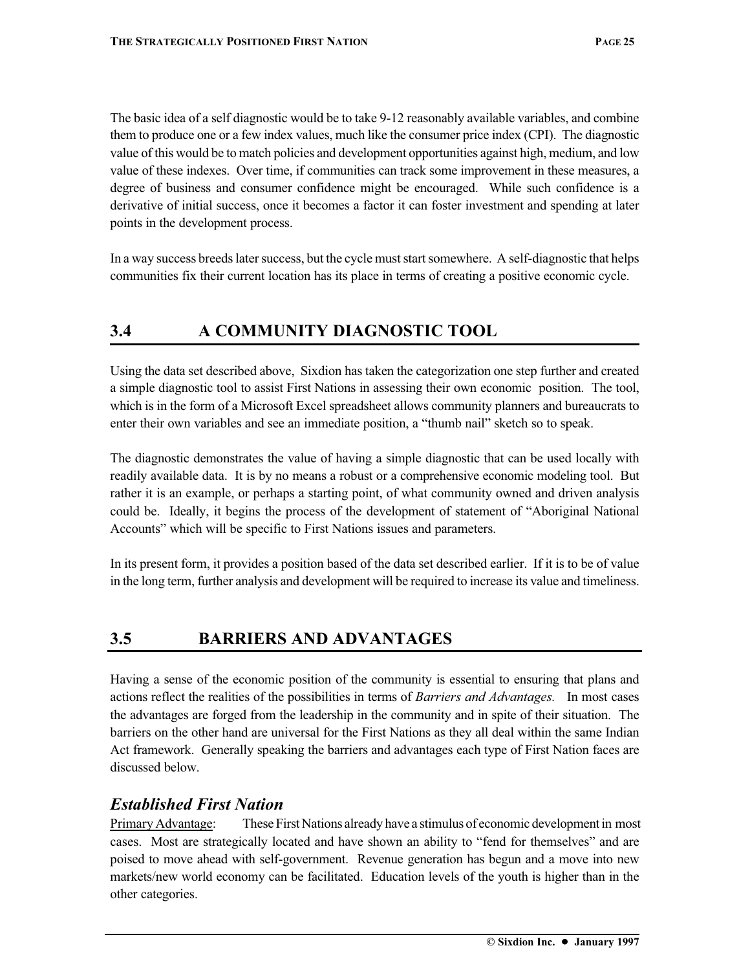The basic idea of a self diagnostic would be to take 9-12 reasonably available variables, and combine them to produce one or a few index values, much like the consumer price index (CPI). The diagnostic value of this would be to match policies and development opportunities against high, medium, and low value of these indexes. Over time, if communities can track some improvement in these measures, a degree of business and consumer confidence might be encouraged. While such confidence is a derivative of initial success, once it becomes a factor it can foster investment and spending at later points in the development process.

In a way success breeds later success, but the cycle must start somewhere. A self-diagnostic that helps communities fix their current location has its place in terms of creating a positive economic cycle.

### **3.4 A COMMUNITY DIAGNOSTIC TOOL**

Using the data set described above, Sixdion has taken the categorization one step further and created a simple diagnostic tool to assist First Nations in assessing their own economic position. The tool, which is in the form of a Microsoft Excel spreadsheet allows community planners and bureaucrats to enter their own variables and see an immediate position, a "thumb nail" sketch so to speak.

The diagnostic demonstrates the value of having a simple diagnostic that can be used locally with readily available data. It is by no means a robust or a comprehensive economic modeling tool. But rather it is an example, or perhaps a starting point, of what community owned and driven analysis could be. Ideally, it begins the process of the development of statement of "Aboriginal National Accounts" which will be specific to First Nations issues and parameters.

In its present form, it provides a position based of the data set described earlier. If it is to be of value in the long term, further analysis and development will be required to increase its value and timeliness.

### **3.5 BARRIERS AND ADVANTAGES**

Having a sense of the economic position of the community is essential to ensuring that plans and actions reflect the realities of the possibilities in terms of *Barriers and Advantages.* In most cases the advantages are forged from the leadership in the community and in spite of their situation. The barriers on the other hand are universal for the First Nations as they all deal within the same Indian Act framework. Generally speaking the barriers and advantages each type of First Nation faces are discussed below.

#### *Established First Nation*

Primary Advantage: These First Nations already have a stimulus of economic development in most cases. Most are strategically located and have shown an ability to "fend for themselves" and are poised to move ahead with self-government. Revenue generation has begun and a move into new markets/new world economy can be facilitated. Education levels of the youth is higher than in the other categories.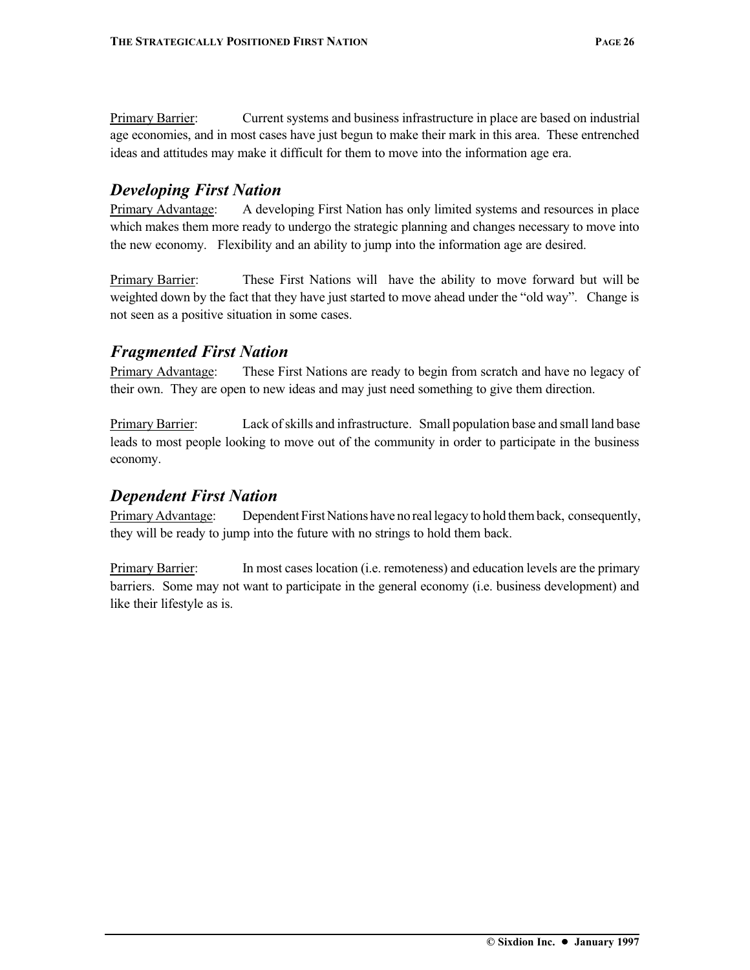Primary Barrier: Current systems and business infrastructure in place are based on industrial age economies, and in most cases have just begun to make their mark in this area. These entrenched ideas and attitudes may make it difficult for them to move into the information age era.

#### *Developing First Nation*

Primary Advantage: A developing First Nation has only limited systems and resources in place which makes them more ready to undergo the strategic planning and changes necessary to move into the new economy. Flexibility and an ability to jump into the information age are desired.

Primary Barrier: These First Nations will have the ability to move forward but will be weighted down by the fact that they have just started to move ahead under the "old way". Change is not seen as a positive situation in some cases.

#### *Fragmented First Nation*

Primary Advantage: These First Nations are ready to begin from scratch and have no legacy of their own. They are open to new ideas and may just need something to give them direction.

Primary Barrier: Lack of skills and infrastructure. Small population base and small land base leads to most people looking to move out of the community in order to participate in the business economy.

#### *Dependent First Nation*

Primary Advantage: Dependent First Nations have no real legacy to hold them back, consequently, they will be ready to jump into the future with no strings to hold them back.

Primary Barrier: In most cases location (i.e. remoteness) and education levels are the primary barriers. Some may not want to participate in the general economy (i.e. business development) and like their lifestyle as is.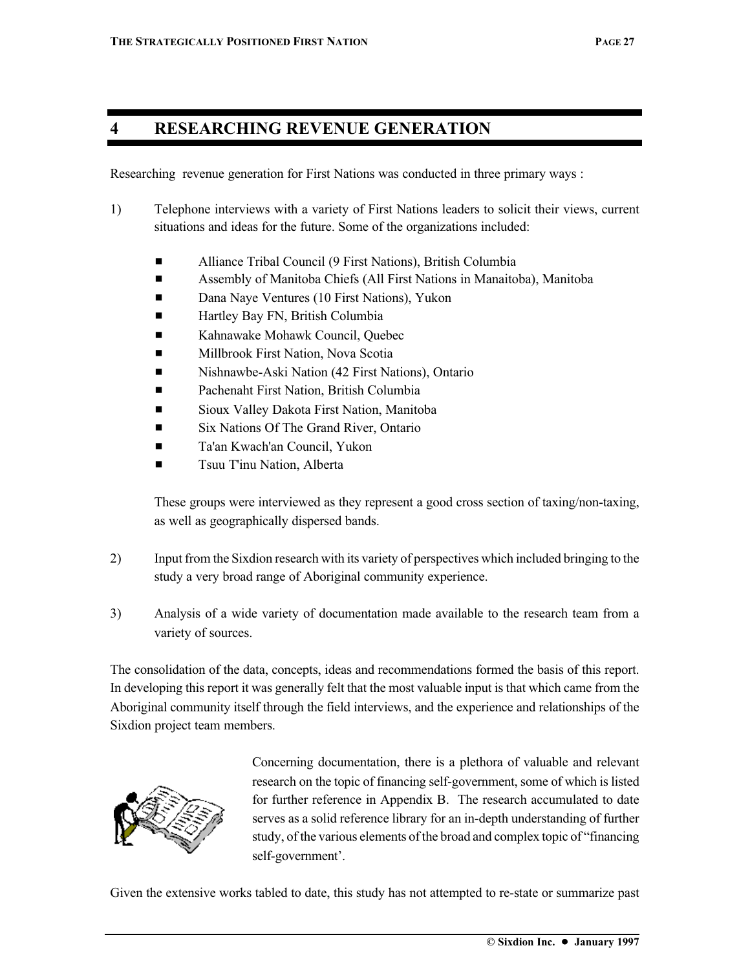#### **4 RESEARCHING REVENUE GENERATION**

Researching revenue generation for First Nations was conducted in three primary ways :

- 1) Telephone interviews with a variety of First Nations leaders to solicit their views, current situations and ideas for the future. Some of the organizations included:
	- Alliance Tribal Council (9 First Nations), British Columbia
	- **Example 3** Assembly of Manitoba Chiefs (All First Nations in Manaitoba), Manitoba
	- Dana Naye Ventures (10 First Nations), Yukon
	- **Example 3** Hartley Bay FN, British Columbia
	- **Example 3** Kahnawake Mohawk Council, Quebec
	- Millbrook First Nation, Nova Scotia
	- **Example 12 Nishnawbe-Aski Nation (42 First Nations), Ontario**
	- Pachenaht First Nation, British Columbia
	- **Example 3** Sioux Valley Dakota First Nation, Manitoba
	- Six Nations Of The Grand River, Ontario
	- Ta'an Kwach'an Council, Yukon
	- Tsuu T'inu Nation, Alberta

These groups were interviewed as they represent a good cross section of taxing/non-taxing, as well as geographically dispersed bands.

- 2) Input from the Sixdion research with its variety of perspectives which included bringing to the study a very broad range of Aboriginal community experience.
- 3) Analysis of a wide variety of documentation made available to the research team from a variety of sources.

The consolidation of the data, concepts, ideas and recommendations formed the basis of this report. In developing this report it was generally felt that the most valuable input is that which came from the Aboriginal community itself through the field interviews, and the experience and relationships of the Sixdion project team members.



Concerning documentation, there is a plethora of valuable and relevant research on the topic of financing self-government, some of which is listed for further reference in Appendix B. The research accumulated to date serves as a solid reference library for an in-depth understanding of further study, of the various elements of the broad and complex topic of "financing self-government'.

Given the extensive works tabled to date, this study has not attempted to re-state or summarize past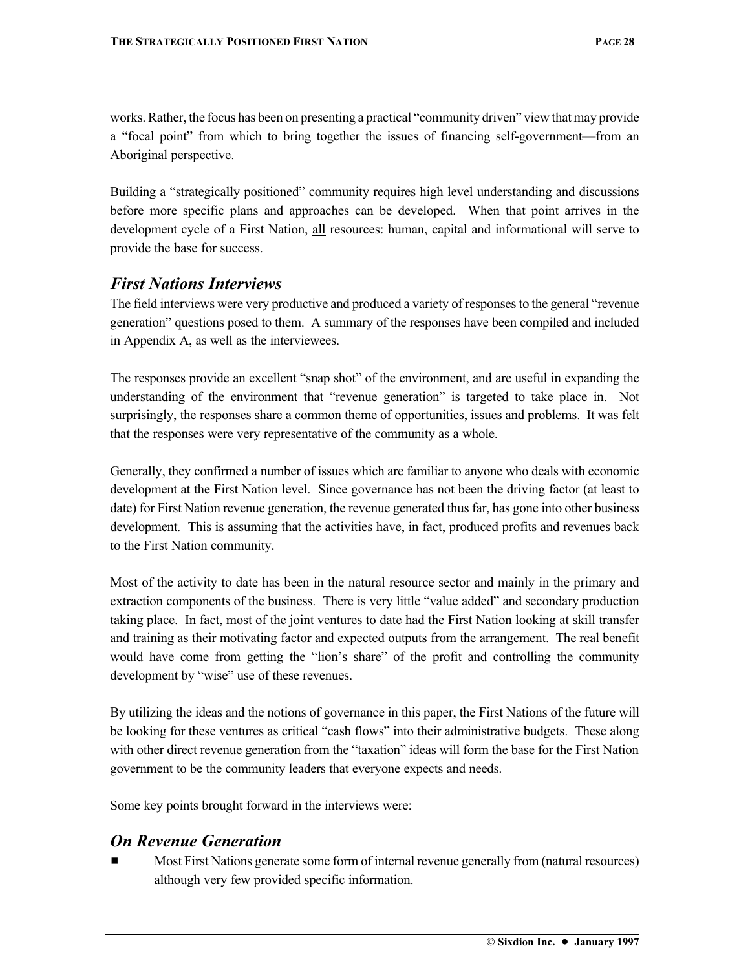works. Rather, the focus has been on presenting a practical "community driven" view that may provide a "focal point" from which to bring together the issues of financing self-government—from an Aboriginal perspective.

Building a "strategically positioned" community requires high level understanding and discussions before more specific plans and approaches can be developed. When that point arrives in the development cycle of a First Nation, all resources: human, capital and informational will serve to provide the base for success.

#### *First Nations Interviews*

The field interviews were very productive and produced a variety of responses to the general "revenue generation" questions posed to them. A summary of the responses have been compiled and included in Appendix A, as well as the interviewees.

The responses provide an excellent "snap shot" of the environment, and are useful in expanding the understanding of the environment that "revenue generation" is targeted to take place in. Not surprisingly, the responses share a common theme of opportunities, issues and problems. It was felt that the responses were very representative of the community as a whole.

Generally, they confirmed a number of issues which are familiar to anyone who deals with economic development at the First Nation level. Since governance has not been the driving factor (at least to date) for First Nation revenue generation, the revenue generated thus far, has gone into other business development. This is assuming that the activities have, in fact, produced profits and revenues back to the First Nation community.

Most of the activity to date has been in the natural resource sector and mainly in the primary and extraction components of the business. There is very little "value added" and secondary production taking place. In fact, most of the joint ventures to date had the First Nation looking at skill transfer and training as their motivating factor and expected outputs from the arrangement. The real benefit would have come from getting the "lion's share" of the profit and controlling the community development by "wise" use of these revenues.

By utilizing the ideas and the notions of governance in this paper, the First Nations of the future will be looking for these ventures as critical "cash flows" into their administrative budgets. These along with other direct revenue generation from the "taxation" ideas will form the base for the First Nation government to be the community leaders that everyone expects and needs.

Some key points brought forward in the interviews were:

#### *On Revenue Generation*

Most First Nations generate some form of internal revenue generally from (natural resources) although very few provided specific information.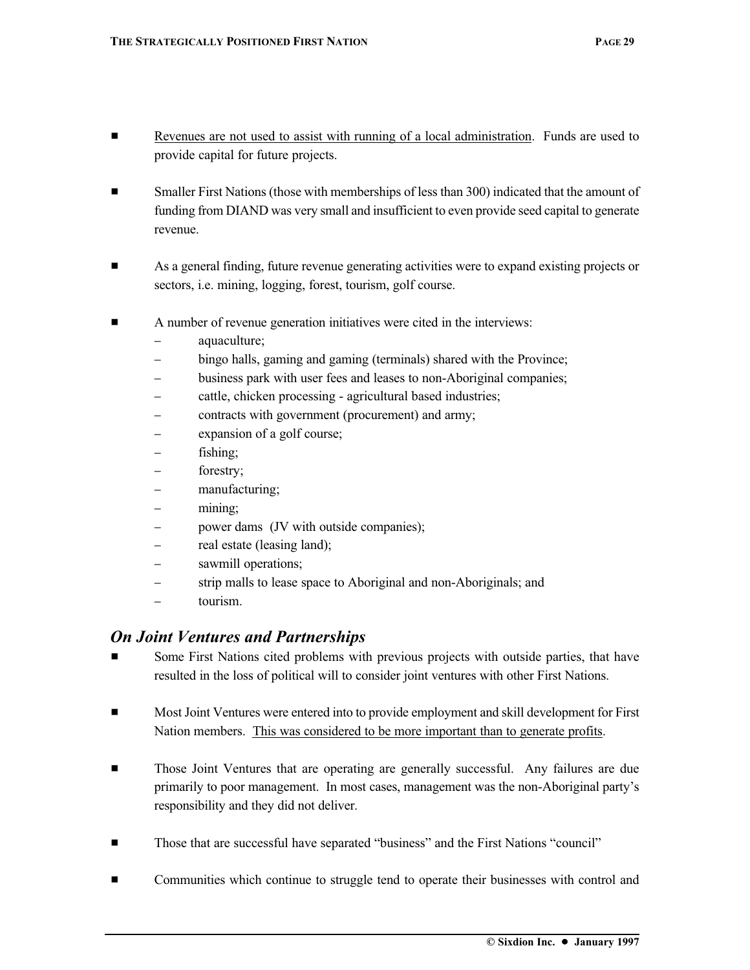- **EXECUTE:** Revenues are not used to assist with running of a local administration. Funds are used to provide capital for future projects.
- **Example 1** Smaller First Nations (those with memberships of less than 300) indicated that the amount of funding from DIAND was very small and insufficient to even provide seed capital to generate revenue.
- **Example 3** As a general finding, future revenue generating activities were to expand existing projects or sectors, i.e. mining, logging, forest, tourism, golf course.
- $\blacksquare$  A number of revenue generation initiatives were cited in the interviews:
	- − aquaculture;
	- bingo halls, gaming and gaming (terminals) shared with the Province;
	- business park with user fees and leases to non-Aboriginal companies;
	- − cattle, chicken processing agricultural based industries;
	- − contracts with government (procurement) and army;
	- expansion of a golf course;
	- fishing;
	- − forestry;
	- manufacturing;
	- − mining;
	- power dams (JV with outside companies);
	- − real estate (leasing land);
	- − sawmill operations;
	- strip malls to lease space to Aboriginal and non-Aboriginals; and
	- − tourism.

#### *On Joint Ventures and Partnerships*

- Some First Nations cited problems with previous projects with outside parties, that have resulted in the loss of political will to consider joint ventures with other First Nations.
- $\blacksquare$  Most Joint Ventures were entered into to provide employment and skill development for First Nation members. This was considered to be more important than to generate profits.
- Those Joint Ventures that are operating are generally successful. Any failures are due primarily to poor management. In most cases, management was the non-Aboriginal party's responsibility and they did not deliver.
- **Example 1** Those that are successful have separated "business" and the First Nations "council"
- **Exercise 1** Communities which continue to struggle tend to operate their businesses with control and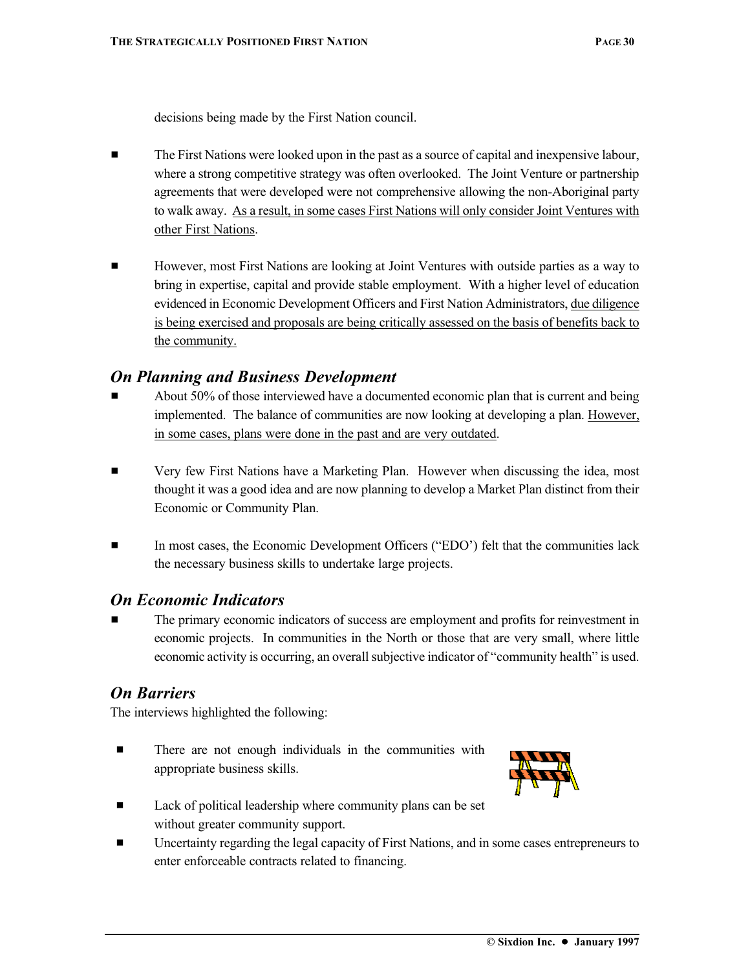decisions being made by the First Nation council.

- **EXECUTE:** The First Nations were looked upon in the past as a source of capital and inexpensive labour, where a strong competitive strategy was often overlooked. The Joint Venture or partnership agreements that were developed were not comprehensive allowing the non-Aboriginal party to walk away. As a result, in some cases First Nations will only consider Joint Ventures with other First Nations.
- **EXECUTE:** However, most First Nations are looking at Joint Ventures with outside parties as a way to bring in expertise, capital and provide stable employment. With a higher level of education evidenced in Economic Development Officers and First Nation Administrators, due diligence is being exercised and proposals are being critically assessed on the basis of benefits back to the community.

#### *On Planning and Business Development*

- About 50% of those interviewed have a documented economic plan that is current and being implemented. The balance of communities are now looking at developing a plan. However, in some cases, plans were done in the past and are very outdated.
- Very few First Nations have a Marketing Plan. However when discussing the idea, most thought it was a good idea and are now planning to develop a Market Plan distinct from their Economic or Community Plan.
- In most cases, the Economic Development Officers ("EDO") felt that the communities lack the necessary business skills to undertake large projects.

#### *On Economic Indicators*

The primary economic indicators of success are employment and profits for reinvestment in economic projects. In communities in the North or those that are very small, where little economic activity is occurring, an overall subjective indicator of "community health" is used.

#### *On Barriers*

The interviews highlighted the following:

**Example 1** There are not enough individuals in the communities with appropriate business skills.



- Lack of political leadership where community plans can be set without greater community support.
- Uncertainty regarding the legal capacity of First Nations, and in some cases entrepreneurs to enter enforceable contracts related to financing.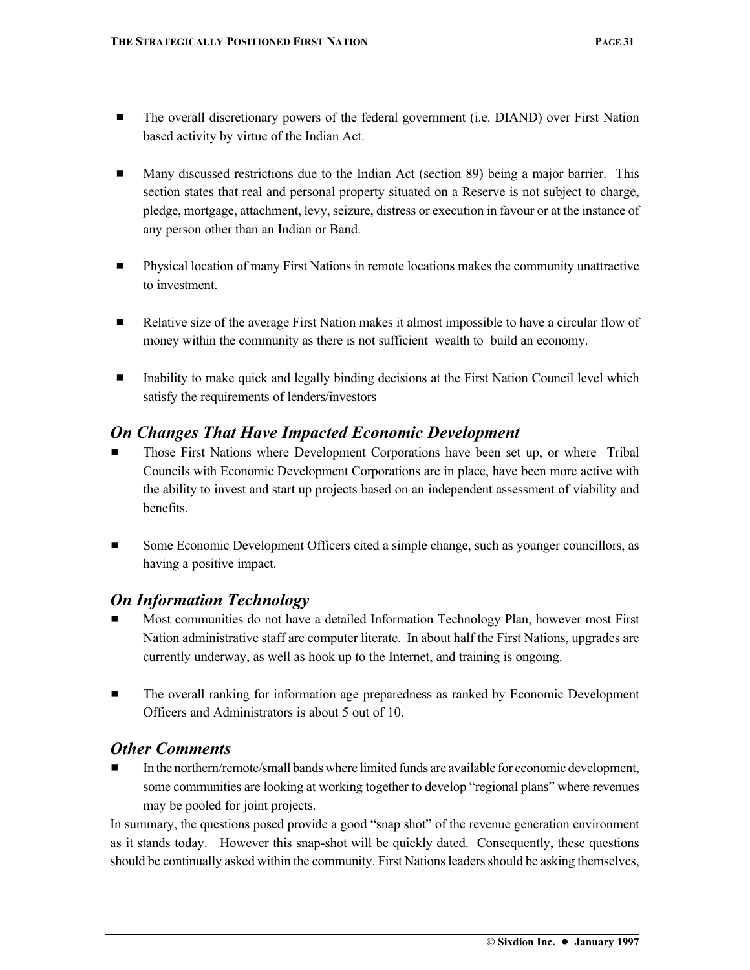- # The overall discretionary powers of the federal government (i.e. DIAND) over First Nation based activity by virtue of the Indian Act.
- Many discussed restrictions due to the Indian Act (section 89) being a major barrier. This section states that real and personal property situated on a Reserve is not subject to charge, pledge, mortgage, attachment, levy, seizure, distress or execution in favour or at the instance of any person other than an Indian or Band.
- # Physical location of many First Nations in remote locations makes the community unattractive to investment.
- **Example 3** Relative size of the average First Nation makes it almost impossible to have a circular flow of money within the community as there is not sufficient wealth to build an economy.
- Inability to make quick and legally binding decisions at the First Nation Council level which satisfy the requirements of lenders/investors

#### *On Changes That Have Impacted Economic Development*

- Those First Nations where Development Corporations have been set up, or where Tribal Councils with Economic Development Corporations are in place, have been more active with the ability to invest and start up projects based on an independent assessment of viability and benefits.
- **EXECUTE:** Some Economic Development Officers cited a simple change, such as younger councillors, as having a positive impact.

#### *On Information Technology*

- Most communities do not have a detailed Information Technology Plan, however most First Nation administrative staff are computer literate. In about half the First Nations, upgrades are currently underway, as well as hook up to the Internet, and training is ongoing.
- $\blacksquare$  The overall ranking for information age preparedness as ranked by Economic Development Officers and Administrators is about 5 out of 10.

#### *Other Comments*

In the northern/remote/small bands where limited funds are available for economic development, some communities are looking at working together to develop "regional plans" where revenues may be pooled for joint projects.

In summary, the questions posed provide a good "snap shot" of the revenue generation environment as it stands today. However this snap-shot will be quickly dated. Consequently, these questions should be continually asked within the community. First Nations leaders should be asking themselves,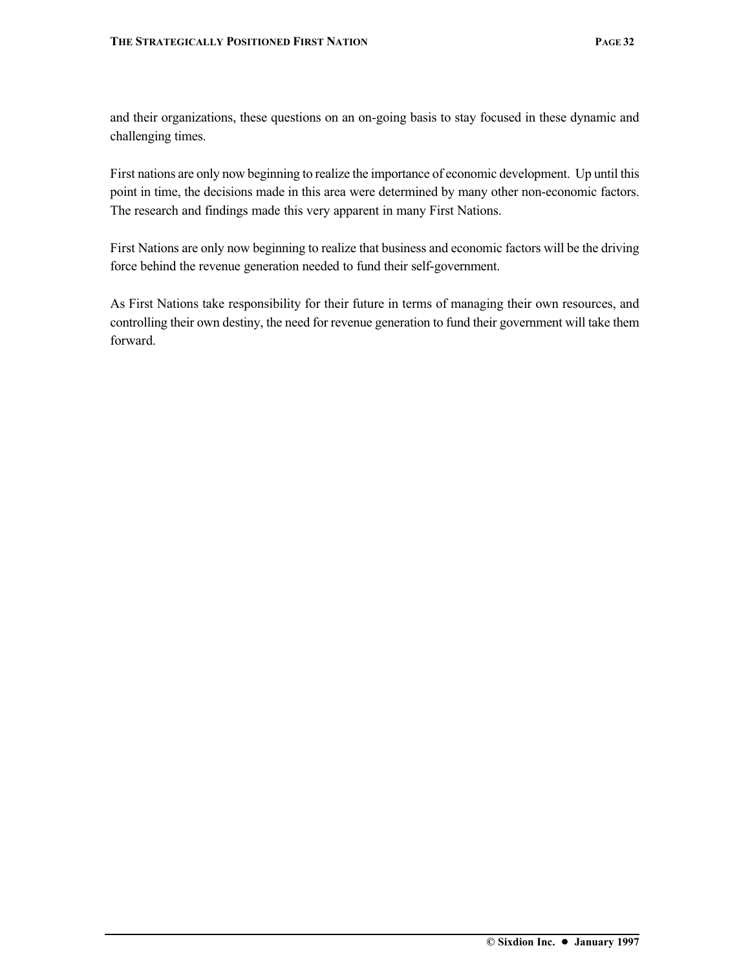and their organizations, these questions on an on-going basis to stay focused in these dynamic and challenging times.

First nations are only now beginning to realize the importance of economic development. Up until this point in time, the decisions made in this area were determined by many other non-economic factors. The research and findings made this very apparent in many First Nations.

First Nations are only now beginning to realize that business and economic factors will be the driving force behind the revenue generation needed to fund their self-government.

As First Nations take responsibility for their future in terms of managing their own resources, and controlling their own destiny, the need for revenue generation to fund their government will take them forward.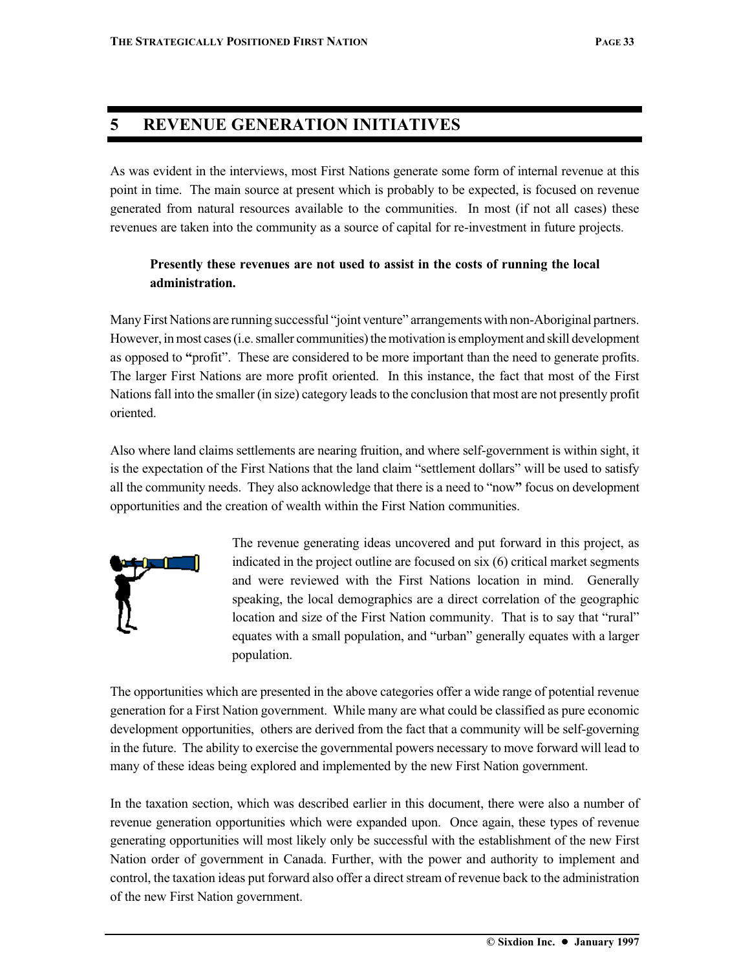## **5 REVENUE GENERATION INITIATIVES**

As was evident in the interviews, most First Nations generate some form of internal revenue at this point in time. The main source at present which is probably to be expected, is focused on revenue generated from natural resources available to the communities. In most (if not all cases) these revenues are taken into the community as a source of capital for re-investment in future projects.

#### **Presently these revenues are not used to assist in the costs of running the local administration.**

Many First Nations are running successful "joint venture" arrangements with non-Aboriginal partners. However, in most cases (i.e. smaller communities) the motivation is employment and skill development as opposed to **"**profit". These are considered to be more important than the need to generate profits. The larger First Nations are more profit oriented. In this instance, the fact that most of the First Nations fall into the smaller (in size) category leads to the conclusion that most are not presently profit oriented.

Also where land claims settlements are nearing fruition, and where self-government is within sight, it is the expectation of the First Nations that the land claim "settlement dollars" will be used to satisfy all the community needs. They also acknowledge that there is a need to "now**"** focus on development opportunities and the creation of wealth within the First Nation communities.



The revenue generating ideas uncovered and put forward in this project, as indicated in the project outline are focused on six (6) critical market segments and were reviewed with the First Nations location in mind. Generally speaking, the local demographics are a direct correlation of the geographic location and size of the First Nation community. That is to say that "rural" equates with a small population, and "urban" generally equates with a larger population.

The opportunities which are presented in the above categories offer a wide range of potential revenue generation for a First Nation government. While many are what could be classified as pure economic development opportunities, others are derived from the fact that a community will be self-governing in the future. The ability to exercise the governmental powers necessary to move forward will lead to many of these ideas being explored and implemented by the new First Nation government.

In the taxation section, which was described earlier in this document, there were also a number of revenue generation opportunities which were expanded upon. Once again, these types of revenue generating opportunities will most likely only be successful with the establishment of the new First Nation order of government in Canada. Further, with the power and authority to implement and control, the taxation ideas put forward also offer a direct stream of revenue back to the administration of the new First Nation government.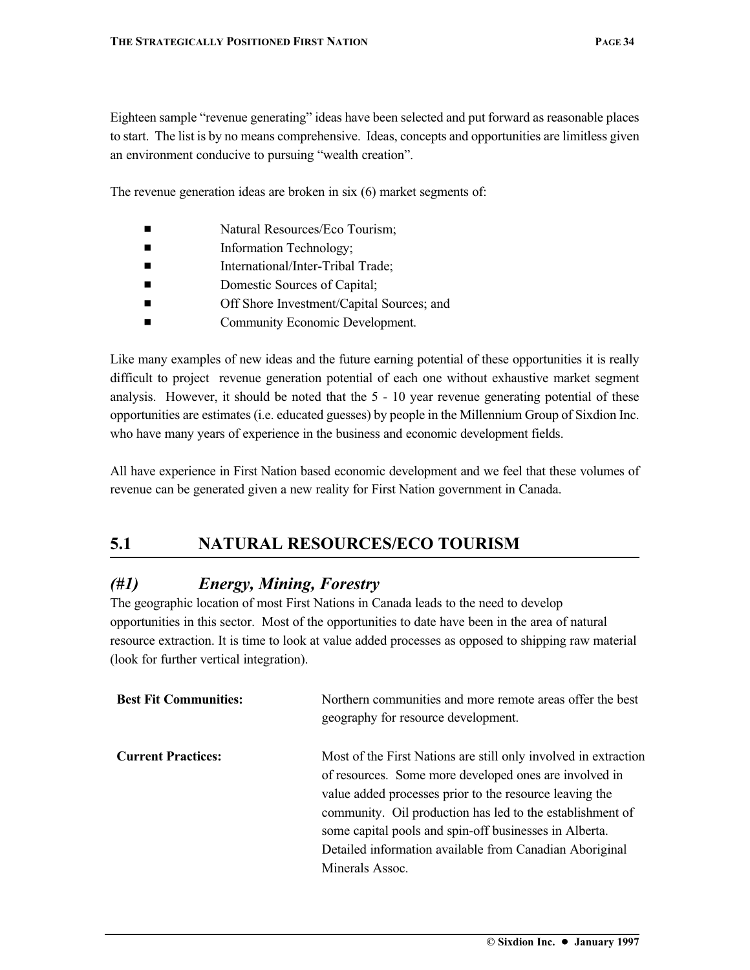Eighteen sample "revenue generating" ideas have been selected and put forward as reasonable places to start. The list is by no means comprehensive. Ideas, concepts and opportunities are limitless given an environment conducive to pursuing "wealth creation".

The revenue generation ideas are broken in six (6) market segments of:

- Natural Resources/Eco Tourism;
- **Example 1** Information Technology;
- International/Inter-Tribal Trade;
- Domestic Sources of Capital;
- **Exercise Shore Investment/Capital Sources; and**
- Community Economic Development.

Like many examples of new ideas and the future earning potential of these opportunities it is really difficult to project revenue generation potential of each one without exhaustive market segment analysis. However, it should be noted that the 5 - 10 year revenue generating potential of these opportunities are estimates (i.e. educated guesses) by people in the Millennium Group of Sixdion Inc. who have many years of experience in the business and economic development fields.

All have experience in First Nation based economic development and we feel that these volumes of revenue can be generated given a new reality for First Nation government in Canada.

## **5.1 NATURAL RESOURCES/ECO TOURISM**

#### *(#1) Energy, Mining, Forestry*

The geographic location of most First Nations in Canada leads to the need to develop opportunities in this sector. Most of the opportunities to date have been in the area of natural resource extraction. It is time to look at value added processes as opposed to shipping raw material (look for further vertical integration).

| <b>Best Fit Communities:</b> | Northern communities and more remote areas offer the best<br>geography for resource development.                                                                                                                                                                                                                                                                                          |
|------------------------------|-------------------------------------------------------------------------------------------------------------------------------------------------------------------------------------------------------------------------------------------------------------------------------------------------------------------------------------------------------------------------------------------|
| <b>Current Practices:</b>    | Most of the First Nations are still only involved in extraction<br>of resources. Some more developed ones are involved in<br>value added processes prior to the resource leaving the<br>community. Oil production has led to the establishment of<br>some capital pools and spin-off businesses in Alberta.<br>Detailed information available from Canadian Aboriginal<br>Minerals Assoc. |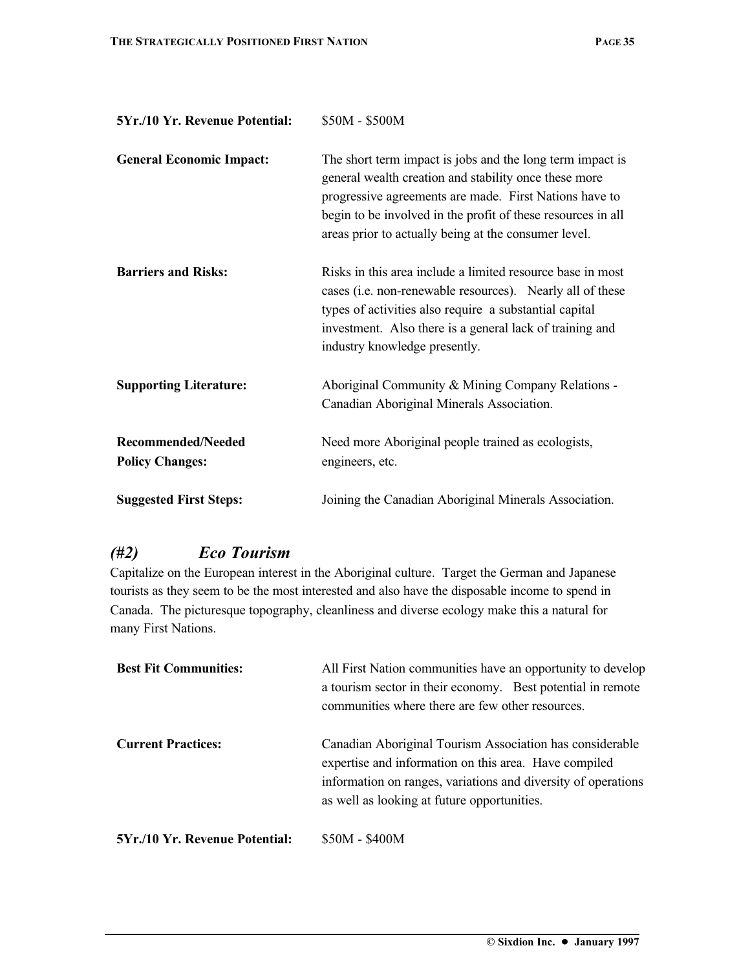| 5Yr./10 Yr. Revenue Potential:                      | \$50M - \$500M                                                                                                                                                                                                                                                                                       |
|-----------------------------------------------------|------------------------------------------------------------------------------------------------------------------------------------------------------------------------------------------------------------------------------------------------------------------------------------------------------|
| <b>General Economic Impact:</b>                     | The short term impact is jobs and the long term impact is<br>general wealth creation and stability once these more<br>progressive agreements are made. First Nations have to<br>begin to be involved in the profit of these resources in all<br>areas prior to actually being at the consumer level. |
| <b>Barriers and Risks:</b>                          | Risks in this area include a limited resource base in most<br>cases (i.e. non-renewable resources). Nearly all of these<br>types of activities also require a substantial capital<br>investment. Also there is a general lack of training and<br>industry knowledge presently.                       |
| <b>Supporting Literature:</b>                       | Aboriginal Community & Mining Company Relations -<br>Canadian Aboriginal Minerals Association.                                                                                                                                                                                                       |
| <b>Recommended/Needed</b><br><b>Policy Changes:</b> | Need more Aboriginal people trained as ecologists,<br>engineers, etc.                                                                                                                                                                                                                                |
| <b>Suggested First Steps:</b>                       | Joining the Canadian Aboriginal Minerals Association.                                                                                                                                                                                                                                                |

## *(#2) Eco Tourism*

Capitalize on the European interest in the Aboriginal culture. Target the German and Japanese tourists as they seem to be the most interested and also have the disposable income to spend in Canada. The picturesque topography, cleanliness and diverse ecology make this a natural for many First Nations.

| <b>Best Fit Communities:</b>          | All First Nation communities have an opportunity to develop<br>a tourism sector in their economy. Best potential in remote<br>communities where there are few other resources.                                                    |
|---------------------------------------|-----------------------------------------------------------------------------------------------------------------------------------------------------------------------------------------------------------------------------------|
| <b>Current Practices:</b>             | Canadian Aboriginal Tourism Association has considerable<br>expertise and information on this area. Have compiled<br>information on ranges, variations and diversity of operations<br>as well as looking at future opportunities. |
| <b>5Yr./10 Yr. Revenue Potential:</b> | \$50M - \$400M                                                                                                                                                                                                                    |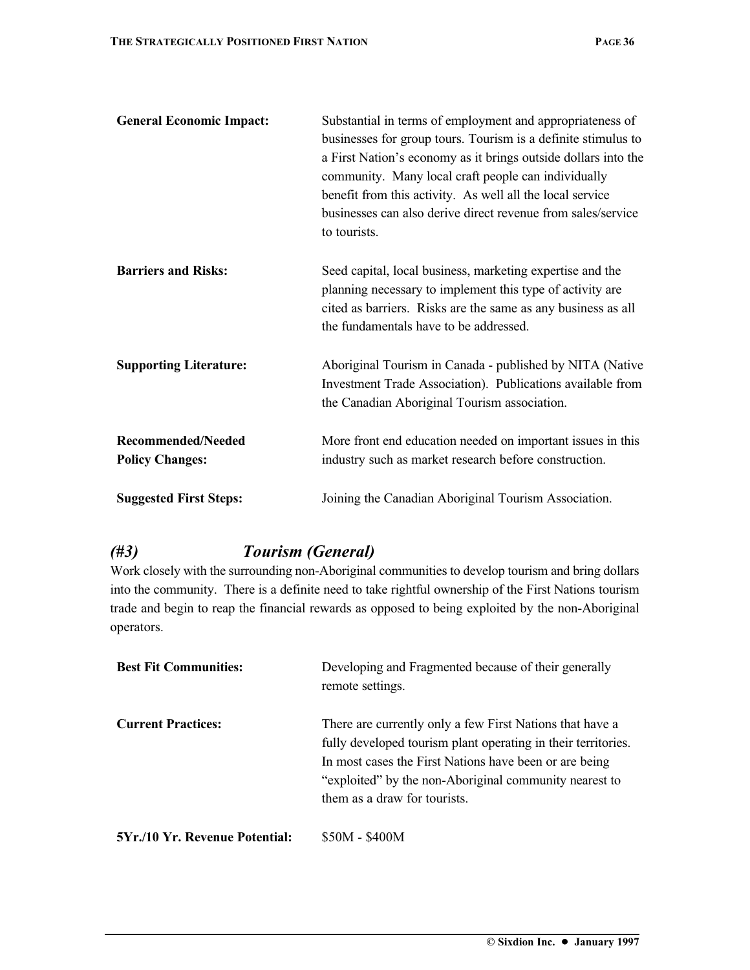| <b>General Economic Impact:</b>                     | Substantial in terms of employment and appropriateness of<br>businesses for group tours. Tourism is a definite stimulus to<br>a First Nation's economy as it brings outside dollars into the<br>community. Many local craft people can individually<br>benefit from this activity. As well all the local service<br>businesses can also derive direct revenue from sales/service<br>to tourists. |
|-----------------------------------------------------|--------------------------------------------------------------------------------------------------------------------------------------------------------------------------------------------------------------------------------------------------------------------------------------------------------------------------------------------------------------------------------------------------|
| <b>Barriers and Risks:</b>                          | Seed capital, local business, marketing expertise and the<br>planning necessary to implement this type of activity are<br>cited as barriers. Risks are the same as any business as all<br>the fundamentals have to be addressed.                                                                                                                                                                 |
| <b>Supporting Literature:</b>                       | Aboriginal Tourism in Canada - published by NITA (Native<br>Investment Trade Association). Publications available from<br>the Canadian Aboriginal Tourism association.                                                                                                                                                                                                                           |
| <b>Recommended/Needed</b><br><b>Policy Changes:</b> | More front end education needed on important issues in this<br>industry such as market research before construction.                                                                                                                                                                                                                                                                             |
| <b>Suggested First Steps:</b>                       | Joining the Canadian Aboriginal Tourism Association.                                                                                                                                                                                                                                                                                                                                             |

## *(#3) Tourism (General)*

Work closely with the surrounding non-Aboriginal communities to develop tourism and bring dollars into the community. There is a definite need to take rightful ownership of the First Nations tourism trade and begin to reap the financial rewards as opposed to being exploited by the non-Aboriginal operators.

| <b>Best Fit Communities:</b>   | Developing and Fragmented because of their generally<br>remote settings.                                                                                                                                                                                                      |
|--------------------------------|-------------------------------------------------------------------------------------------------------------------------------------------------------------------------------------------------------------------------------------------------------------------------------|
| <b>Current Practices:</b>      | There are currently only a few First Nations that have a<br>fully developed tourism plant operating in their territories.<br>In most cases the First Nations have been or are being<br>"exploited" by the non-Aboriginal community nearest to<br>them as a draw for tourists. |
| 5Yr./10 Yr. Revenue Potential: | \$50M - \$400M                                                                                                                                                                                                                                                                |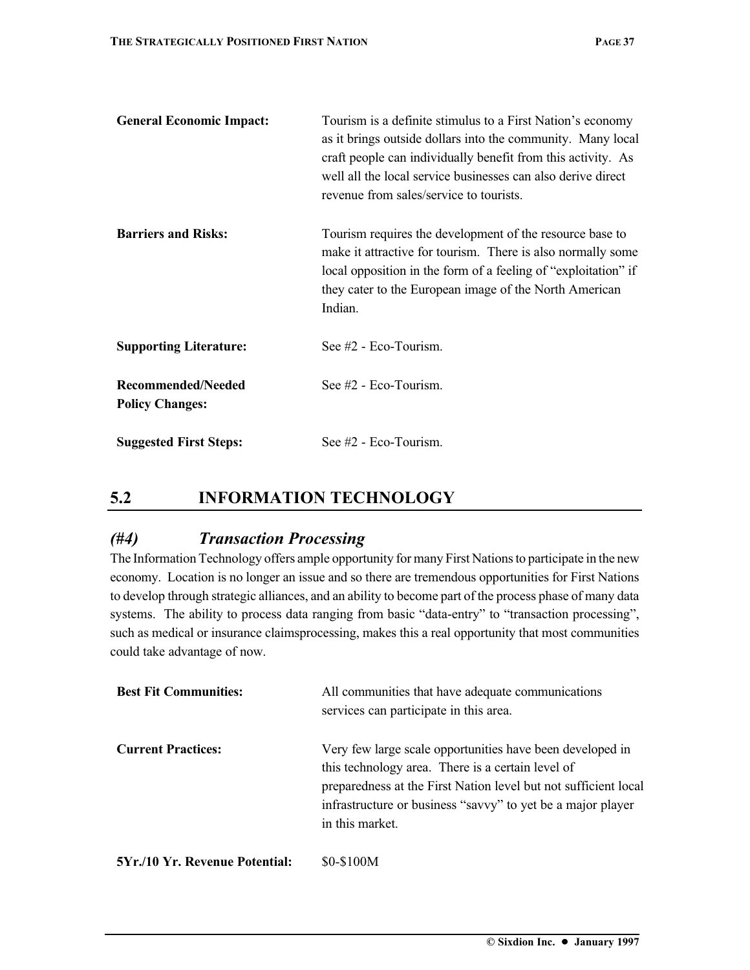| <b>General Economic Impact:</b>              | Tourism is a definite stimulus to a First Nation's economy<br>as it brings outside dollars into the community. Many local<br>craft people can individually benefit from this activity. As<br>well all the local service businesses can also derive direct<br>revenue from sales/service to tourists. |
|----------------------------------------------|------------------------------------------------------------------------------------------------------------------------------------------------------------------------------------------------------------------------------------------------------------------------------------------------------|
| <b>Barriers and Risks:</b>                   | Tourism requires the development of the resource base to<br>make it attractive for tourism. There is also normally some<br>local opposition in the form of a feeling of "exploitation" if<br>they cater to the European image of the North American<br>Indian.                                       |
| <b>Supporting Literature:</b>                | See $#2$ - Eco-Tourism.                                                                                                                                                                                                                                                                              |
| Recommended/Needed<br><b>Policy Changes:</b> | See $#2$ - Eco-Tourism.                                                                                                                                                                                                                                                                              |
| <b>Suggested First Steps:</b>                | See $#2$ - Eco-Tourism.                                                                                                                                                                                                                                                                              |

## **5.2 INFORMATION TECHNOLOGY**

### *(#4) Transaction Processing*

The Information Technology offers ample opportunity for many First Nations to participate in the new economy. Location is no longer an issue and so there are tremendous opportunities for First Nations to develop through strategic alliances, and an ability to become part of the process phase of many data systems. The ability to process data ranging from basic "data-entry" to "transaction processing", such as medical or insurance claimsprocessing, makes this a real opportunity that most communities could take advantage of now.

| <b>Best Fit Communities:</b>          | All communities that have adequate communications<br>services can participate in this area.                                                                                                                                                                         |
|---------------------------------------|---------------------------------------------------------------------------------------------------------------------------------------------------------------------------------------------------------------------------------------------------------------------|
| <b>Current Practices:</b>             | Very few large scale opportunities have been developed in<br>this technology area. There is a certain level of<br>preparedness at the First Nation level but not sufficient local<br>infrastructure or business "savvy" to yet be a major player<br>in this market. |
| <b>5Yr./10 Yr. Revenue Potential:</b> | \$0-\$100M                                                                                                                                                                                                                                                          |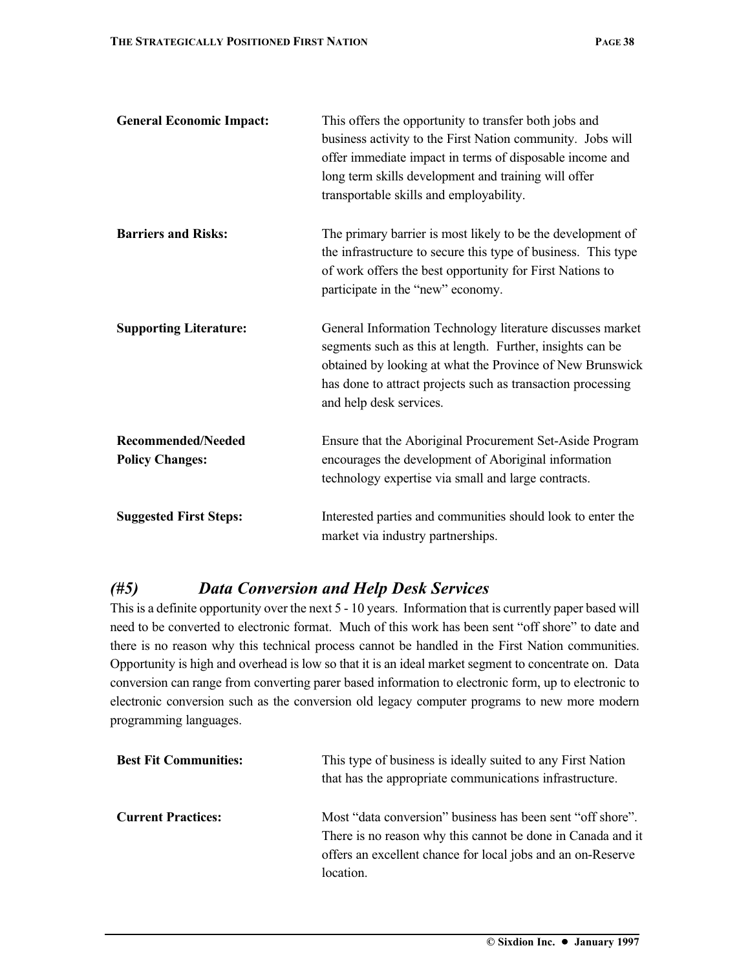| <b>General Economic Impact:</b>                     | This offers the opportunity to transfer both jobs and<br>business activity to the First Nation community. Jobs will<br>offer immediate impact in terms of disposable income and<br>long term skills development and training will offer<br>transportable skills and employability. |
|-----------------------------------------------------|------------------------------------------------------------------------------------------------------------------------------------------------------------------------------------------------------------------------------------------------------------------------------------|
| <b>Barriers and Risks:</b>                          | The primary barrier is most likely to be the development of<br>the infrastructure to secure this type of business. This type<br>of work offers the best opportunity for First Nations to<br>participate in the "new" economy.                                                      |
| <b>Supporting Literature:</b>                       | General Information Technology literature discusses market<br>segments such as this at length. Further, insights can be<br>obtained by looking at what the Province of New Brunswick<br>has done to attract projects such as transaction processing<br>and help desk services.     |
| <b>Recommended/Needed</b><br><b>Policy Changes:</b> | Ensure that the Aboriginal Procurement Set-Aside Program<br>encourages the development of Aboriginal information<br>technology expertise via small and large contracts.                                                                                                            |
| <b>Suggested First Steps:</b>                       | Interested parties and communities should look to enter the<br>market via industry partnerships.                                                                                                                                                                                   |

#### *(#5) Data Conversion and Help Desk Services*

This is a definite opportunity over the next 5 - 10 years. Information that is currently paper based will need to be converted to electronic format. Much of this work has been sent "off shore" to date and there is no reason why this technical process cannot be handled in the First Nation communities. Opportunity is high and overhead is low so that it is an ideal market segment to concentrate on. Data conversion can range from converting parer based information to electronic form, up to electronic to electronic conversion such as the conversion old legacy computer programs to new more modern programming languages.

| <b>Best Fit Communities:</b> | This type of business is ideally suited to any First Nation<br>that has the appropriate communications infrastructure.                                                                                |
|------------------------------|-------------------------------------------------------------------------------------------------------------------------------------------------------------------------------------------------------|
| <b>Current Practices:</b>    | Most "data conversion" business has been sent "off shore".<br>There is no reason why this cannot be done in Canada and it<br>offers an excellent chance for local jobs and an on-Reserve<br>location. |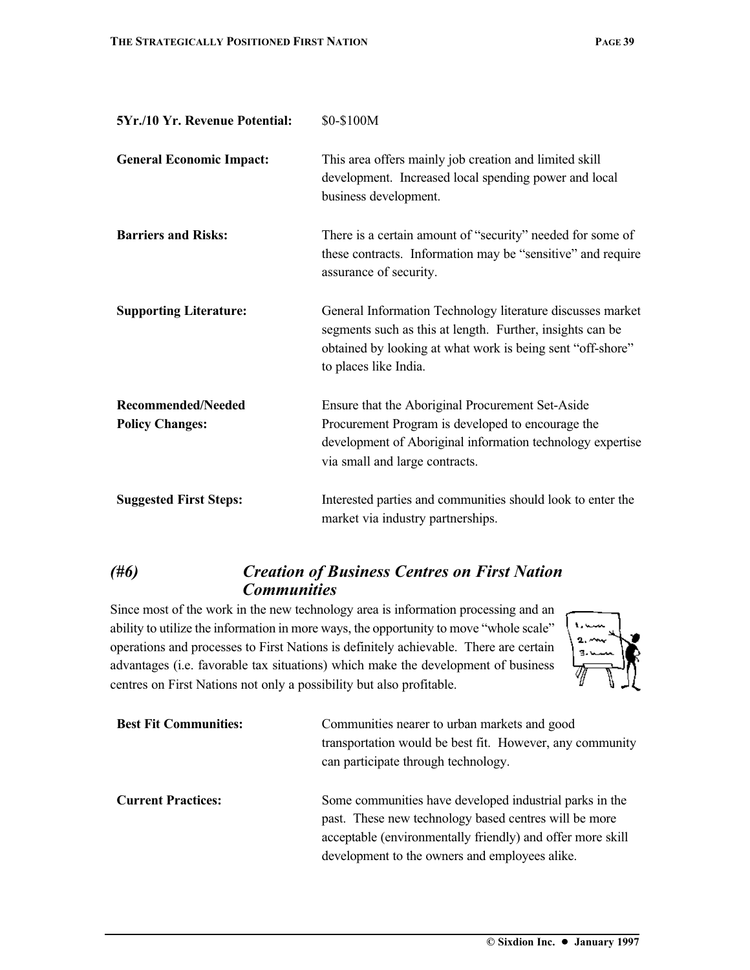| 5Yr./10 Yr. Revenue Potential:               | \$0-\$100M                                                                                                                                                                                                     |
|----------------------------------------------|----------------------------------------------------------------------------------------------------------------------------------------------------------------------------------------------------------------|
| <b>General Economic Impact:</b>              | This area offers mainly job creation and limited skill<br>development. Increased local spending power and local<br>business development.                                                                       |
| <b>Barriers and Risks:</b>                   | There is a certain amount of "security" needed for some of<br>these contracts. Information may be "sensitive" and require<br>assurance of security.                                                            |
| <b>Supporting Literature:</b>                | General Information Technology literature discusses market<br>segments such as this at length. Further, insights can be<br>obtained by looking at what work is being sent "off-shore"<br>to places like India. |
| Recommended/Needed<br><b>Policy Changes:</b> | Ensure that the Aboriginal Procurement Set-Aside<br>Procurement Program is developed to encourage the<br>development of Aboriginal information technology expertise<br>via small and large contracts.          |
| <b>Suggested First Steps:</b>                | Interested parties and communities should look to enter the<br>market via industry partnerships.                                                                                                               |

### *(#6) Creation of Business Centres on First Nation Communities*

Since most of the work in the new technology area is information processing and an ability to utilize the information in more ways, the opportunity to move "whole scale" operations and processes to First Nations is definitely achievable. There are certain advantages (i.e. favorable tax situations) which make the development of business centres on First Nations not only a possibility but also profitable.



| <b>Best Fit Communities:</b> | Communities nearer to urban markets and good<br>transportation would be best fit. However, any community<br>can participate through technology.                                                                                  |
|------------------------------|----------------------------------------------------------------------------------------------------------------------------------------------------------------------------------------------------------------------------------|
| <b>Current Practices:</b>    | Some communities have developed industrial parks in the<br>past. These new technology based centres will be more<br>acceptable (environmentally friendly) and offer more skill<br>development to the owners and employees alike. |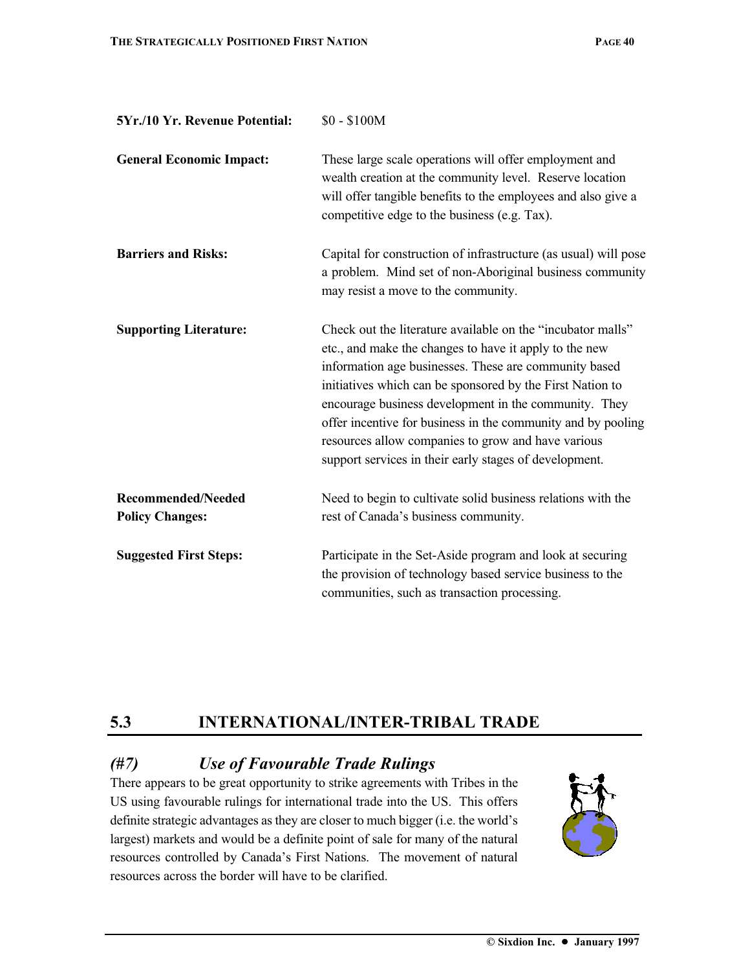| 5Yr./10 Yr. Revenue Potential:                      | $$0 - $100M$$                                                                                                                                                                                                                                                                                                                                                                                                                                                                        |
|-----------------------------------------------------|--------------------------------------------------------------------------------------------------------------------------------------------------------------------------------------------------------------------------------------------------------------------------------------------------------------------------------------------------------------------------------------------------------------------------------------------------------------------------------------|
| <b>General Economic Impact:</b>                     | These large scale operations will offer employment and<br>wealth creation at the community level. Reserve location<br>will offer tangible benefits to the employees and also give a<br>competitive edge to the business (e.g. Tax).                                                                                                                                                                                                                                                  |
| <b>Barriers and Risks:</b>                          | Capital for construction of infrastructure (as usual) will pose<br>a problem. Mind set of non-Aboriginal business community<br>may resist a move to the community.                                                                                                                                                                                                                                                                                                                   |
| <b>Supporting Literature:</b>                       | Check out the literature available on the "incubator malls"<br>etc., and make the changes to have it apply to the new<br>information age businesses. These are community based<br>initiatives which can be sponsored by the First Nation to<br>encourage business development in the community. They<br>offer incentive for business in the community and by pooling<br>resources allow companies to grow and have various<br>support services in their early stages of development. |
| <b>Recommended/Needed</b><br><b>Policy Changes:</b> | Need to begin to cultivate solid business relations with the<br>rest of Canada's business community.                                                                                                                                                                                                                                                                                                                                                                                 |
| <b>Suggested First Steps:</b>                       | Participate in the Set-Aside program and look at securing<br>the provision of technology based service business to the<br>communities, such as transaction processing.                                                                                                                                                                                                                                                                                                               |

## **5.3 INTERNATIONAL/INTER-TRIBAL TRADE**

## *(#7) Use of Favourable Trade Rulings*

There appears to be great opportunity to strike agreements with Tribes in the US using favourable rulings for international trade into the US. This offers definite strategic advantages as they are closer to much bigger (i.e. the world's largest) markets and would be a definite point of sale for many of the natural resources controlled by Canada's First Nations. The movement of natural resources across the border will have to be clarified.

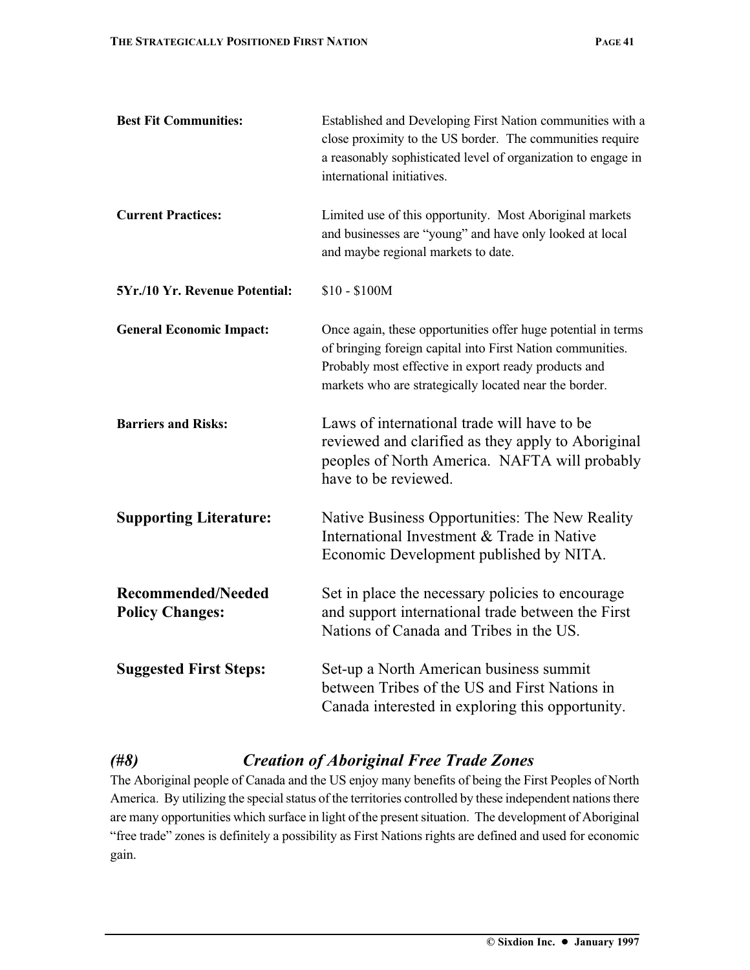| <b>Best Fit Communities:</b>                        | Established and Developing First Nation communities with a<br>close proximity to the US border. The communities require<br>a reasonably sophisticated level of organization to engage in<br>international initiatives.                        |
|-----------------------------------------------------|-----------------------------------------------------------------------------------------------------------------------------------------------------------------------------------------------------------------------------------------------|
| <b>Current Practices:</b>                           | Limited use of this opportunity. Most Aboriginal markets<br>and businesses are "young" and have only looked at local<br>and maybe regional markets to date.                                                                                   |
| 5Yr./10 Yr. Revenue Potential:                      | $$10 - $100M$                                                                                                                                                                                                                                 |
| <b>General Economic Impact:</b>                     | Once again, these opportunities offer huge potential in terms<br>of bringing foreign capital into First Nation communities.<br>Probably most effective in export ready products and<br>markets who are strategically located near the border. |
| <b>Barriers and Risks:</b>                          | Laws of international trade will have to be<br>reviewed and clarified as they apply to Aboriginal<br>peoples of North America. NAFTA will probably<br>have to be reviewed.                                                                    |
| <b>Supporting Literature:</b>                       | Native Business Opportunities: The New Reality<br>International Investment & Trade in Native<br>Economic Development published by NITA.                                                                                                       |
| <b>Recommended/Needed</b><br><b>Policy Changes:</b> | Set in place the necessary policies to encourage<br>and support international trade between the First<br>Nations of Canada and Tribes in the US.                                                                                              |
| <b>Suggested First Steps:</b>                       | Set-up a North American business summit<br>between Tribes of the US and First Nations in<br>Canada interested in exploring this opportunity.                                                                                                  |

## *(#8) Creation of Aboriginal Free Trade Zones*

The Aboriginal people of Canada and the US enjoy many benefits of being the First Peoples of North America. By utilizing the special status of the territories controlled by these independent nations there are many opportunities which surface in light of the present situation. The development of Aboriginal "free trade" zones is definitely a possibility as First Nations rights are defined and used for economic gain.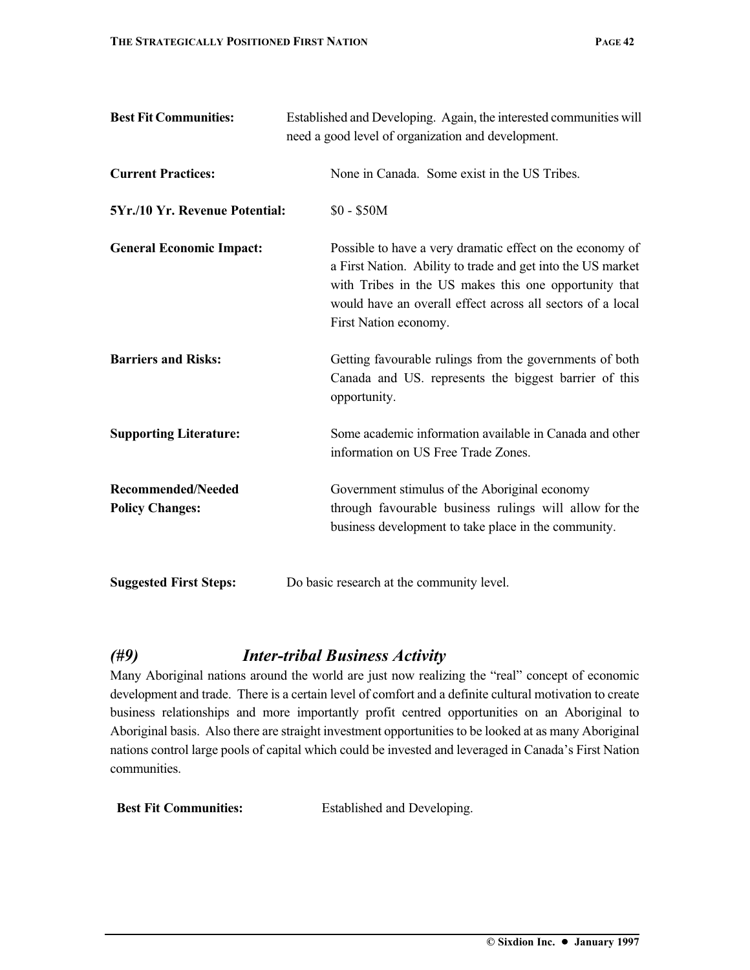| <b>Best Fit Communities:</b>                        | Established and Developing. Again, the interested communities will<br>need a good level of organization and development.                                                                                                                                                 |
|-----------------------------------------------------|--------------------------------------------------------------------------------------------------------------------------------------------------------------------------------------------------------------------------------------------------------------------------|
| <b>Current Practices:</b>                           | None in Canada. Some exist in the US Tribes.                                                                                                                                                                                                                             |
| 5Yr./10 Yr. Revenue Potential:                      | $$0 - $50M$$                                                                                                                                                                                                                                                             |
| <b>General Economic Impact:</b>                     | Possible to have a very dramatic effect on the economy of<br>a First Nation. Ability to trade and get into the US market<br>with Tribes in the US makes this one opportunity that<br>would have an overall effect across all sectors of a local<br>First Nation economy. |
| <b>Barriers and Risks:</b>                          | Getting favourable rulings from the governments of both<br>Canada and US. represents the biggest barrier of this<br>opportunity.                                                                                                                                         |
| <b>Supporting Literature:</b>                       | Some academic information available in Canada and other<br>information on US Free Trade Zones.                                                                                                                                                                           |
| <b>Recommended/Needed</b><br><b>Policy Changes:</b> | Government stimulus of the Aboriginal economy<br>through favourable business rulings will allow for the<br>business development to take place in the community.                                                                                                          |
| <b>Suggested First Steps:</b>                       | Do basic research at the community level.                                                                                                                                                                                                                                |

## *(#9) Inter-tribal Business Activity*

Many Aboriginal nations around the world are just now realizing the "real" concept of economic development and trade. There is a certain level of comfort and a definite cultural motivation to create business relationships and more importantly profit centred opportunities on an Aboriginal to Aboriginal basis. Also there are straight investment opportunities to be looked at as many Aboriginal nations control large pools of capital which could be invested and leveraged in Canada's First Nation communities.

**Best Fit Communities:** Established and Developing.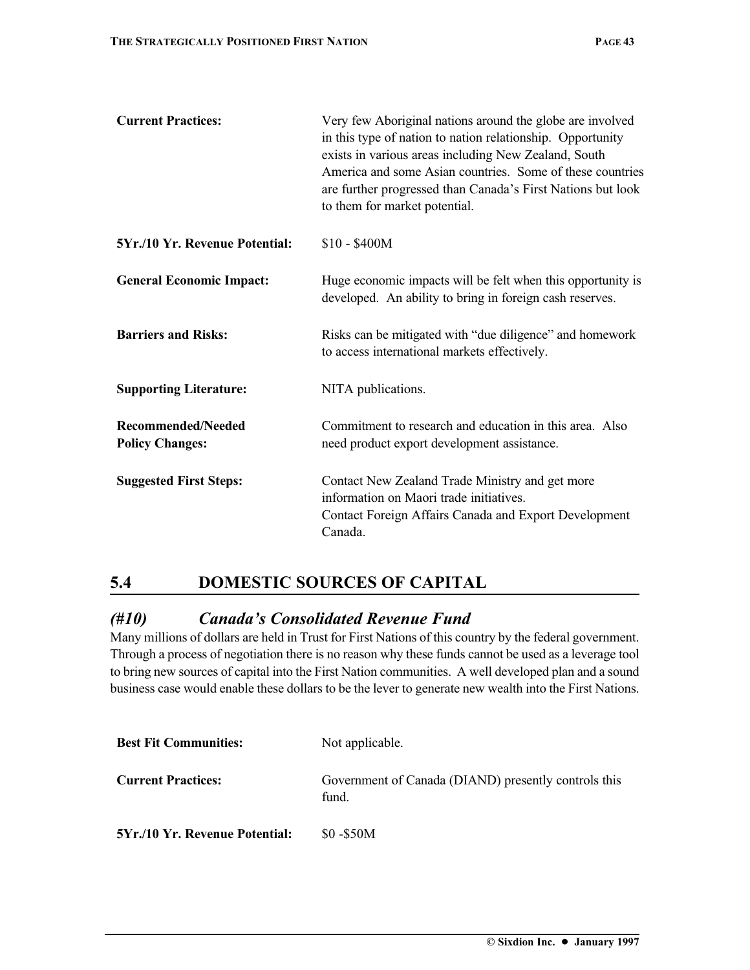| <b>Current Practices:</b>                    | Very few Aboriginal nations around the globe are involved<br>in this type of nation to nation relationship. Opportunity<br>exists in various areas including New Zealand, South<br>America and some Asian countries. Some of these countries<br>are further progressed than Canada's First Nations but look<br>to them for market potential. |
|----------------------------------------------|----------------------------------------------------------------------------------------------------------------------------------------------------------------------------------------------------------------------------------------------------------------------------------------------------------------------------------------------|
| 5Yr./10 Yr. Revenue Potential:               | \$10 - \$400M                                                                                                                                                                                                                                                                                                                                |
| <b>General Economic Impact:</b>              | Huge economic impacts will be felt when this opportunity is<br>developed. An ability to bring in foreign cash reserves.                                                                                                                                                                                                                      |
| <b>Barriers and Risks:</b>                   | Risks can be mitigated with "due diligence" and homework<br>to access international markets effectively.                                                                                                                                                                                                                                     |
| <b>Supporting Literature:</b>                | NITA publications.                                                                                                                                                                                                                                                                                                                           |
| Recommended/Needed<br><b>Policy Changes:</b> | Commitment to research and education in this area. Also<br>need product export development assistance.                                                                                                                                                                                                                                       |
| <b>Suggested First Steps:</b>                | Contact New Zealand Trade Ministry and get more<br>information on Maori trade initiatives.<br><b>Contact Foreign Affairs Canada and Export Development</b><br>Canada.                                                                                                                                                                        |

## **5.4 DOMESTIC SOURCES OF CAPITAL**

### *(#10) Canada's Consolidated Revenue Fund*

Many millions of dollars are held in Trust for First Nations of this country by the federal government. Through a process of negotiation there is no reason why these funds cannot be used as a leverage tool to bring new sources of capital into the First Nation communities. A well developed plan and a sound business case would enable these dollars to be the lever to generate new wealth into the First Nations.

| <b>Best Fit Communities:</b>   | Not applicable.                                               |
|--------------------------------|---------------------------------------------------------------|
| <b>Current Practices:</b>      | Government of Canada (DIAND) presently controls this<br>fund. |
| 5Yr./10 Yr. Revenue Potential: | \$0 - \$50M                                                   |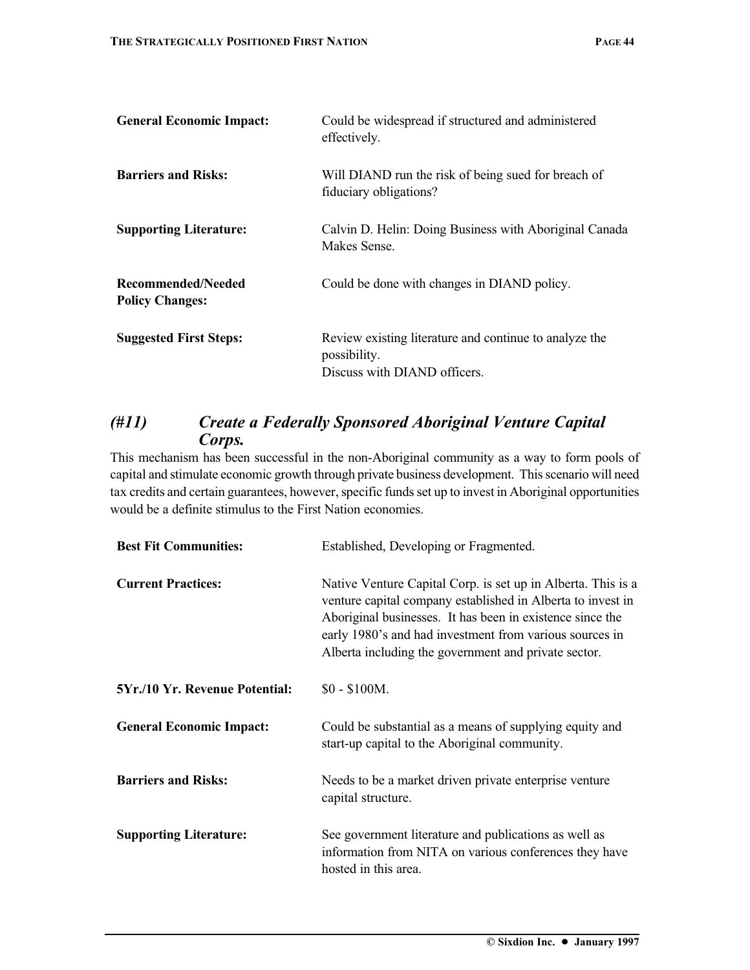| <b>General Economic Impact:</b>              | Could be widespread if structured and administered<br>effectively.                                     |
|----------------------------------------------|--------------------------------------------------------------------------------------------------------|
| <b>Barriers and Risks:</b>                   | Will DIAND run the risk of being sued for breach of<br>fiduciary obligations?                          |
| <b>Supporting Literature:</b>                | Calvin D. Helin: Doing Business with Aboriginal Canada<br>Makes Sense.                                 |
| Recommended/Needed<br><b>Policy Changes:</b> | Could be done with changes in DIAND policy.                                                            |
| <b>Suggested First Steps:</b>                | Review existing literature and continue to analyze the<br>possibility.<br>Discuss with DIAND officers. |

### *(#11) Create a Federally Sponsored Aboriginal Venture Capital Corps.*

This mechanism has been successful in the non-Aboriginal community as a way to form pools of capital and stimulate economic growth through private business development. This scenario will need tax credits and certain guarantees, however, specific funds set up to invest in Aboriginal opportunities would be a definite stimulus to the First Nation economies.

| <b>Best Fit Communities:</b>    | Established, Developing or Fragmented.                                                                                                                                                                                                                                                                      |
|---------------------------------|-------------------------------------------------------------------------------------------------------------------------------------------------------------------------------------------------------------------------------------------------------------------------------------------------------------|
| <b>Current Practices:</b>       | Native Venture Capital Corp. is set up in Alberta. This is a<br>venture capital company established in Alberta to invest in<br>Aboriginal businesses. It has been in existence since the<br>early 1980's and had investment from various sources in<br>Alberta including the government and private sector. |
| 5Yr./10 Yr. Revenue Potential:  | $$0 - $100M$.$                                                                                                                                                                                                                                                                                              |
| <b>General Economic Impact:</b> | Could be substantial as a means of supplying equity and<br>start-up capital to the Aboriginal community.                                                                                                                                                                                                    |
| <b>Barriers and Risks:</b>      | Needs to be a market driven private enterprise venture<br>capital structure.                                                                                                                                                                                                                                |
| <b>Supporting Literature:</b>   | See government literature and publications as well as<br>information from NITA on various conferences they have<br>hosted in this area.                                                                                                                                                                     |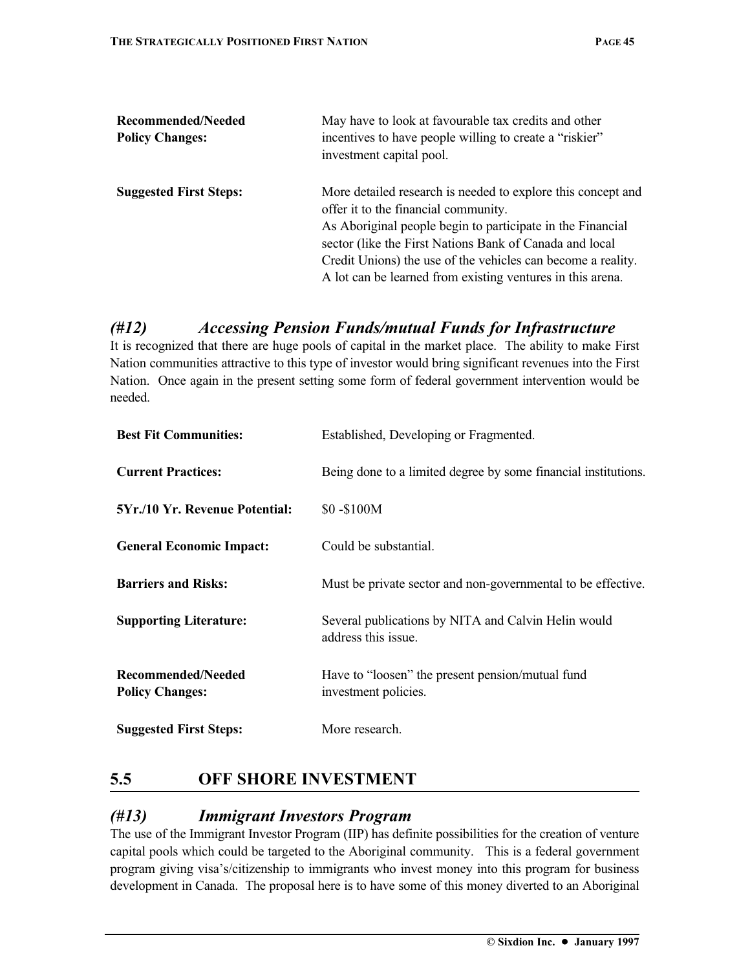| Recommended/Needed<br><b>Policy Changes:</b> | May have to look at favourable tax credits and other<br>incentives to have people willing to create a "riskier"<br>investment capital pool.                                                                                                                                                                                                                 |
|----------------------------------------------|-------------------------------------------------------------------------------------------------------------------------------------------------------------------------------------------------------------------------------------------------------------------------------------------------------------------------------------------------------------|
| <b>Suggested First Steps:</b>                | More detailed research is needed to explore this concept and<br>offer it to the financial community.<br>As Aboriginal people begin to participate in the Financial<br>sector (like the First Nations Bank of Canada and local<br>Credit Unions) the use of the vehicles can become a reality.<br>A lot can be learned from existing ventures in this arena. |

## *(#12) Accessing Pension Funds/mutual Funds for Infrastructure*

It is recognized that there are huge pools of capital in the market place. The ability to make First Nation communities attractive to this type of investor would bring significant revenues into the First Nation. Once again in the present setting some form of federal government intervention would be needed.

| <b>Best Fit Communities:</b>                 | Established, Developing or Fragmented.                                     |
|----------------------------------------------|----------------------------------------------------------------------------|
| <b>Current Practices:</b>                    | Being done to a limited degree by some financial institutions.             |
| <b>5Yr./10 Yr. Revenue Potential:</b>        | \$0 - \$100 M                                                              |
| <b>General Economic Impact:</b>              | Could be substantial.                                                      |
| <b>Barriers and Risks:</b>                   | Must be private sector and non-governmental to be effective.               |
| <b>Supporting Literature:</b>                | Several publications by NITA and Calvin Helin would<br>address this issue. |
| Recommended/Needed<br><b>Policy Changes:</b> | Have to "loosen" the present pension/mutual fund<br>investment policies.   |
| <b>Suggested First Steps:</b>                | More research.                                                             |

## **5.5 OFF SHORE INVESTMENT**

#### *(#13) Immigrant Investors Program*

The use of the Immigrant Investor Program (IIP) has definite possibilities for the creation of venture capital pools which could be targeted to the Aboriginal community. This is a federal government program giving visa's/citizenship to immigrants who invest money into this program for business development in Canada. The proposal here is to have some of this money diverted to an Aboriginal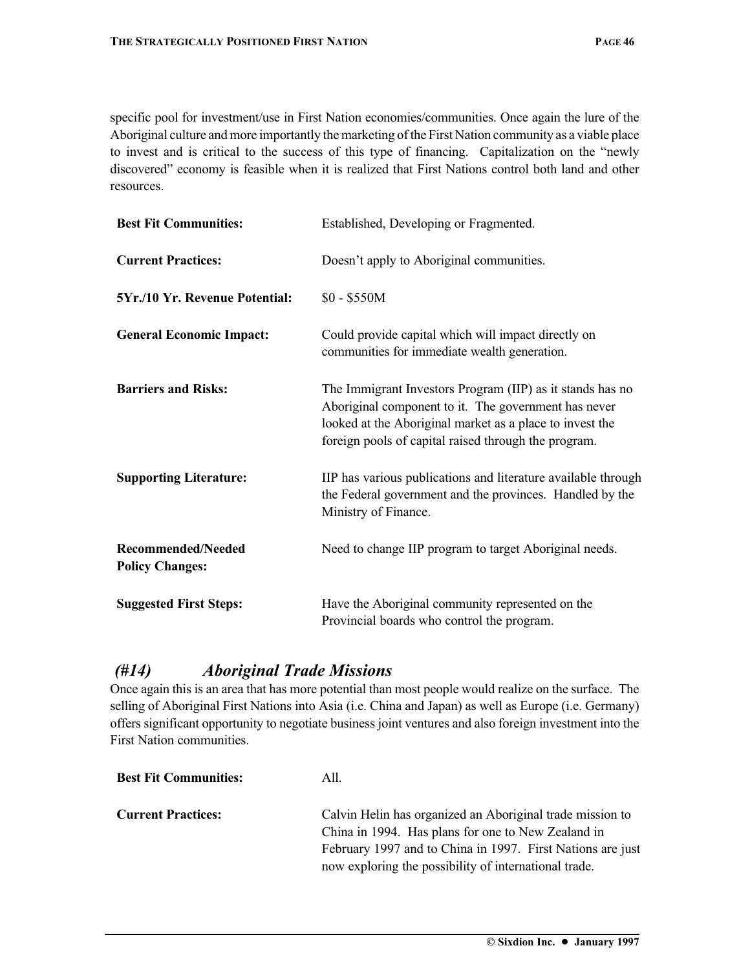specific pool for investment/use in First Nation economies/communities. Once again the lure of the Aboriginal culture and more importantly the marketing of the First Nation community as a viable place to invest and is critical to the success of this type of financing. Capitalization on the "newly discovered" economy is feasible when it is realized that First Nations control both land and other resources.

| <b>Best Fit Communities:</b>                        | Established, Developing or Fragmented.                                                                                                                                                                                                |
|-----------------------------------------------------|---------------------------------------------------------------------------------------------------------------------------------------------------------------------------------------------------------------------------------------|
| <b>Current Practices:</b>                           | Doesn't apply to Aboriginal communities.                                                                                                                                                                                              |
| 5Yr./10 Yr. Revenue Potential:                      | $$0 - $550M$$                                                                                                                                                                                                                         |
| <b>General Economic Impact:</b>                     | Could provide capital which will impact directly on<br>communities for immediate wealth generation.                                                                                                                                   |
| <b>Barriers and Risks:</b>                          | The Immigrant Investors Program (IIP) as it stands has no<br>Aboriginal component to it. The government has never<br>looked at the Aboriginal market as a place to invest the<br>foreign pools of capital raised through the program. |
| <b>Supporting Literature:</b>                       | IIP has various publications and literature available through<br>the Federal government and the provinces. Handled by the<br>Ministry of Finance.                                                                                     |
| <b>Recommended/Needed</b><br><b>Policy Changes:</b> | Need to change IIP program to target Aboriginal needs.                                                                                                                                                                                |
| <b>Suggested First Steps:</b>                       | Have the Aboriginal community represented on the<br>Provincial boards who control the program.                                                                                                                                        |

#### *(#14) Aboriginal Trade Missions*

Once again this is an area that has more potential than most people would realize on the surface. The selling of Aboriginal First Nations into Asia (i.e. China and Japan) as well as Europe (i.e. Germany) offers significant opportunity to negotiate business joint ventures and also foreign investment into the First Nation communities.

| <b>Best Fit Communities:</b> | A11.                                                                                                            |
|------------------------------|-----------------------------------------------------------------------------------------------------------------|
| <b>Current Practices:</b>    | Calvin Helin has organized an Aboriginal trade mission to<br>China in 1994. Has plans for one to New Zealand in |
|                              | February 1997 and to China in 1997. First Nations are just                                                      |
|                              | now exploring the possibility of international trade.                                                           |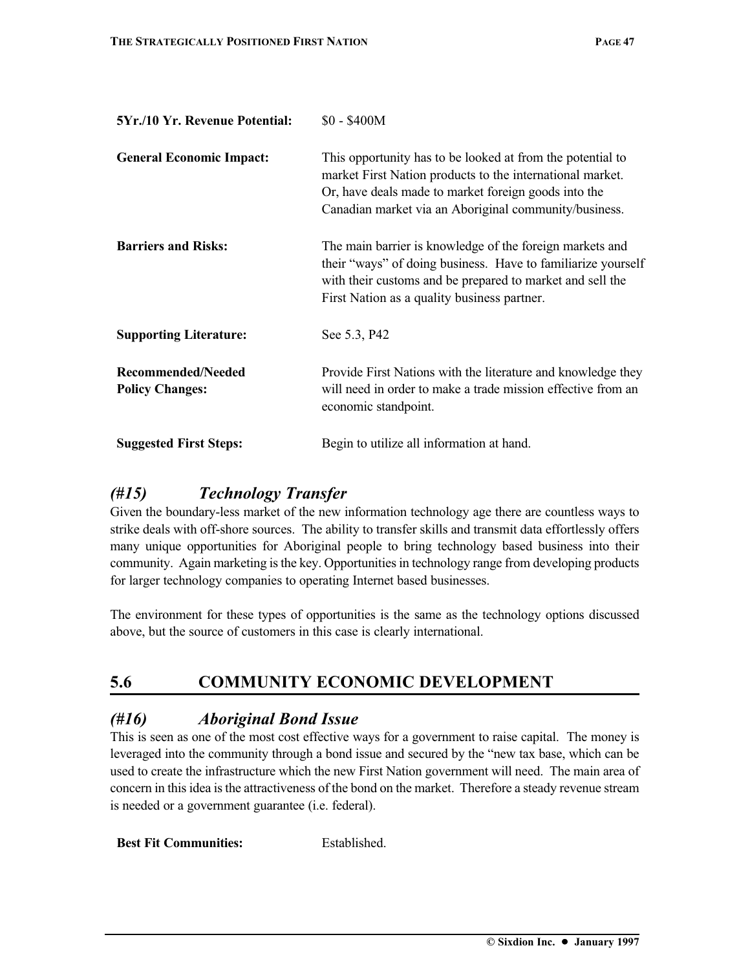| 5Yr./10 Yr. Revenue Potential:               | \$0 - \$400M                                                                                                                                                                                                                             |
|----------------------------------------------|------------------------------------------------------------------------------------------------------------------------------------------------------------------------------------------------------------------------------------------|
| <b>General Economic Impact:</b>              | This opportunity has to be looked at from the potential to<br>market First Nation products to the international market.<br>Or, have deals made to market foreign goods into the<br>Canadian market via an Aboriginal community/business. |
| <b>Barriers and Risks:</b>                   | The main barrier is knowledge of the foreign markets and<br>their "ways" of doing business. Have to familiarize yourself<br>with their customs and be prepared to market and sell the<br>First Nation as a quality business partner.     |
| <b>Supporting Literature:</b>                | See 5.3, P42                                                                                                                                                                                                                             |
| Recommended/Needed<br><b>Policy Changes:</b> | Provide First Nations with the literature and knowledge they<br>will need in order to make a trade mission effective from an<br>economic standpoint.                                                                                     |
| <b>Suggested First Steps:</b>                | Begin to utilize all information at hand.                                                                                                                                                                                                |

## *(#15) Technology Transfer*

Given the boundary-less market of the new information technology age there are countless ways to strike deals with off-shore sources. The ability to transfer skills and transmit data effortlessly offers many unique opportunities for Aboriginal people to bring technology based business into their community. Again marketing is the key. Opportunities in technology range from developing products for larger technology companies to operating Internet based businesses.

The environment for these types of opportunities is the same as the technology options discussed above, but the source of customers in this case is clearly international.

## **5.6 COMMUNITY ECONOMIC DEVELOPMENT**

### *(#16) Aboriginal Bond Issue*

This is seen as one of the most cost effective ways for a government to raise capital. The money is leveraged into the community through a bond issue and secured by the "new tax base, which can be used to create the infrastructure which the new First Nation government will need. The main area of concern in this idea is the attractiveness of the bond on the market. Therefore a steady revenue stream is needed or a government guarantee (i.e. federal).

**Best Fit Communities:** Established.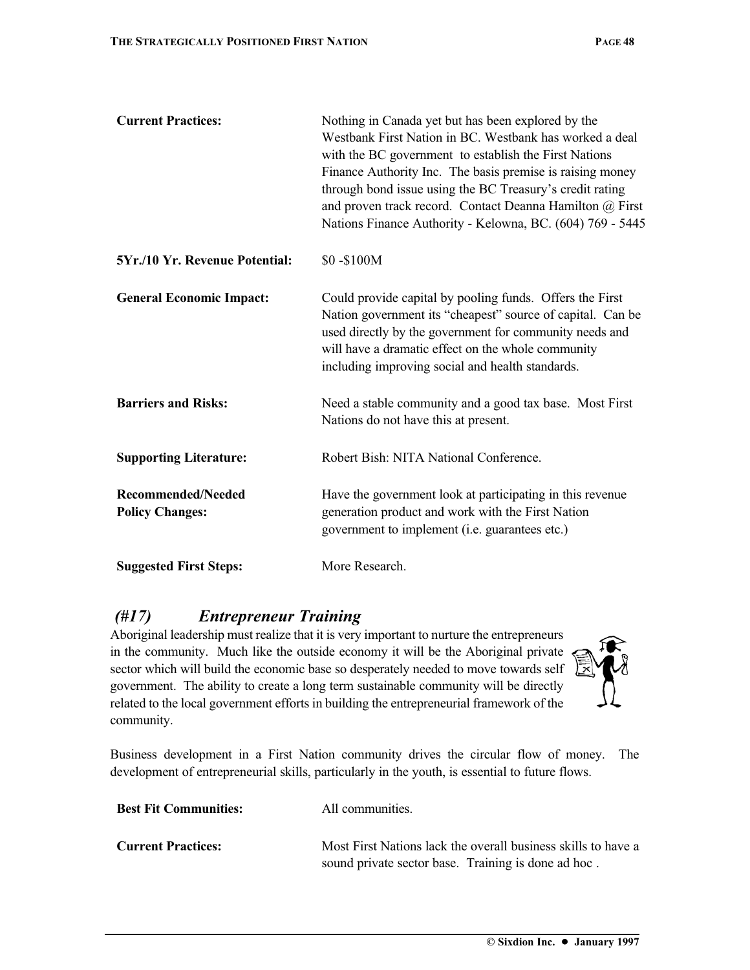| <b>Current Practices:</b>                           | Nothing in Canada yet but has been explored by the<br>Westbank First Nation in BC. Westbank has worked a deal<br>with the BC government to establish the First Nations<br>Finance Authority Inc. The basis premise is raising money<br>through bond issue using the BC Treasury's credit rating<br>and proven track record. Contact Deanna Hamilton @ First<br>Nations Finance Authority - Kelowna, BC. (604) 769 - 5445 |
|-----------------------------------------------------|--------------------------------------------------------------------------------------------------------------------------------------------------------------------------------------------------------------------------------------------------------------------------------------------------------------------------------------------------------------------------------------------------------------------------|
| 5Yr./10 Yr. Revenue Potential:                      | \$0-\$100M                                                                                                                                                                                                                                                                                                                                                                                                               |
| <b>General Economic Impact:</b>                     | Could provide capital by pooling funds. Offers the First<br>Nation government its "cheapest" source of capital. Can be<br>used directly by the government for community needs and<br>will have a dramatic effect on the whole community<br>including improving social and health standards.                                                                                                                              |
| <b>Barriers and Risks:</b>                          | Need a stable community and a good tax base. Most First<br>Nations do not have this at present.                                                                                                                                                                                                                                                                                                                          |
| <b>Supporting Literature:</b>                       | Robert Bish: NITA National Conference.                                                                                                                                                                                                                                                                                                                                                                                   |
| <b>Recommended/Needed</b><br><b>Policy Changes:</b> | Have the government look at participating in this revenue<br>generation product and work with the First Nation<br>government to implement (i.e. guarantees etc.)                                                                                                                                                                                                                                                         |
| <b>Suggested First Steps:</b>                       | More Research.                                                                                                                                                                                                                                                                                                                                                                                                           |

## *(#17) Entrepreneur Training*

Aboriginal leadership must realize that it is very important to nurture the entrepreneurs in the community. Much like the outside economy it will be the Aboriginal private sector which will build the economic base so desperately needed to move towards self government. The ability to create a long term sustainable community will be directly related to the local government efforts in building the entrepreneurial framework of the community.



Business development in a First Nation community drives the circular flow of money. The development of entrepreneurial skills, particularly in the youth, is essential to future flows.

| <b>Best Fit Communities:</b> | All communities.                                                                                                     |
|------------------------------|----------------------------------------------------------------------------------------------------------------------|
| <b>Current Practices:</b>    | Most First Nations lack the overall business skills to have a<br>sound private sector base. Training is done ad hoc. |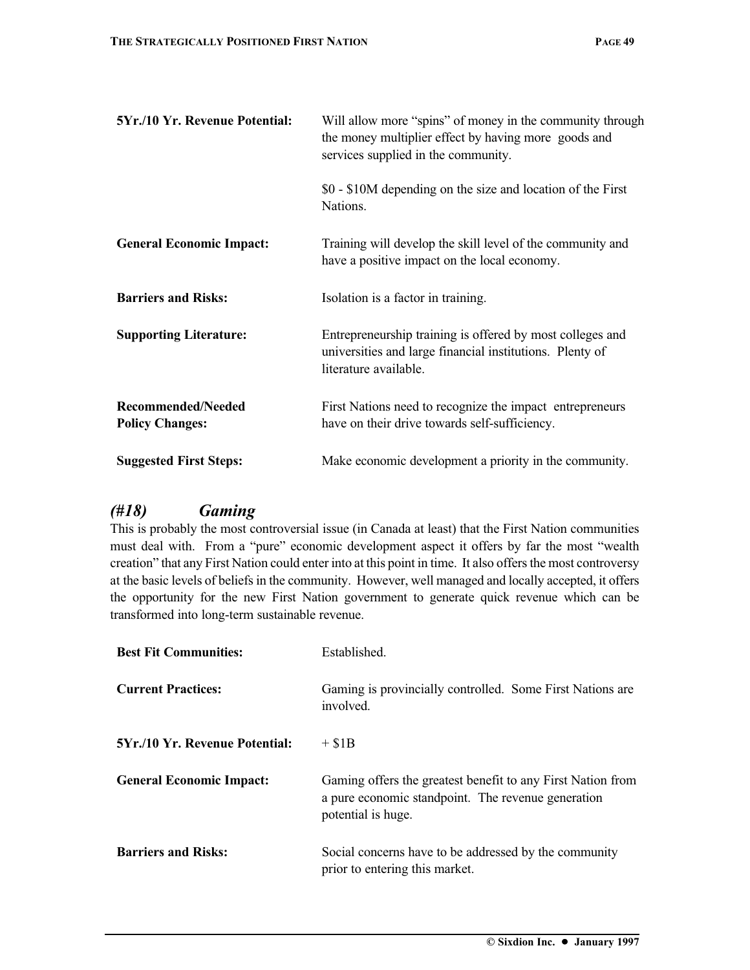| \$0 - \$10M depending on the size and location of the First |
|-------------------------------------------------------------|
| Training will develop the skill level of the community and  |
|                                                             |
| Entrepreneurship training is offered by most colleges and   |
| First Nations need to recognize the impact entrepreneurs    |
| Make economic development a priority in the community.      |
|                                                             |

#### *(#18) Gaming*

This is probably the most controversial issue (in Canada at least) that the First Nation communities must deal with. From a "pure" economic development aspect it offers by far the most "wealth creation" that any First Nation could enter into at this point in time. It also offers the most controversy at the basic levels of beliefs in the community. However, well managed and locally accepted, it offers the opportunity for the new First Nation government to generate quick revenue which can be transformed into long-term sustainable revenue.

| <b>Best Fit Communities:</b>          | Established.                                                                                                                            |
|---------------------------------------|-----------------------------------------------------------------------------------------------------------------------------------------|
| <b>Current Practices:</b>             | Gaming is provincially controlled. Some First Nations are<br>involved.                                                                  |
| <b>5Yr./10 Yr. Revenue Potential:</b> | $+ $1B$                                                                                                                                 |
| <b>General Economic Impact:</b>       | Gaming offers the greatest benefit to any First Nation from<br>a pure economic standpoint. The revenue generation<br>potential is huge. |
| <b>Barriers and Risks:</b>            | Social concerns have to be addressed by the community<br>prior to entering this market.                                                 |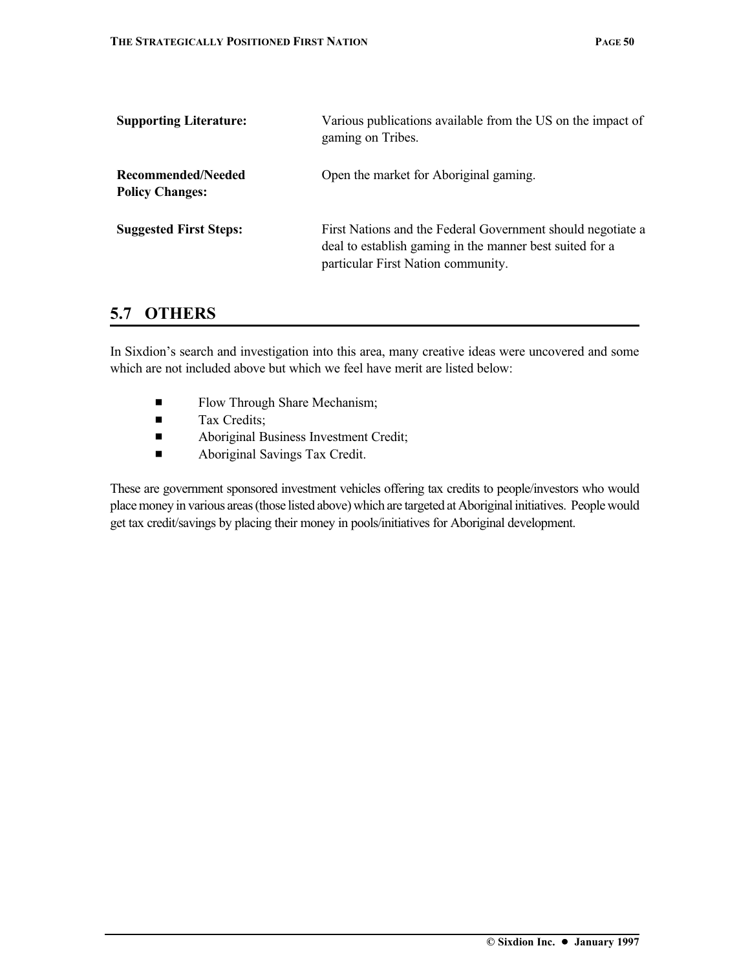| <b>Supporting Literature:</b>                | Various publications available from the US on the impact of<br>gaming on Tribes.                                                                              |
|----------------------------------------------|---------------------------------------------------------------------------------------------------------------------------------------------------------------|
| Recommended/Needed<br><b>Policy Changes:</b> | Open the market for Aboriginal gaming.                                                                                                                        |
| <b>Suggested First Steps:</b>                | First Nations and the Federal Government should negotiate a<br>deal to establish gaming in the manner best suited for a<br>particular First Nation community. |

### **5.7 OTHERS**

In Sixdion's search and investigation into this area, many creative ideas were uncovered and some which are not included above but which we feel have merit are listed below:

- **Exercise Flow Through Share Mechanism;**
- **Tax Credits:**
- **Exercise 2** Aboriginal Business Investment Credit;
- **Exercise 2** Aboriginal Savings Tax Credit.

These are government sponsored investment vehicles offering tax credits to people/investors who would place money in various areas (those listed above) which are targeted at Aboriginal initiatives. People would get tax credit/savings by placing their money in pools/initiatives for Aboriginal development.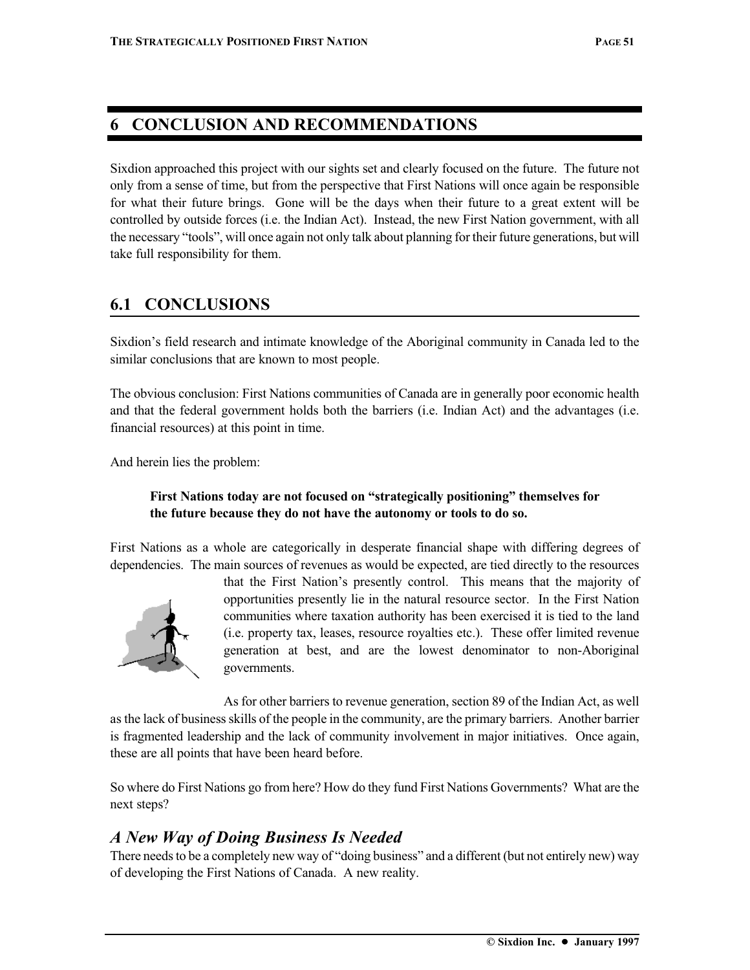## **6 CONCLUSION AND RECOMMENDATIONS**

Sixdion approached this project with our sights set and clearly focused on the future. The future not only from a sense of time, but from the perspective that First Nations will once again be responsible for what their future brings. Gone will be the days when their future to a great extent will be controlled by outside forces (i.e. the Indian Act). Instead, the new First Nation government, with all the necessary "tools", will once again not only talk about planning for their future generations, but will take full responsibility for them.

## **6.1 CONCLUSIONS**

Sixdion's field research and intimate knowledge of the Aboriginal community in Canada led to the similar conclusions that are known to most people.

The obvious conclusion: First Nations communities of Canada are in generally poor economic health and that the federal government holds both the barriers (i.e. Indian Act) and the advantages (i.e. financial resources) at this point in time.

And herein lies the problem:

#### **First Nations today are not focused on "strategically positioning" themselves for the future because they do not have the autonomy or tools to do so.**

First Nations as a whole are categorically in desperate financial shape with differing degrees of dependencies. The main sources of revenues as would be expected, are tied directly to the resources



that the First Nation's presently control. This means that the majority of opportunities presently lie in the natural resource sector. In the First Nation communities where taxation authority has been exercised it is tied to the land (i.e. property tax, leases, resource royalties etc.). These offer limited revenue generation at best, and are the lowest denominator to non-Aboriginal governments.

As for other barriers to revenue generation, section 89 of the Indian Act, as well as the lack of business skills of the people in the community, are the primary barriers. Another barrier is fragmented leadership and the lack of community involvement in major initiatives. Once again, these are all points that have been heard before.

So where do First Nations go from here? How do they fund First Nations Governments? What are the next steps?

### *A New Way of Doing Business Is Needed*

There needs to be a completely new way of "doing business" and a different (but not entirely new) way of developing the First Nations of Canada. A new reality.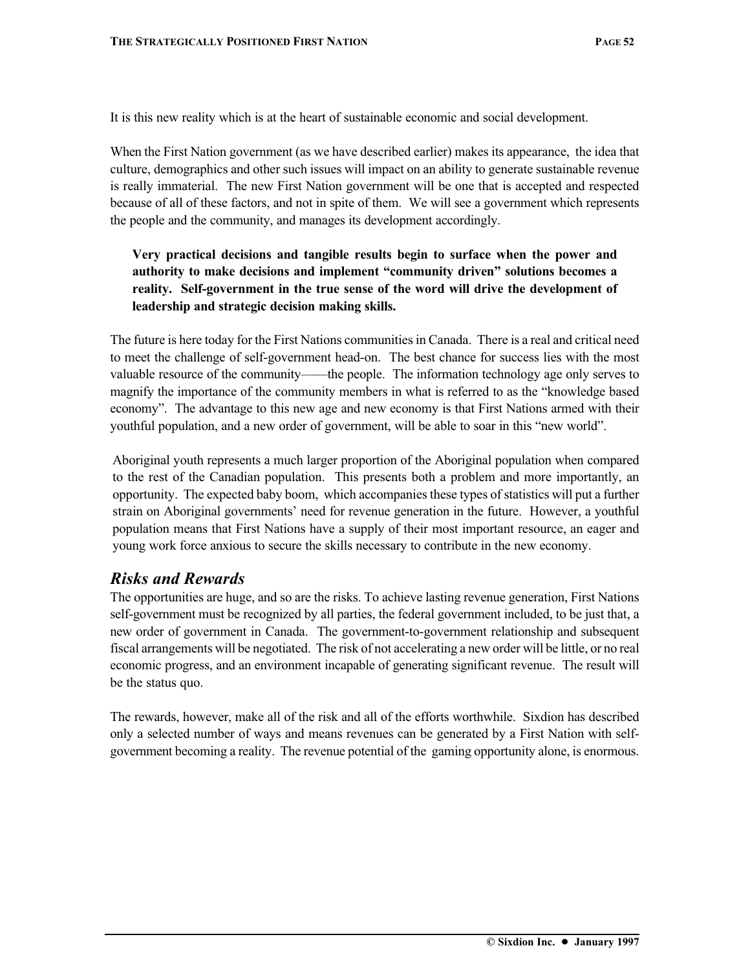It is this new reality which is at the heart of sustainable economic and social development.

When the First Nation government (as we have described earlier) makes its appearance, the idea that culture, demographics and other such issues will impact on an ability to generate sustainable revenue is really immaterial. The new First Nation government will be one that is accepted and respected because of all of these factors, and not in spite of them. We will see a government which represents the people and the community, and manages its development accordingly.

#### **Very practical decisions and tangible results begin to surface when the power and authority to make decisions and implement "community driven" solutions becomes a reality. Self-government in the true sense of the word will drive the development of leadership and strategic decision making skills.**

The future is here today for the First Nations communities in Canada. There is a real and critical need to meet the challenge of self-government head-on. The best chance for success lies with the most valuable resource of the community——the people. The information technology age only serves to magnify the importance of the community members in what is referred to as the "knowledge based economy". The advantage to this new age and new economy is that First Nations armed with their youthful population, and a new order of government, will be able to soar in this "new world".

Aboriginal youth represents a much larger proportion of the Aboriginal population when compared to the rest of the Canadian population. This presents both a problem and more importantly, an opportunity. The expected baby boom, which accompanies these types of statistics will put a further strain on Aboriginal governments' need for revenue generation in the future. However, a youthful population means that First Nations have a supply of their most important resource, an eager and young work force anxious to secure the skills necessary to contribute in the new economy.

#### *Risks and Rewards*

The opportunities are huge, and so are the risks. To achieve lasting revenue generation, First Nations self-government must be recognized by all parties, the federal government included, to be just that, a new order of government in Canada. The government-to-government relationship and subsequent fiscal arrangements will be negotiated. The risk of not accelerating a new order will be little, or no real economic progress, and an environment incapable of generating significant revenue. The result will be the status quo.

The rewards, however, make all of the risk and all of the efforts worthwhile. Sixdion has described only a selected number of ways and means revenues can be generated by a First Nation with selfgovernment becoming a reality. The revenue potential of the gaming opportunity alone, is enormous.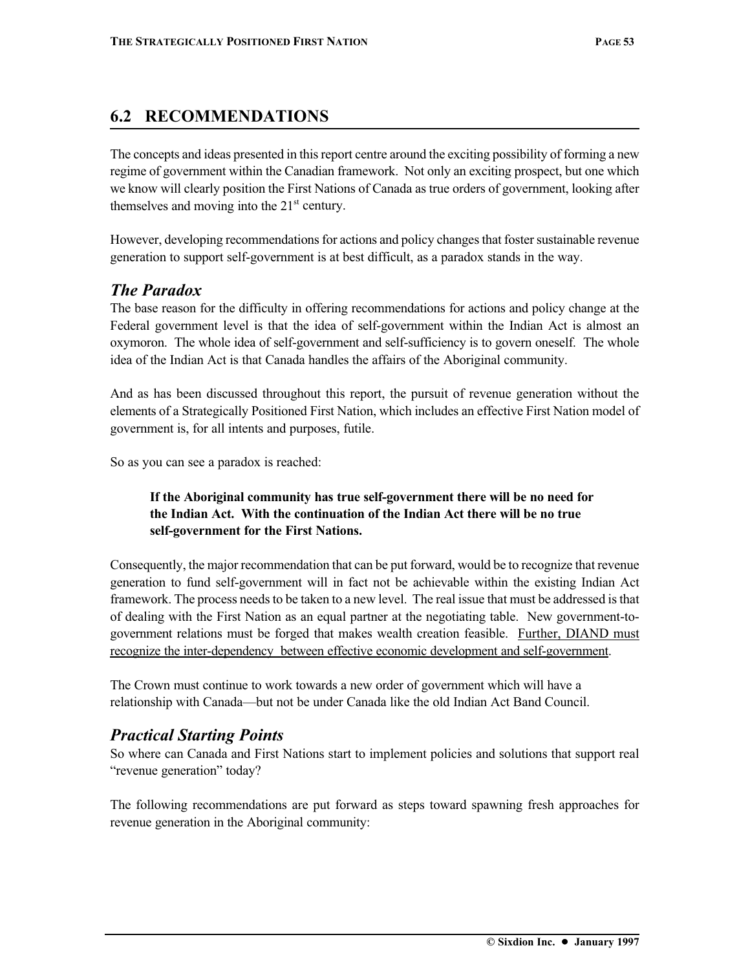## **6.2 RECOMMENDATIONS**

The concepts and ideas presented in this report centre around the exciting possibility of forming a new regime of government within the Canadian framework. Not only an exciting prospect, but one which we know will clearly position the First Nations of Canada as true orders of government, looking after themselves and moving into the  $21<sup>st</sup>$  century.

However, developing recommendations for actions and policy changes that foster sustainable revenue generation to support self-government is at best difficult, as a paradox stands in the way.

#### *The Paradox*

The base reason for the difficulty in offering recommendations for actions and policy change at the Federal government level is that the idea of self-government within the Indian Act is almost an oxymoron. The whole idea of self-government and self-sufficiency is to govern oneself. The whole idea of the Indian Act is that Canada handles the affairs of the Aboriginal community.

And as has been discussed throughout this report, the pursuit of revenue generation without the elements of a Strategically Positioned First Nation, which includes an effective First Nation model of government is, for all intents and purposes, futile.

So as you can see a paradox is reached:

#### **If the Aboriginal community has true self-government there will be no need for the Indian Act. With the continuation of the Indian Act there will be no true self-government for the First Nations.**

Consequently, the major recommendation that can be put forward, would be to recognize that revenue generation to fund self-government will in fact not be achievable within the existing Indian Act framework. The process needs to be taken to a new level. The real issue that must be addressed is that of dealing with the First Nation as an equal partner at the negotiating table. New government-togovernment relations must be forged that makes wealth creation feasible. Further, DIAND must recognize the inter-dependency between effective economic development and self-government.

The Crown must continue to work towards a new order of government which will have a relationship with Canada—but not be under Canada like the old Indian Act Band Council.

#### *Practical Starting Points*

So where can Canada and First Nations start to implement policies and solutions that support real "revenue generation" today?

The following recommendations are put forward as steps toward spawning fresh approaches for revenue generation in the Aboriginal community: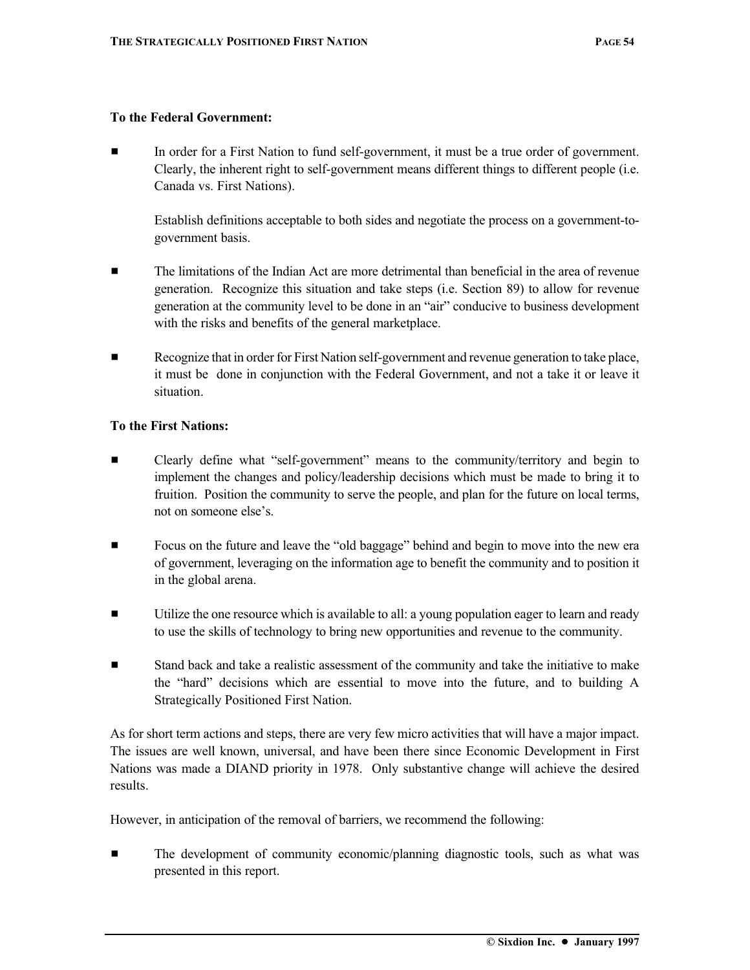#### **To the Federal Government:**

In order for a First Nation to fund self-government, it must be a true order of government. Clearly, the inherent right to self-government means different things to different people (i.e. Canada vs. First Nations).

Establish definitions acceptable to both sides and negotiate the process on a government-togovernment basis.

- $\blacksquare$  The limitations of the Indian Act are more detrimental than beneficial in the area of revenue generation. Recognize this situation and take steps (i.e. Section 89) to allow for revenue generation at the community level to be done in an "air" conducive to business development with the risks and benefits of the general marketplace.
- **EXECOGNIZE:** Recognize that in order for First Nation self-government and revenue generation to take place, it must be done in conjunction with the Federal Government, and not a take it or leave it situation.

#### **To the First Nations:**

- Clearly define what "self-government" means to the community/territory and begin to implement the changes and policy/leadership decisions which must be made to bring it to fruition. Position the community to serve the people, and plan for the future on local terms, not on someone else's.
- Focus on the future and leave the "old baggage" behind and begin to move into the new era of government, leveraging on the information age to benefit the community and to position it in the global arena.
- $\blacksquare$  Utilize the one resource which is available to all: a young population eager to learn and ready to use the skills of technology to bring new opportunities and revenue to the community.
- **Example 1** Stand back and take a realistic assessment of the community and take the initiative to make the "hard" decisions which are essential to move into the future, and to building A Strategically Positioned First Nation.

As for short term actions and steps, there are very few micro activities that will have a major impact. The issues are well known, universal, and have been there since Economic Development in First Nations was made a DIAND priority in 1978. Only substantive change will achieve the desired results.

However, in anticipation of the removal of barriers, we recommend the following:

**Example 1** The development of community economic/planning diagnostic tools, such as what was presented in this report.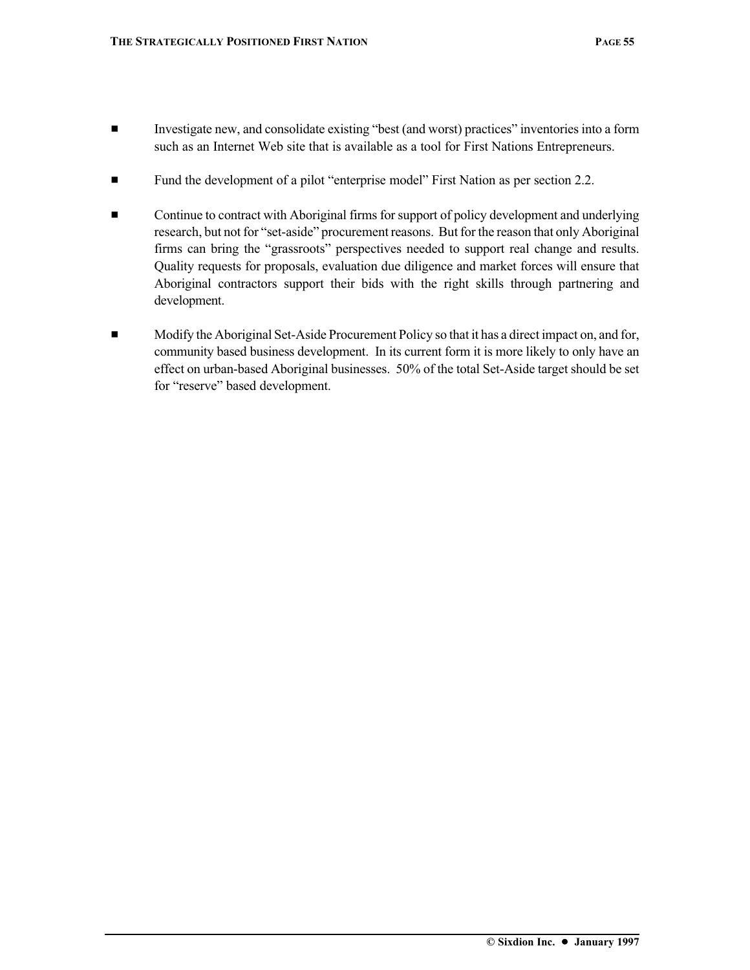- $\blacksquare$  Investigate new, and consolidate existing "best (and worst) practices" inventories into a form such as an Internet Web site that is available as a tool for First Nations Entrepreneurs.
- **Example 1** Fund the development of a pilot "enterprise model" First Nation as per section 2.2.
- **Example 3** Continue to contract with Aboriginal firms for support of policy development and underlying research, but not for "set-aside" procurement reasons. But for the reason that only Aboriginal firms can bring the "grassroots" perspectives needed to support real change and results. Quality requests for proposals, evaluation due diligence and market forces will ensure that Aboriginal contractors support their bids with the right skills through partnering and development.
- $\blacksquare$  Modify the Aboriginal Set-Aside Procurement Policy so that it has a direct impact on, and for, community based business development. In its current form it is more likely to only have an effect on urban-based Aboriginal businesses. 50% of the total Set-Aside target should be set for "reserve" based development.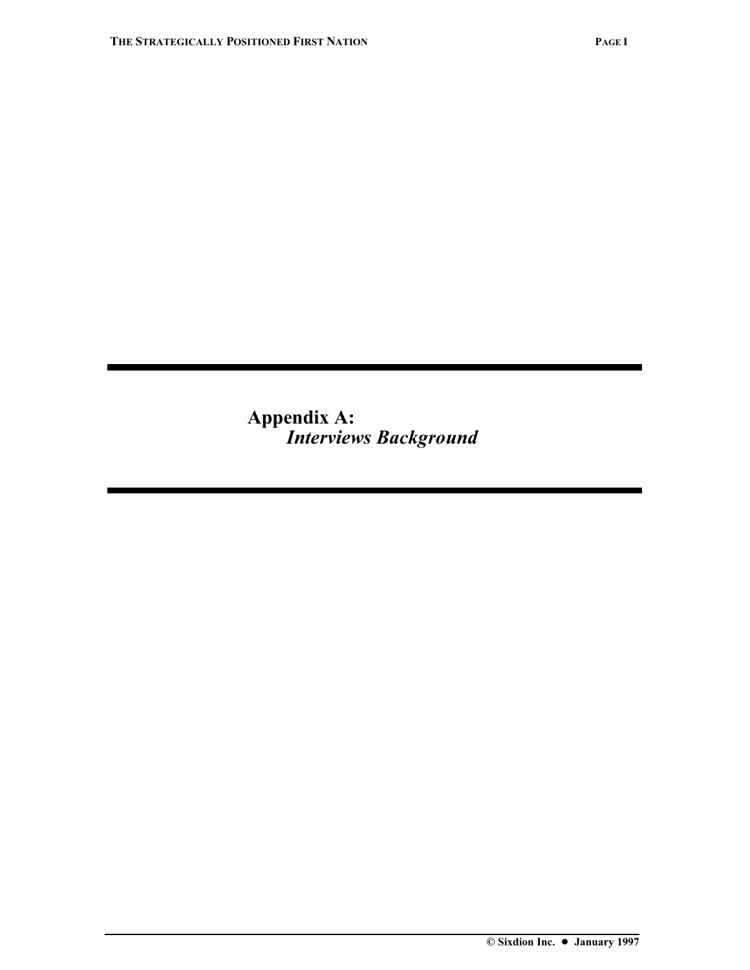**Appendix A:** *Interviews Background*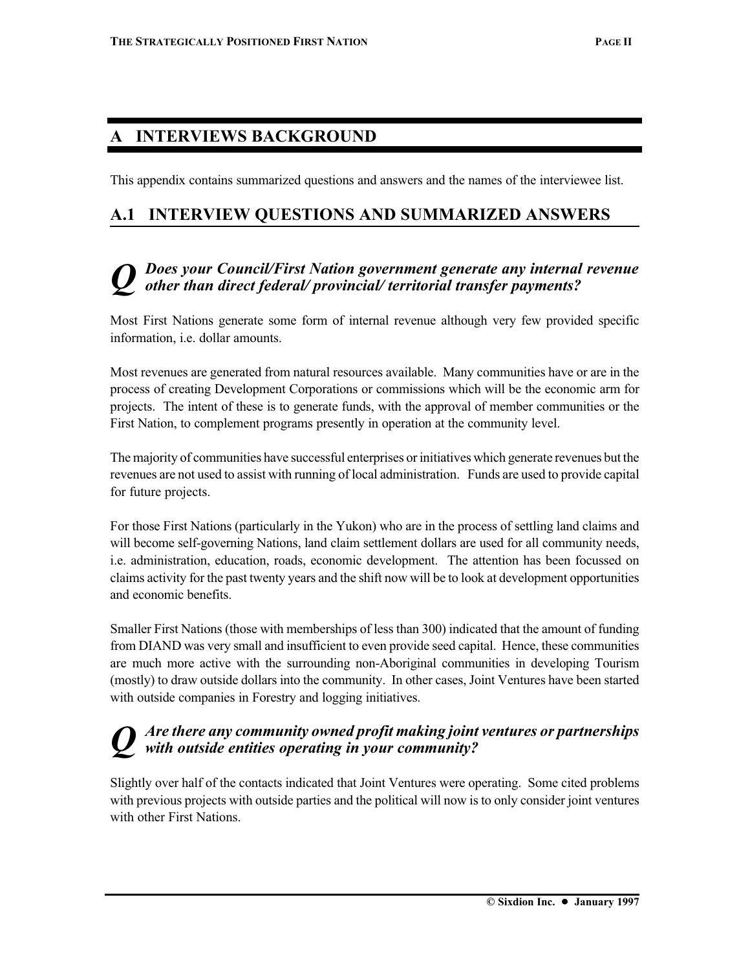## **A INTERVIEWS BACKGROUND**

This appendix contains summarized questions and answers and the names of the interviewee list.

## **A.1 INTERVIEW QUESTIONS AND SUMMARIZED ANSWERS**

## *Q Does your Council/First Nation government generate any internal revenue other than direct federal/ provincial/ territorial transfer payments?*

Most First Nations generate some form of internal revenue although very few provided specific information, i.e. dollar amounts.

Most revenues are generated from natural resources available. Many communities have or are in the process of creating Development Corporations or commissions which will be the economic arm for projects. The intent of these is to generate funds, with the approval of member communities or the First Nation, to complement programs presently in operation at the community level.

The majority of communities have successful enterprises or initiatives which generate revenues but the revenues are not used to assist with running of local administration. Funds are used to provide capital for future projects.

For those First Nations (particularly in the Yukon) who are in the process of settling land claims and will become self-governing Nations, land claim settlement dollars are used for all community needs, i.e. administration, education, roads, economic development. The attention has been focussed on claims activity for the past twenty years and the shift now will be to look at development opportunities and economic benefits.

Smaller First Nations (those with memberships of less than 300) indicated that the amount of funding from DIAND was very small and insufficient to even provide seed capital. Hence, these communities are much more active with the surrounding non-Aboriginal communities in developing Tourism (mostly) to draw outside dollars into the community. In other cases, Joint Ventures have been started with outside companies in Forestry and logging initiatives.

## *Q Are there any community owned profit making joint ventures or partnerships with outside entities operating in your community?*

Slightly over half of the contacts indicated that Joint Ventures were operating. Some cited problems with previous projects with outside parties and the political will now is to only consider joint ventures with other First Nations.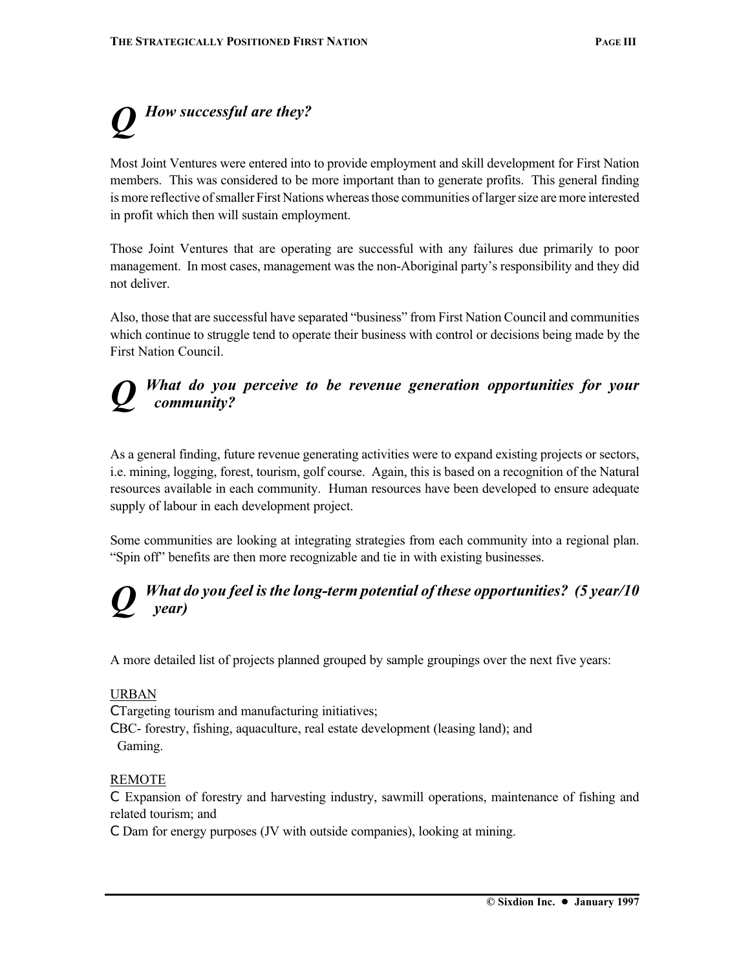## **How successful are they?**

Most Joint Ventures were entered into to provide employment and skill development for First Nation members. This was considered to be more important than to generate profits. This general finding is more reflective of smaller First Nations whereas those communities of larger size are more interested in profit which then will sustain employment.

Those Joint Ventures that are operating are successful with any failures due primarily to poor management. In most cases, management was the non-Aboriginal party's responsibility and they did not deliver.

Also, those that are successful have separated "business" from First Nation Council and communities which continue to struggle tend to operate their business with control or decisions being made by the First Nation Council.

### *Q What do you perceive to be revenue generation opportunities for your community?*

As a general finding, future revenue generating activities were to expand existing projects or sectors, i.e. mining, logging, forest, tourism, golf course. Again, this is based on a recognition of the Natural resources available in each community. Human resources have been developed to ensure adequate supply of labour in each development project.

Some communities are looking at integrating strategies from each community into a regional plan. "Spin off" benefits are then more recognizable and tie in with existing businesses.

## *Q What do you feel is the long-term potential of these opportunities? (5 year/10 year)*

A more detailed list of projects planned grouped by sample groupings over the next five years:

#### URBAN

C Targeting tourism and manufacturing initiatives;

C BC- forestry, fishing, aquaculture, real estate development (leasing land); and Gaming.

#### REMOTE

C Expansion of forestry and harvesting industry, sawmill operations, maintenance of fishing and related tourism; and

C Dam for energy purposes (JV with outside companies), looking at mining.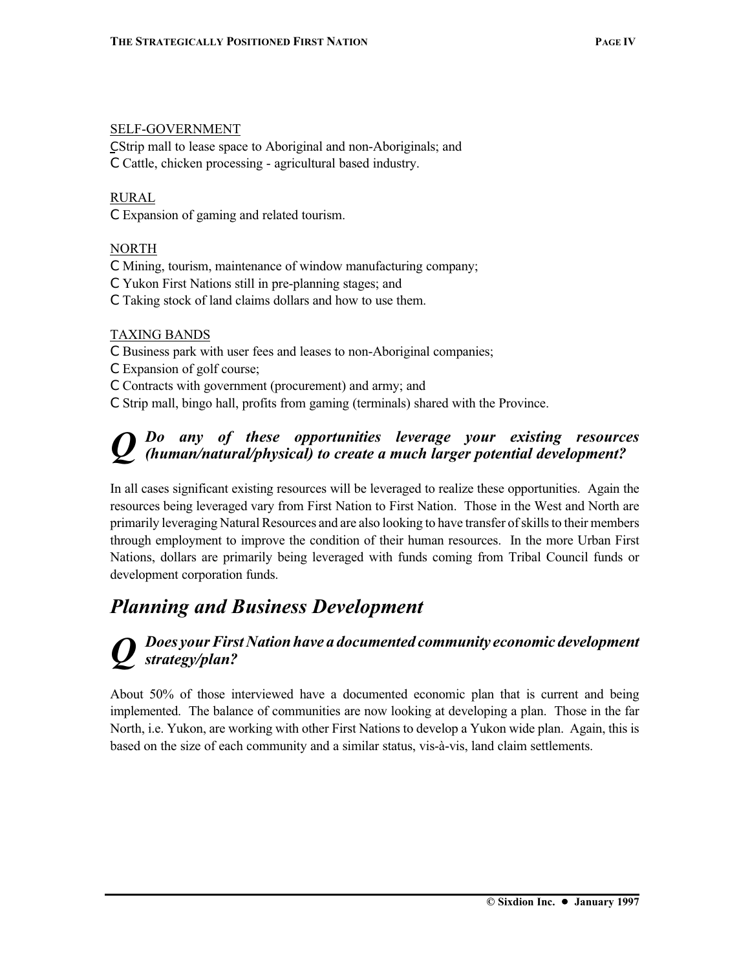#### SELF-GOVERNMENT

C Strip mall to lease space to Aboriginal and non-Aboriginals; and

C Cattle, chicken processing - agricultural based industry.

#### RURAL

C Expansion of gaming and related tourism.

#### NORTH

- C Mining, tourism, maintenance of window manufacturing company;
- C Yukon First Nations still in pre-planning stages; and
- C Taking stock of land claims dollars and how to use them.

#### TAXING BANDS

- C Business park with user fees and leases to non-Aboriginal companies;
- C Expansion of golf course;
- C Contracts with government (procurement) and army; and
- C Strip mall, bingo hall, profits from gaming (terminals) shared with the Province.

## *Q Do any of these opportunities leverage your existing resources (human/natural/physical) to create a much larger potential development?*

In all cases significant existing resources will be leveraged to realize these opportunities. Again the resources being leveraged vary from First Nation to First Nation. Those in the West and North are primarily leveraging Natural Resources and are also looking to have transfer of skills to their members through employment to improve the condition of their human resources. In the more Urban First Nations, dollars are primarily being leveraged with funds coming from Tribal Council funds or development corporation funds.

## *Planning and Business Development*

### *Q Does your First Nation have a documented community economic development strategy/plan?*

About 50% of those interviewed have a documented economic plan that is current and being implemented. The balance of communities are now looking at developing a plan. Those in the far North, i.e. Yukon, are working with other First Nations to develop a Yukon wide plan. Again, this is based on the size of each community and a similar status, vis-à-vis, land claim settlements.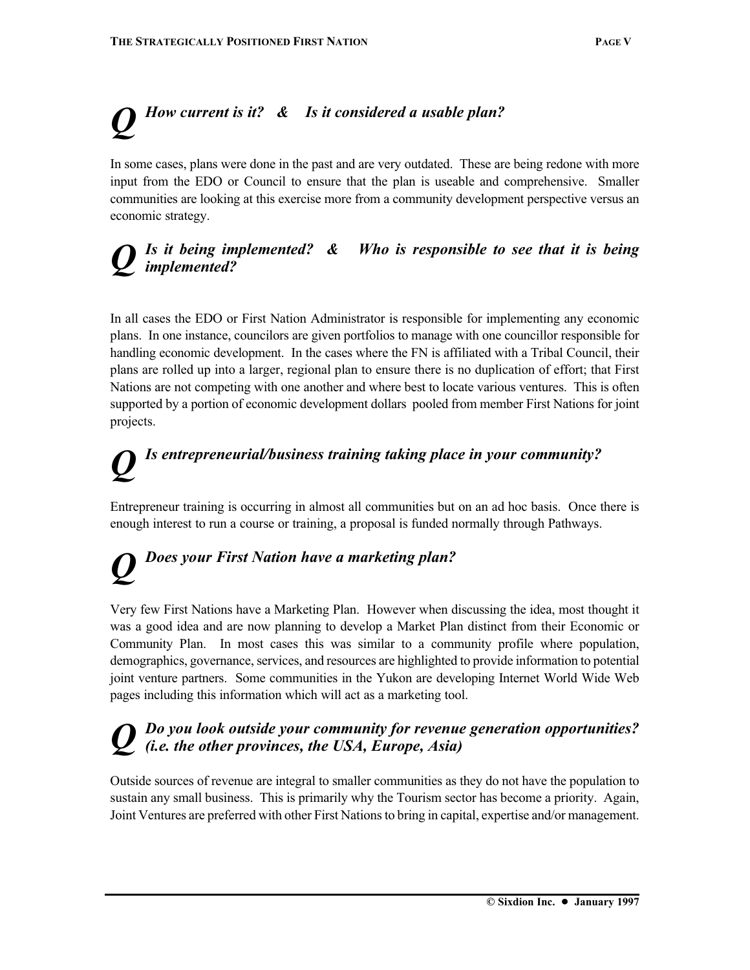## *Q How current is it? & Is it considered a usable plan?*

In some cases, plans were done in the past and are very outdated. These are being redone with more input from the EDO or Council to ensure that the plan is useable and comprehensive. Smaller communities are looking at this exercise more from a community development perspective versus an economic strategy.

## *Q Is it being implemented? & Who is responsible to see that it is being implemented?*

In all cases the EDO or First Nation Administrator is responsible for implementing any economic plans. In one instance, councilors are given portfolios to manage with one councillor responsible for handling economic development. In the cases where the FN is affiliated with a Tribal Council, their plans are rolled up into a larger, regional plan to ensure there is no duplication of effort; that First Nations are not competing with one another and where best to locate various ventures. This is often supported by a portion of economic development dollars pooled from member First Nations for joint projects.

# *Q Is entrepreneurial/business training taking place in your community?*

Entrepreneur training is occurring in almost all communities but on an ad hoc basis. Once there is enough interest to run a course or training, a proposal is funded normally through Pathways.

# *Does your First Nation have a marketing plan?*

Very few First Nations have a Marketing Plan. However when discussing the idea, most thought it was a good idea and are now planning to develop a Market Plan distinct from their Economic or Community Plan. In most cases this was similar to a community profile where population, demographics, governance, services, and resources are highlighted to provide information to potential joint venture partners. Some communities in the Yukon are developing Internet World Wide Web pages including this information which will act as a marketing tool.

## *Do you look outside your community for revenue generation opportunities? (i.e. the other provinces, the USA, Europe, Asia)*

Outside sources of revenue are integral to smaller communities as they do not have the population to sustain any small business. This is primarily why the Tourism sector has become a priority. Again, Joint Ventures are preferred with other First Nations to bring in capital, expertise and/or management.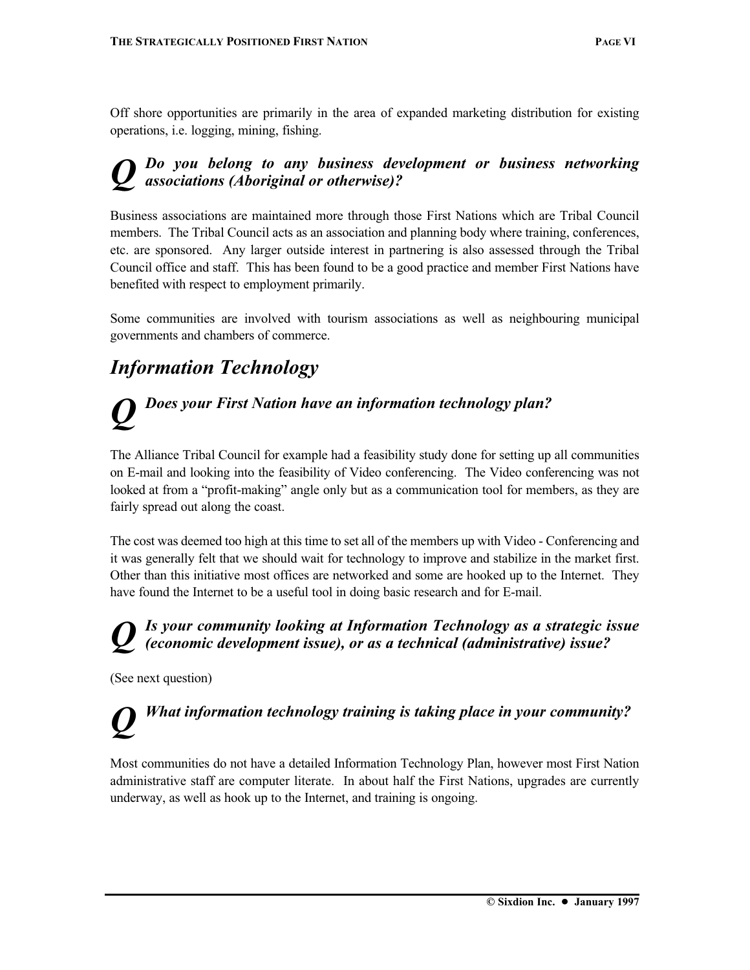Off shore opportunities are primarily in the area of expanded marketing distribution for existing operations, i.e. logging, mining, fishing.

## *Q Do you belong to any business development or business networking associations (Aboriginal or otherwise)?*

Business associations are maintained more through those First Nations which are Tribal Council members. The Tribal Council acts as an association and planning body where training, conferences, etc. are sponsored. Any larger outside interest in partnering is also assessed through the Tribal Council office and staff. This has been found to be a good practice and member First Nations have benefited with respect to employment primarily.

Some communities are involved with tourism associations as well as neighbouring municipal governments and chambers of commerce.

## *Information Technology*

## *Does your First Nation have an information technology plan?*

The Alliance Tribal Council for example had a feasibility study done for setting up all communities on E-mail and looking into the feasibility of Video conferencing. The Video conferencing was not looked at from a "profit-making" angle only but as a communication tool for members, as they are fairly spread out along the coast.

The cost was deemed too high at this time to set all of the members up with Video - Conferencing and it was generally felt that we should wait for technology to improve and stabilize in the market first. Other than this initiative most offices are networked and some are hooked up to the Internet. They have found the Internet to be a useful tool in doing basic research and for E-mail.

### Is your community looking at Information Technology as a strategic issue *(economic development issue), or as a technical (administrative) issue?*

(See next question)

## *Q What information technology training is taking place in your community?*

Most communities do not have a detailed Information Technology Plan, however most First Nation administrative staff are computer literate. In about half the First Nations, upgrades are currently underway, as well as hook up to the Internet, and training is ongoing.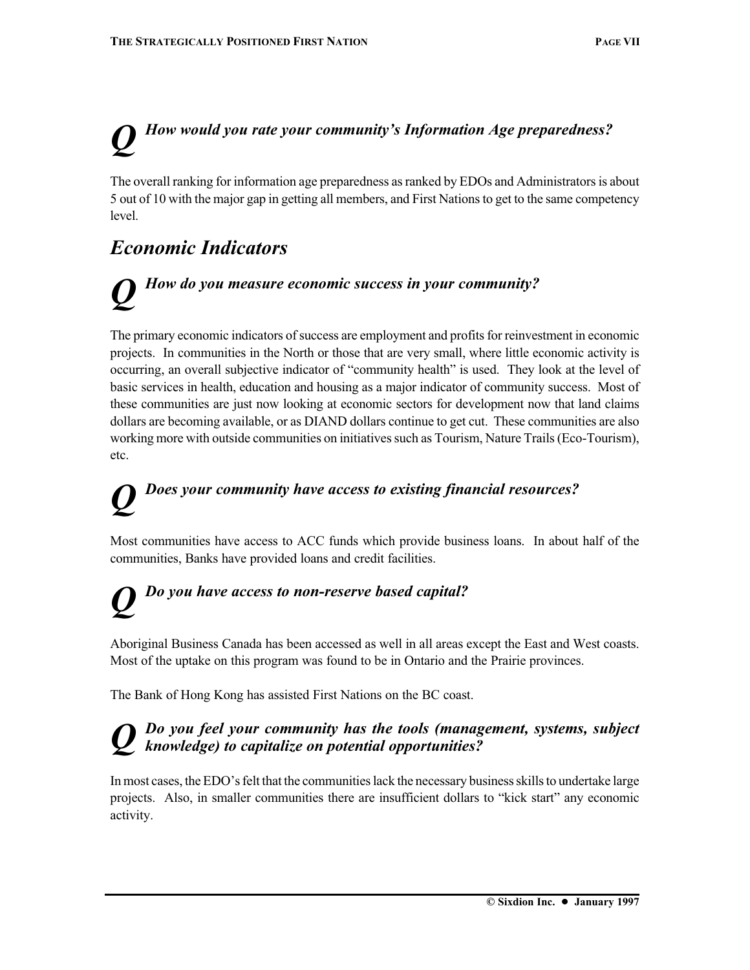## *Q How would you rate your community's Information Age preparedness?*

The overall ranking for information age preparedness as ranked by EDOs and Administrators is about 5 out of 10 with the major gap in getting all members, and First Nations to get to the same competency level.

## *Economic Indicators*

## *How do you measure economic success in your community?*

The primary economic indicators of success are employment and profits for reinvestment in economic projects. In communities in the North or those that are very small, where little economic activity is occurring, an overall subjective indicator of "community health" is used. They look at the level of basic services in health, education and housing as a major indicator of community success. Most of these communities are just now looking at economic sectors for development now that land claims dollars are becoming available, or as DIAND dollars continue to get cut. These communities are also working more with outside communities on initiatives such as Tourism, Nature Trails (Eco-Tourism), etc.

## *Q Does your community have access to existing financial resources?*

Most communities have access to ACC funds which provide business loans. In about half of the communities, Banks have provided loans and credit facilities.

## *Q Do you have access to non-reserve based capital?*

Aboriginal Business Canada has been accessed as well in all areas except the East and West coasts. Most of the uptake on this program was found to be in Ontario and the Prairie provinces.

The Bank of Hong Kong has assisted First Nations on the BC coast.

## *Q Do you feel your community has the tools (management, systems, subject knowledge) to capitalize on potential opportunities?*

In most cases, the EDO's felt that the communities lack the necessary business skills to undertake large projects. Also, in smaller communities there are insufficient dollars to "kick start" any economic activity.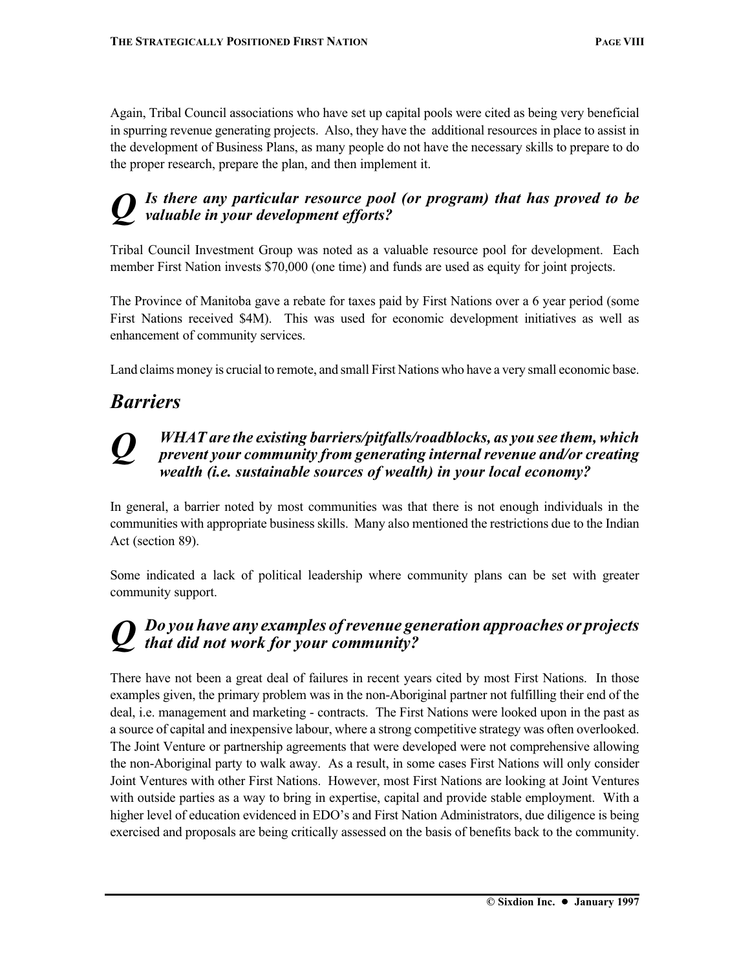Again, Tribal Council associations who have set up capital pools were cited as being very beneficial in spurring revenue generating projects. Also, they have the additional resources in place to assist in the development of Business Plans, as many people do not have the necessary skills to prepare to do the proper research, prepare the plan, and then implement it.

### Is there any particular resource pool (or program) that has proved to be *valuable in your development efforts?*

Tribal Council Investment Group was noted as a valuable resource pool for development. Each member First Nation invests \$70,000 (one time) and funds are used as equity for joint projects.

The Province of Manitoba gave a rebate for taxes paid by First Nations over a 6 year period (some First Nations received \$4M). This was used for economic development initiatives as well as enhancement of community services.

Land claims money is crucial to remote, and small First Nations who have a very small economic base.

## *Barriers*

## *Q WHAT are the existing barriers/pitfalls/roadblocks, as you see them, which prevent your community from generating internal revenue and/or creating wealth (i.e. sustainable sources of wealth) in your local economy?*

In general, a barrier noted by most communities was that there is not enough individuals in the communities with appropriate business skills. Many also mentioned the restrictions due to the Indian Act (section 89).

Some indicated a lack of political leadership where community plans can be set with greater community support.

## *Q Do you have any examples of revenue generation approaches or projects that did not work for your community?*

There have not been a great deal of failures in recent years cited by most First Nations. In those examples given, the primary problem was in the non-Aboriginal partner not fulfilling their end of the deal, i.e. management and marketing - contracts. The First Nations were looked upon in the past as a source of capital and inexpensive labour, where a strong competitive strategy was often overlooked. The Joint Venture or partnership agreements that were developed were not comprehensive allowing the non-Aboriginal party to walk away. As a result, in some cases First Nations will only consider Joint Ventures with other First Nations. However, most First Nations are looking at Joint Ventures with outside parties as a way to bring in expertise, capital and provide stable employment. With a higher level of education evidenced in EDO's and First Nation Administrators, due diligence is being exercised and proposals are being critically assessed on the basis of benefits back to the community.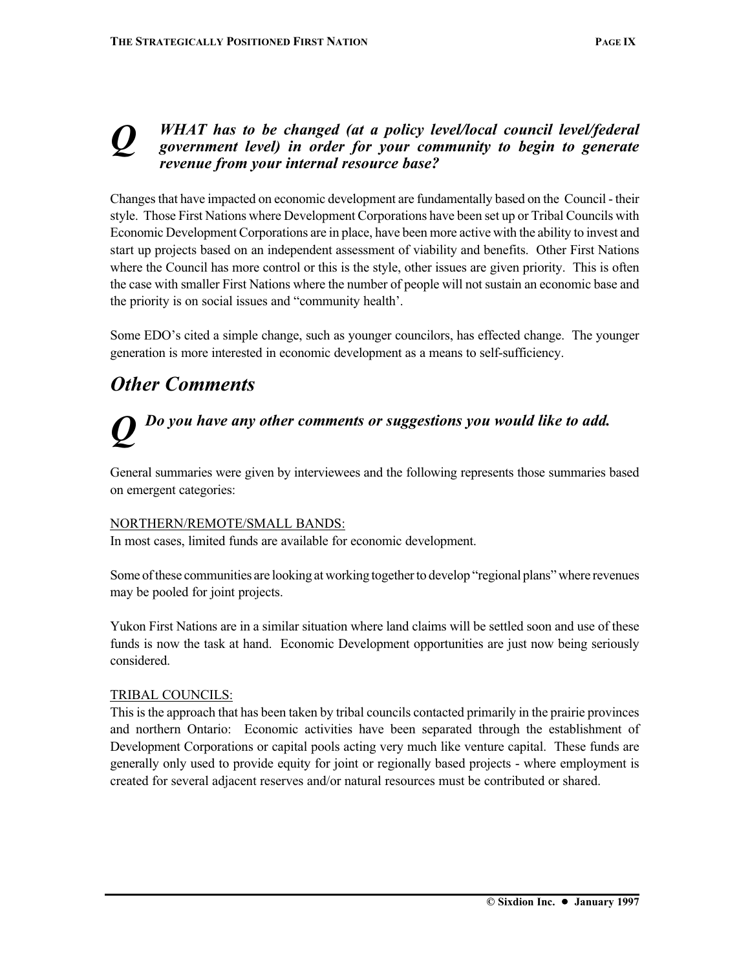#### *Q WHAT has to be changed (at a policy level/local council level/federal government level) in order for your community to begin to generate revenue from your internal resource base?*

Changes that have impacted on economic development are fundamentally based on the Council - their style. Those First Nations where Development Corporations have been set up or Tribal Councils with Economic Development Corporations are in place, have been more active with the ability to invest and start up projects based on an independent assessment of viability and benefits. Other First Nations where the Council has more control or this is the style, other issues are given priority. This is often the case with smaller First Nations where the number of people will not sustain an economic base and the priority is on social issues and "community health'.

Some EDO's cited a simple change, such as younger councilors, has effected change. The younger generation is more interested in economic development as a means to self-sufficiency.

## *Other Comments*

## *Do you have any other comments or suggestions you would like to add.*

General summaries were given by interviewees and the following represents those summaries based on emergent categories:

#### NORTHERN/REMOTE/SMALL BANDS:

In most cases, limited funds are available for economic development.

Some of these communities are looking at working together to develop "regional plans" where revenues may be pooled for joint projects.

Yukon First Nations are in a similar situation where land claims will be settled soon and use of these funds is now the task at hand. Economic Development opportunities are just now being seriously considered.

#### TRIBAL COUNCILS:

This is the approach that has been taken by tribal councils contacted primarily in the prairie provinces and northern Ontario: Economic activities have been separated through the establishment of Development Corporations or capital pools acting very much like venture capital. These funds are generally only used to provide equity for joint or regionally based projects - where employment is created for several adjacent reserves and/or natural resources must be contributed or shared.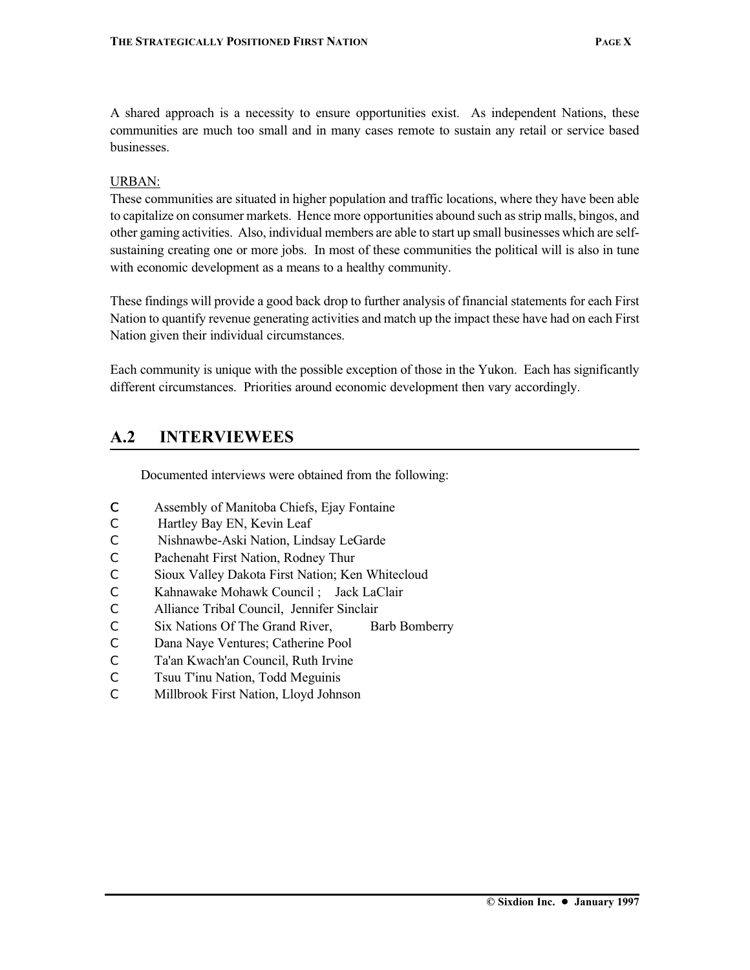A shared approach is a necessity to ensure opportunities exist. As independent Nations, these communities are much too small and in many cases remote to sustain any retail or service based businesses.

#### URBAN:

These communities are situated in higher population and traffic locations, where they have been able to capitalize on consumer markets. Hence more opportunities abound such as strip malls, bingos, and other gaming activities. Also, individual members are able to start up small businesses which are selfsustaining creating one or more jobs. In most of these communities the political will is also in tune with economic development as a means to a healthy community.

These findings will provide a good back drop to further analysis of financial statements for each First Nation to quantify revenue generating activities and match up the impact these have had on each First Nation given their individual circumstances.

Each community is unique with the possible exception of those in the Yukon. Each has significantly different circumstances. Priorities around economic development then vary accordingly.

### **A.2 INTERVIEWEES**

Documented interviews were obtained from the following:

- C Assembly of Manitoba Chiefs, Ejay Fontaine
- C Hartley Bay EN, Kevin Leaf
- C Nishnawbe-Aski Nation, Lindsay LeGarde
- C Pachenaht First Nation, Rodney Thur
- C Sioux Valley Dakota First Nation; Ken Whitecloud
- C Kahnawake Mohawk Council ; Jack LaClair
- C Alliance Tribal Council, Jennifer Sinclair
- C Six Nations Of The Grand River, Barb Bomberry
- C Dana Naye Ventures; Catherine Pool
- C Ta'an Kwach'an Council, Ruth Irvine
- C Tsuu T'inu Nation, Todd Meguinis
- C Millbrook First Nation, Lloyd Johnson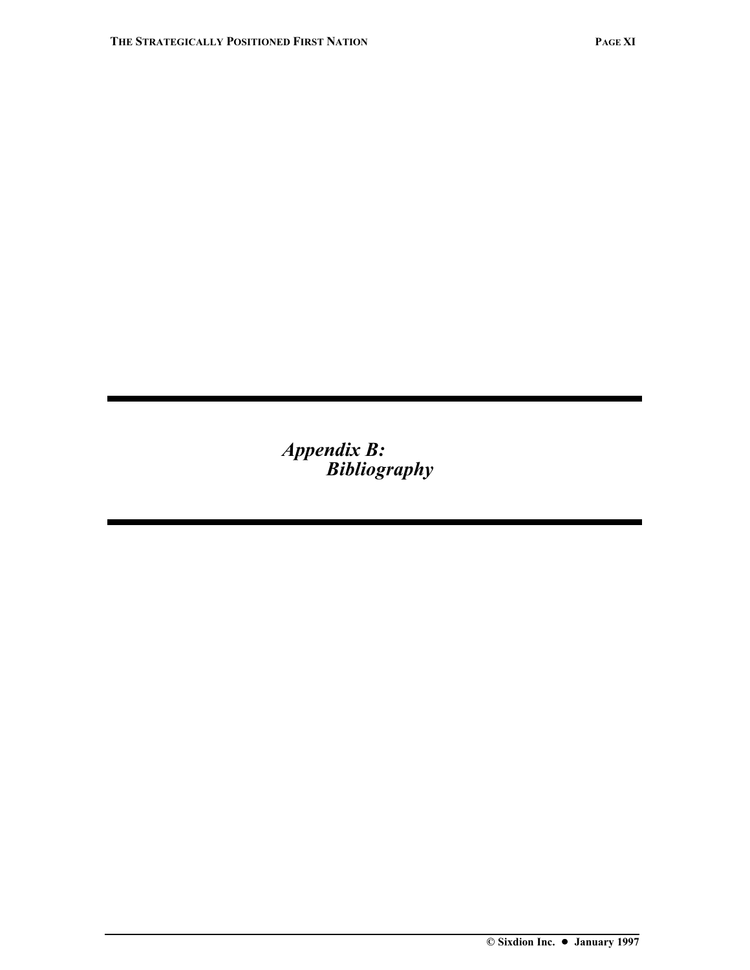*Appendix B: Bibliography*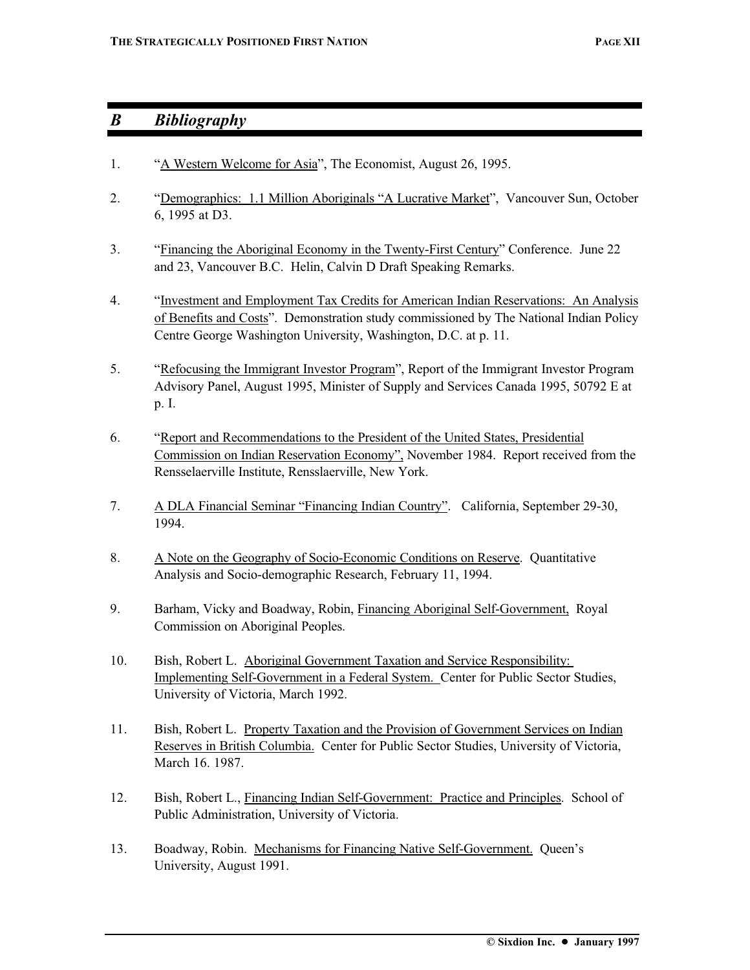## *B Bibliography*

- 1. "A Western Welcome for Asia", The Economist, August 26, 1995.
- 2. "Demographics: 1.1 Million Aboriginals "A Lucrative Market", Vancouver Sun, October 6, 1995 at D3.
- 3. "Financing the Aboriginal Economy in the Twenty-First Century" Conference. June 22 and 23, Vancouver B.C. Helin, Calvin D Draft Speaking Remarks.
- 4. "Investment and Employment Tax Credits for American Indian Reservations: An Analysis of Benefits and Costs". Demonstration study commissioned by The National Indian Policy Centre George Washington University, Washington, D.C. at p. 11.
- 5. "Refocusing the Immigrant Investor Program", Report of the Immigrant Investor Program Advisory Panel, August 1995, Minister of Supply and Services Canada 1995, 50792 E at p. I.
- 6. "Report and Recommendations to the President of the United States, Presidential Commission on Indian Reservation Economy", November 1984. Report received from the Rensselaerville Institute, Rensslaerville, New York.
- 7. A DLA Financial Seminar "Financing Indian Country". California, September 29-30, 1994.
- 8. A Note on the Geography of Socio-Economic Conditions on Reserve. Quantitative Analysis and Socio-demographic Research, February 11, 1994.
- 9. Barham, Vicky and Boadway, Robin, Financing Aboriginal Self-Government, Royal Commission on Aboriginal Peoples.
- 10. Bish, Robert L. Aboriginal Government Taxation and Service Responsibility: Implementing Self-Government in a Federal System. Center for Public Sector Studies, University of Victoria, March 1992.
- 11. Bish, Robert L. Property Taxation and the Provision of Government Services on Indian Reserves in British Columbia. Center for Public Sector Studies, University of Victoria, March 16. 1987.
- 12. Bish, Robert L., Financing Indian Self-Government: Practice and Principles. School of Public Administration, University of Victoria.
- 13. Boadway, Robin. Mechanisms for Financing Native Self-Government. Queen's University, August 1991.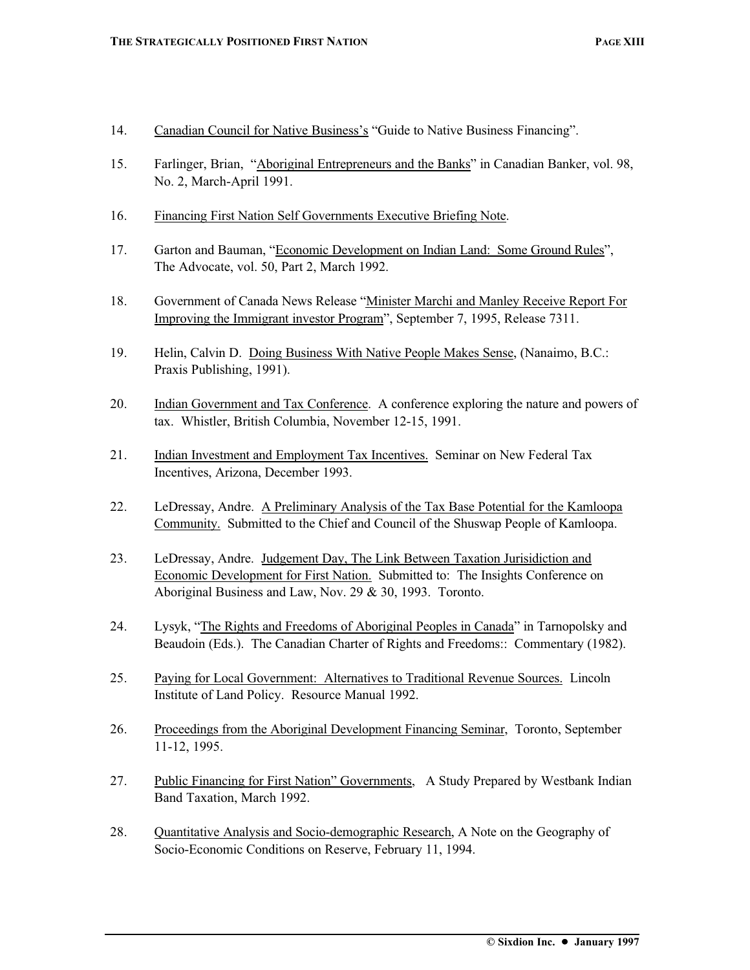- 14. Canadian Council for Native Business's "Guide to Native Business Financing".
- 15. Farlinger, Brian, "Aboriginal Entrepreneurs and the Banks" in Canadian Banker, vol. 98, No. 2, March-April 1991.
- 16. Financing First Nation Self Governments Executive Briefing Note.
- 17. Garton and Bauman, "Economic Development on Indian Land: Some Ground Rules", The Advocate, vol. 50, Part 2, March 1992.
- 18. Government of Canada News Release "Minister Marchi and Manley Receive Report For Improving the Immigrant investor Program", September 7, 1995, Release 7311.
- 19. Helin, Calvin D. Doing Business With Native People Makes Sense, (Nanaimo, B.C.: Praxis Publishing, 1991).
- 20. Indian Government and Tax Conference. A conference exploring the nature and powers of tax. Whistler, British Columbia, November 12-15, 1991.
- 21. Indian Investment and Employment Tax Incentives. Seminar on New Federal Tax Incentives, Arizona, December 1993.
- 22. LeDressay, Andre. A Preliminary Analysis of the Tax Base Potential for the Kamloopa Community. Submitted to the Chief and Council of the Shuswap People of Kamloopa.
- 23. LeDressay, Andre. Judgement Day, The Link Between Taxation Jurisidiction and Economic Development for First Nation. Submitted to: The Insights Conference on Aboriginal Business and Law, Nov. 29 & 30, 1993. Toronto.
- 24. Lysyk, "The Rights and Freedoms of Aboriginal Peoples in Canada" in Tarnopolsky and Beaudoin (Eds.). The Canadian Charter of Rights and Freedoms:: Commentary (1982).
- 25. Paying for Local Government: Alternatives to Traditional Revenue Sources. Lincoln Institute of Land Policy. Resource Manual 1992.
- 26. Proceedings from the Aboriginal Development Financing Seminar, Toronto, September 11-12, 1995.
- 27. Public Financing for First Nation" Governments, A Study Prepared by Westbank Indian Band Taxation, March 1992.
- 28. Quantitative Analysis and Socio-demographic Research, A Note on the Geography of Socio-Economic Conditions on Reserve, February 11, 1994.